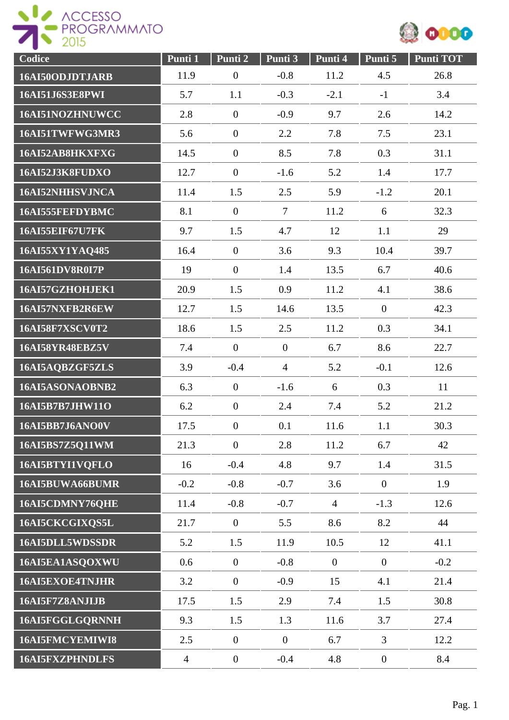



| Codice                 | Punti 1        | Punti <sub>2</sub> | Punti 3          | Punti 4        | Punti 5        | <b>Punti TOT</b> |
|------------------------|----------------|--------------------|------------------|----------------|----------------|------------------|
| 16AI50ODJDTJARB        | 11.9           | $\boldsymbol{0}$   | $-0.8$           | 11.2           | 4.5            | 26.8             |
| 16AI51J6S3E8PWI        | 5.7            | 1.1                | $-0.3$           | $-2.1$         | $-1$           | 3.4              |
| 16AI51NOZHNUWCC        | 2.8            | $\overline{0}$     | $-0.9$           | 9.7            | 2.6            | 14.2             |
| 16AI51TWFWG3MR3        | 5.6            | $\overline{0}$     | 2.2              | 7.8            | 7.5            | 23.1             |
| 16AI52AB8HKXFXG        | 14.5           | $\overline{0}$     | 8.5              | 7.8            | 0.3            | 31.1             |
| 16AI52J3K8FUDXO        | 12.7           | $\overline{0}$     | $-1.6$           | 5.2            | 1.4            | 17.7             |
| 16AI52NHHSVJNCA        | 11.4           | 1.5                | 2.5              | 5.9            | $-1.2$         | 20.1             |
| 16AI555FEFDYBMC        | 8.1            | $\overline{0}$     | $\overline{7}$   | 11.2           | 6              | 32.3             |
| <b>16AI55EIF67U7FK</b> | 9.7            | 1.5                | 4.7              | 12             | 1.1            | 29               |
| 16AI55XY1YAQ485        | 16.4           | $\overline{0}$     | 3.6              | 9.3            | 10.4           | 39.7             |
| <b>16AI561DV8R0I7P</b> | 19             | $\overline{0}$     | 1.4              | 13.5           | 6.7            | 40.6             |
| 16AI57GZHOHJEK1        | 20.9           | 1.5                | 0.9              | 11.2           | 4.1            | 38.6             |
| 16AI57NXFB2R6EW        | 12.7           | 1.5                | 14.6             | 13.5           | $\overline{0}$ | 42.3             |
| <b>16AI58F7XSCV0T2</b> | 18.6           | 1.5                | 2.5              | 11.2           | 0.3            | 34.1             |
| <b>16AI58YR48EBZ5V</b> | 7.4            | $\overline{0}$     | $\boldsymbol{0}$ | 6.7            | 8.6            | 22.7             |
| 16AI5AQBZGF5ZLS        | 3.9            | $-0.4$             | $\overline{4}$   | 5.2            | $-0.1$         | 12.6             |
| 16AI5ASONAOBNB2        | 6.3            | $\overline{0}$     | $-1.6$           | 6              | 0.3            | 11               |
| 16AI5B7B7JHW11O        | 6.2            | $\overline{0}$     | 2.4              | 7.4            | 5.2            | 21.2             |
| 16AI5BB7J6ANO0V        | 17.5           | $\boldsymbol{0}$   | 0.1              | 11.6           | 1.1            | 30.3             |
| 16AI5BS7Z5Q11WM        | 21.3           | $\overline{0}$     | 2.8              | 11.2           | 6.7            | 42               |
| 16AI5BTYI1VOFLO        | 16             | $-0.4$             | 4.8              | 9.7            | 1.4            | 31.5             |
| 16AI5BUWA66BUMR        | $-0.2$         | $-0.8$             | $-0.7$           | 3.6            | $\overline{0}$ | 1.9              |
| 16AI5CDMNY76QHE        | 11.4           | $-0.8$             | $-0.7$           | $\overline{4}$ | $-1.3$         | 12.6             |
| 16AI5CKCGIXQS5L        | 21.7           | $\boldsymbol{0}$   | 5.5              | 8.6            | 8.2            | 44               |
| 16AI5DLL5WDSSDR        | 5.2            | 1.5                | 11.9             | 10.5           | 12             | 41.1             |
| 16AI5EA1ASQOXWU        | 0.6            | $\overline{0}$     | $-0.8$           | $\overline{0}$ | $\overline{0}$ | $-0.2$           |
| <b>16AI5EXOE4TNJHR</b> | 3.2            | $\overline{0}$     | $-0.9$           | 15             | 4.1            | 21.4             |
| 16AI5F7Z8ANJIJB        | 17.5           | 1.5                | 2.9              | 7.4            | 1.5            | 30.8             |
| 16AI5FGGLGQRNNH        | 9.3            | 1.5                | 1.3              | 11.6           | 3.7            | 27.4             |
| 16AI5FMCYEMIWI8        | 2.5            | $\boldsymbol{0}$   | $\boldsymbol{0}$ | 6.7            | 3              | 12.2             |
| <b>16AI5FXZPHNDLFS</b> | $\overline{4}$ | $\boldsymbol{0}$   | $-0.4$           | 4.8            | $\overline{0}$ | 8.4              |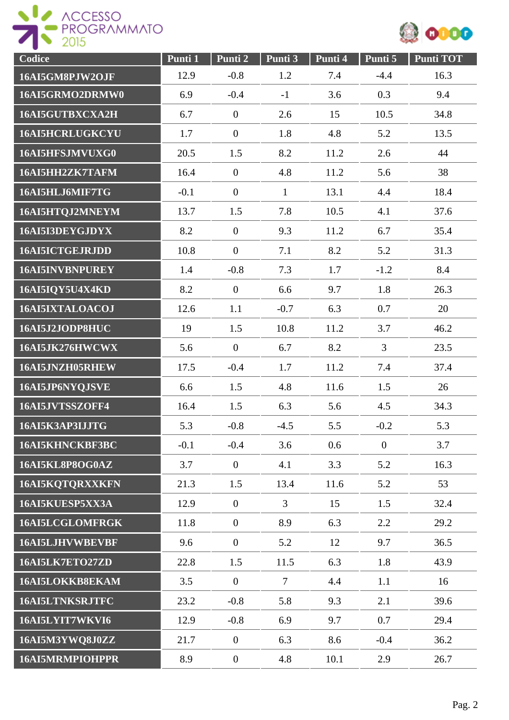



| Codice                 | Punti 1 | Punti 2          | Punti 3        | Punti 4 | Punti 5        | <b>Punti TOT</b> |
|------------------------|---------|------------------|----------------|---------|----------------|------------------|
| 16AI5GM8PJW2OJF        | 12.9    | $-0.8$           | 1.2            | 7.4     | $-4.4$         | 16.3             |
| 16AI5GRMO2DRMW0        | 6.9     | $-0.4$           | $-1$           | 3.6     | 0.3            | 9.4              |
| 16AI5GUTBXCXA2H        | 6.7     | $\mathbf{0}$     | 2.6            | 15      | 10.5           | 34.8             |
| <b>16AI5HCRLUGKCYU</b> | 1.7     | $\overline{0}$   | 1.8            | 4.8     | 5.2            | 13.5             |
| 16AI5HFSJMVUXG0        | 20.5    | 1.5              | 8.2            | 11.2    | 2.6            | 44               |
| 16AI5HH2ZK7TAFM        | 16.4    | $\overline{0}$   | 4.8            | 11.2    | 5.6            | 38               |
| 16AI5HLJ6MIF7TG        | $-0.1$  | $\boldsymbol{0}$ | $\mathbf{1}$   | 13.1    | 4.4            | 18.4             |
| 16AI5HTQJ2MNEYM        | 13.7    | 1.5              | 7.8            | 10.5    | 4.1            | 37.6             |
| 16AI5I3DEYGJDYX        | 8.2     | $\overline{0}$   | 9.3            | 11.2    | 6.7            | 35.4             |
| 16AI5ICTGEJRJDD        | 10.8    | $\overline{0}$   | 7.1            | 8.2     | 5.2            | 31.3             |
| 16AI5INVBNPUREY        | 1.4     | $-0.8$           | 7.3            | 1.7     | $-1.2$         | 8.4              |
| 16AI5IQY5U4X4KD        | 8.2     | $\overline{0}$   | 6.6            | 9.7     | 1.8            | 26.3             |
| 16AI5IXTALOACOJ        | 12.6    | 1.1              | $-0.7$         | 6.3     | 0.7            | 20               |
| 16AI5J2JODP8HUC        | 19      | 1.5              | 10.8           | 11.2    | 3.7            | 46.2             |
| 16AI5JK276HWCWX        | 5.6     | $\overline{0}$   | 6.7            | 8.2     | $\overline{3}$ | 23.5             |
| 16AI5JNZH05RHEW        | 17.5    | $-0.4$           | 1.7            | 11.2    | 7.4            | 37.4             |
| 16AI5JP6NYQJSVE        | 6.6     | 1.5              | 4.8            | 11.6    | 1.5            | 26               |
| 16AI5JVTSSZOFF4        | 16.4    | 1.5              | 6.3            | 5.6     | 4.5            | 34.3             |
| 16AI5K3AP3IJJTG        | 5.3     | $-0.8$           | $-4.5$         | 5.5     | $-0.2$         | 5.3              |
| 16AI5KHNCKBF3BC        | $-0.1$  | $-0.4$           | 3.6            | 0.6     | $\overline{0}$ | 3.7              |
| 16AI5KL8P8OG0AZ        | 3.7     | $\overline{0}$   | 4.1            | 3.3     | 5.2            | 16.3             |
| 16AI5KQTQRXXKFN        | 21.3    | 1.5              | 13.4           | 11.6    | 5.2            | 53               |
| 16AI5KUESP5XX3A        | 12.9    | $\overline{0}$   | $\overline{3}$ | 15      | 1.5            | 32.4             |
| 16AI5LCGLOMFRGK        | 11.8    | $\boldsymbol{0}$ | 8.9            | 6.3     | 2.2            | 29.2             |
| <b>16AI5LJHVWBEVBF</b> | 9.6     | $\overline{0}$   | 5.2            | 12      | 9.7            | 36.5             |
| 16AI5LK7ETO27ZD        | 22.8    | 1.5              | 11.5           | 6.3     | 1.8            | 43.9             |
| 16AI5LOKKB8EKAM        | 3.5     | $\overline{0}$   | $\tau$         | 4.4     | 1.1            | 16               |
| 16AI5LTNKSRJTFC        | 23.2    | $-0.8$           | 5.8            | 9.3     | 2.1            | 39.6             |
| 16AI5LYIT7WKVI6        | 12.9    | $-0.8$           | 6.9            | 9.7     | 0.7            | 29.4             |
| 16AI5M3YWQ8J0ZZ        | 21.7    | $\overline{0}$   | 6.3            | 8.6     | $-0.4$         | 36.2             |
| <b>16AI5MRMPIOHPPR</b> | 8.9     | $\mathbf{0}$     | 4.8            | 10.1    | 2.9            | 26.7             |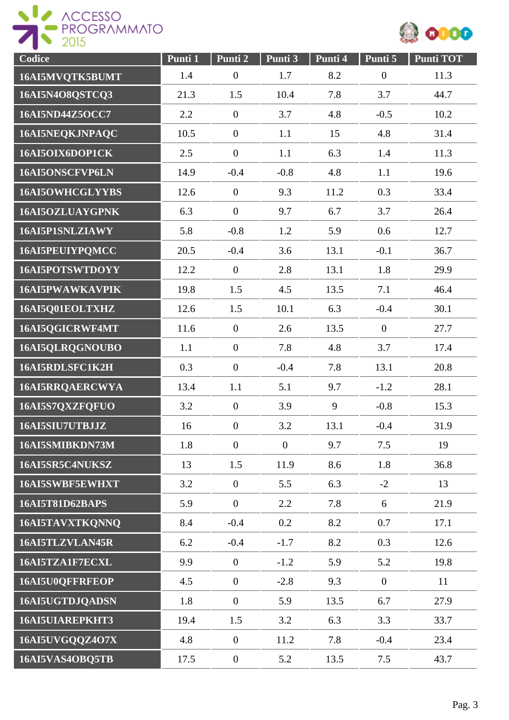



| Codice                 | Punti 1 | Punti 2          | Punti 3        | Punti 4 | Punti 5          | <b>Punti TOT</b> |
|------------------------|---------|------------------|----------------|---------|------------------|------------------|
| 16AI5MVQTK5BUMT        | 1.4     | $\boldsymbol{0}$ | 1.7            | 8.2     | $\boldsymbol{0}$ | 11.3             |
| 16AI5N4O8QSTCQ3        | 21.3    | 1.5              | 10.4           | 7.8     | 3.7              | 44.7             |
| 16AI5ND44Z5OCC7        | 2.2     | $\boldsymbol{0}$ | 3.7            | 4.8     | $-0.5$           | 10.2             |
| 16AI5NEQKJNPAQC        | 10.5    | $\boldsymbol{0}$ | 1.1            | 15      | 4.8              | 31.4             |
| 16AI5OIX6DOP1CK        | 2.5     | $\boldsymbol{0}$ | 1.1            | 6.3     | 1.4              | 11.3             |
| 16AI5ONSCFVP6LN        | 14.9    | $-0.4$           | $-0.8$         | 4.8     | 1.1              | 19.6             |
| 16AI5OWHCGLYYBS        | 12.6    | $\boldsymbol{0}$ | 9.3            | 11.2    | 0.3              | 33.4             |
| 16AI5OZLUAYGPNK        | 6.3     | $\overline{0}$   | 9.7            | 6.7     | 3.7              | 26.4             |
| 16AI5P1SNLZIAWY        | 5.8     | $-0.8$           | 1.2            | 5.9     | 0.6              | 12.7             |
| 16AI5PEUIYPQMCC        | 20.5    | $-0.4$           | 3.6            | 13.1    | $-0.1$           | 36.7             |
| 16AI5POTSWTDOYY        | 12.2    | $\boldsymbol{0}$ | 2.8            | 13.1    | 1.8              | 29.9             |
| <b>16AI5PWAWKAVPIK</b> | 19.8    | 1.5              | 4.5            | 13.5    | 7.1              | 46.4             |
| 16AI5Q01EOLTXHZ        | 12.6    | 1.5              | 10.1           | 6.3     | $-0.4$           | 30.1             |
| 16AI5QGICRWF4MT        | 11.6    | $\boldsymbol{0}$ | 2.6            | 13.5    | $\boldsymbol{0}$ | 27.7             |
| 16AI5QLRQGNOUBO        | 1.1     | $\overline{0}$   | 7.8            | 4.8     | 3.7              | 17.4             |
| 16AI5RDLSFC1K2H        | 0.3     | $\boldsymbol{0}$ | $-0.4$         | 7.8     | 13.1             | 20.8             |
| 16AI5RRQAERCWYA        | 13.4    | 1.1              | 5.1            | 9.7     | $-1.2$           | 28.1             |
| 16AI5S7QXZFQFUO        | 3.2     | $\boldsymbol{0}$ | 3.9            | 9       | $-0.8$           | 15.3             |
| 16AI5SIU7UTBJJZ        | 16      | $\boldsymbol{0}$ | 3.2            | 13.1    | $-0.4$           | 31.9             |
| 16AI5SMIBKDN73M        | 1.8     | $\overline{0}$   | $\overline{0}$ | 9.7     | 7.5              | 19               |
| 16AI5SR5C4NUKSZ        | 13      | 1.5              | 11.9           | 8.6     | 1.8              | 36.8             |
| 16AI5SWBF5EWHXT        | 3.2     | $\overline{0}$   | 5.5            | 6.3     | $-2$             | 13               |
| 16AI5T81D62BAPS        | 5.9     | $\overline{0}$   | 2.2            | 7.8     | 6                | 21.9             |
| 16AI5TAVXTKQNNQ        | 8.4     | $-0.4$           | 0.2            | 8.2     | 0.7              | 17.1             |
| 16AI5TLZVLAN45R        | 6.2     | $-0.4$           | $-1.7$         | 8.2     | 0.3              | 12.6             |
| 16AI5TZA1F7ECXL        | 9.9     | $\overline{0}$   | $-1.2$         | 5.9     | 5.2              | 19.8             |
| 16AI5U0QFFRFEOP        | 4.5     | $\overline{0}$   | $-2.8$         | 9.3     | $\overline{0}$   | 11               |
| 16AI5UGTDJQADSN        | 1.8     | $\mathbf{0}$     | 5.9            | 13.5    | 6.7              | 27.9             |
| <b>16AI5UIAREPKHT3</b> | 19.4    | 1.5              | 3.2            | 6.3     | 3.3              | 33.7             |
| 16AI5UVGQQZ4O7X        | 4.8     | $\boldsymbol{0}$ | 11.2           | 7.8     | $-0.4$           | 23.4             |
| 16AI5VAS4OBQ5TB        | 17.5    | $\boldsymbol{0}$ | 5.2            | 13.5    | 7.5              | 43.7             |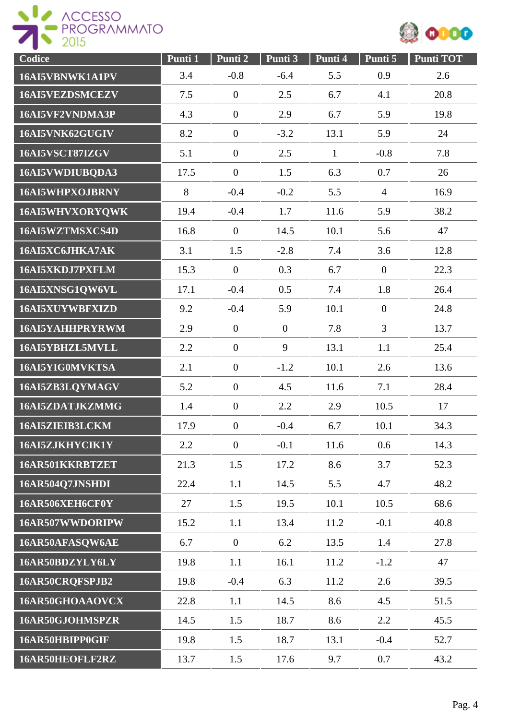

| Codice          | Punti 1 | Punti 2          | Punti 3          | Punti 4      | Punti 5          | <b>Punti TOT</b> |
|-----------------|---------|------------------|------------------|--------------|------------------|------------------|
| 16AI5VBNWK1A1PV | 3.4     | $-0.8$           | $-6.4$           | 5.5          | 0.9              | 2.6              |
| 16AI5VEZDSMCEZV | 7.5     | $\overline{0}$   | 2.5              | 6.7          | 4.1              | 20.8             |
| 16AI5VF2VNDMA3P | 4.3     | $\overline{0}$   | 2.9              | 6.7          | 5.9              | 19.8             |
| 16AI5VNK62GUGIV | 8.2     | $\overline{0}$   | $-3.2$           | 13.1         | 5.9              | 24               |
| 16AI5VSCT87IZGV | 5.1     | $\boldsymbol{0}$ | 2.5              | $\mathbf{1}$ | $-0.8$           | 7.8              |
| 16AI5VWDIUBQDA3 | 17.5    | $\boldsymbol{0}$ | 1.5              | 6.3          | 0.7              | 26               |
| 16AI5WHPXOJBRNY | 8       | $-0.4$           | $-0.2$           | 5.5          | $\overline{4}$   | 16.9             |
| 16AI5WHVXORYQWK | 19.4    | $-0.4$           | 1.7              | 11.6         | 5.9              | 38.2             |
| 16AI5WZTMSXCS4D | 16.8    | $\overline{0}$   | 14.5             | 10.1         | 5.6              | 47               |
| 16AI5XC6JHKA7AK | 3.1     | 1.5              | $-2.8$           | 7.4          | 3.6              | 12.8             |
| 16AI5XKDJ7PXFLM | 15.3    | $\overline{0}$   | 0.3              | 6.7          | $\overline{0}$   | 22.3             |
| 16AI5XNSG1QW6VL | 17.1    | $-0.4$           | 0.5              | 7.4          | 1.8              | 26.4             |
| 16AI5XUYWBFXIZD | 9.2     | $-0.4$           | 5.9              | 10.1         | $\boldsymbol{0}$ | 24.8             |
| 16AI5YAHHPRYRWM | 2.9     | $\boldsymbol{0}$ | $\boldsymbol{0}$ | 7.8          | 3                | 13.7             |
| 16AI5YBHZL5MVLL | 2.2     | $\overline{0}$   | 9                | 13.1         | 1.1              | 25.4             |
| 16AI5YIG0MVKTSA | 2.1     | $\boldsymbol{0}$ | $-1.2$           | 10.1         | 2.6              | 13.6             |
| 16AI5ZB3LQYMAGV | 5.2     | $\boldsymbol{0}$ | 4.5              | 11.6         | 7.1              | 28.4             |
| 16AI5ZDATJKZMMG | 1.4     | $\overline{0}$   | 2.2              | 2.9          | 10.5             | 17               |
| 16AI5ZIEIB3LCKM | 17.9    | $\overline{0}$   | $-0.4$           | 6.7          | 10.1             | 34.3             |
| 16AI5ZJKHYCIK1Y | 2.2     | $\overline{0}$   | $-0.1$           | 11.6         | 0.6              | 14.3             |
| 16AR501KKRBTZET | 21.3    | 1.5              | 17.2             | 8.6          | 3.7              | 52.3             |
| 16AR504Q7JNSHDI | 22.4    | 1.1              | 14.5             | 5.5          | 4.7              | 48.2             |
| 16AR506XEH6CF0Y | 27      | 1.5              | 19.5             | 10.1         | 10.5             | 68.6             |
| 16AR507WWDORIPW | 15.2    | 1.1              | 13.4             | 11.2         | $-0.1$           | 40.8             |
| 16AR50AFASOW6AE | 6.7     | $\overline{0}$   | 6.2              | 13.5         | 1.4              | 27.8             |
| 16AR50BDZYLY6LY | 19.8    | 1.1              | 16.1             | 11.2         | $-1.2$           | 47               |
| 16AR50CRQFSPJB2 | 19.8    | $-0.4$           | 6.3              | 11.2         | 2.6              | 39.5             |
| 16AR50GHOAAOVCX | 22.8    | 1.1              | 14.5             | 8.6          | 4.5              | 51.5             |
| 16AR50GJOHMSPZR | 14.5    | 1.5              | 18.7             | 8.6          | 2.2              | 45.5             |
| 16AR50HBIPP0GIF | 19.8    | 1.5              | 18.7             | 13.1         | $-0.4$           | 52.7             |
| 16AR50HEOFLF2RZ | 13.7    | 1.5              | 17.6             | 9.7          | 0.7              | 43.2             |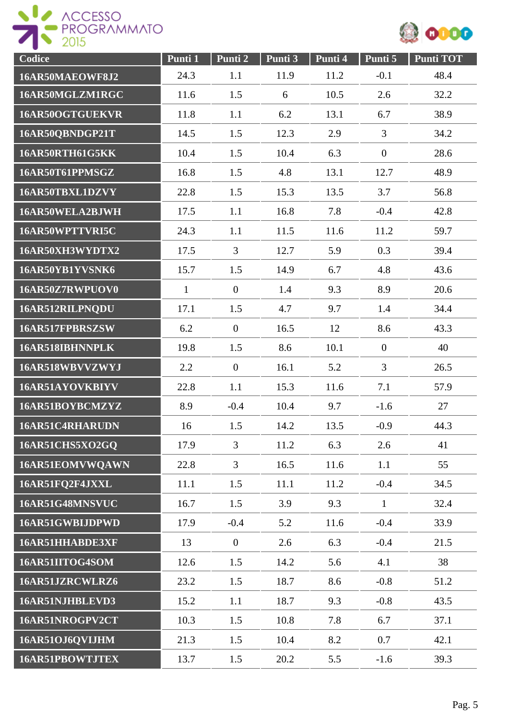



| Codice          | Punti 1      | Punti 2        | Punti 3 | Punti 4 | Punti 5          | Punti TOT |
|-----------------|--------------|----------------|---------|---------|------------------|-----------|
| 16AR50MAEOWF8J2 | 24.3         | 1.1            | 11.9    | 11.2    | $-0.1$           | 48.4      |
| 16AR50MGLZM1RGC | 11.6         | 1.5            | 6       | 10.5    | 2.6              | 32.2      |
| 16AR50OGTGUEKVR | 11.8         | 1.1            | 6.2     | 13.1    | 6.7              | 38.9      |
| 16AR50QBNDGP21T | 14.5         | 1.5            | 12.3    | 2.9     | $\overline{3}$   | 34.2      |
| 16AR50RTH61G5KK | 10.4         | 1.5            | 10.4    | 6.3     | $\boldsymbol{0}$ | 28.6      |
| 16AR50T61PPMSGZ | 16.8         | 1.5            | 4.8     | 13.1    | 12.7             | 48.9      |
| 16AR50TBXL1DZVY | 22.8         | 1.5            | 15.3    | 13.5    | 3.7              | 56.8      |
| 16AR50WELA2BJWH | 17.5         | 1.1            | 16.8    | 7.8     | $-0.4$           | 42.8      |
| 16AR50WPTTVRI5C | 24.3         | 1.1            | 11.5    | 11.6    | 11.2             | 59.7      |
| 16AR50XH3WYDTX2 | 17.5         | 3              | 12.7    | 5.9     | 0.3              | 39.4      |
| 16AR50YB1YVSNK6 | 15.7         | 1.5            | 14.9    | 6.7     | 4.8              | 43.6      |
| 16AR50Z7RWPUOV0 | $\mathbf{1}$ | $\overline{0}$ | 1.4     | 9.3     | 8.9              | 20.6      |
| 16AR512RILPNQDU | 17.1         | 1.5            | 4.7     | 9.7     | 1.4              | 34.4      |
| 16AR517FPBRSZSW | 6.2          | $\overline{0}$ | 16.5    | 12      | 8.6              | 43.3      |
| 16AR518IBHNNPLK | 19.8         | 1.5            | 8.6     | 10.1    | $\boldsymbol{0}$ | 40        |
| 16AR518WBVVZWYJ | 2.2          | $\overline{0}$ | 16.1    | 5.2     | 3                | 26.5      |
| 16AR51AYOVKBIYV | 22.8         | 1.1            | 15.3    | 11.6    | 7.1              | 57.9      |
| 16AR51BOYBCMZYZ | 8.9          | $-0.4$         | 10.4    | 9.7     | $-1.6$           | 27        |
| 16AR51C4RHARUDN | 16           | 1.5            | 14.2    | 13.5    | $-0.9$           | 44.3      |
| 16AR51CHS5XO2GQ | 17.9         | 3              | 11.2    | 6.3     | 2.6              | 41        |
| 16AR51EOMVWQAWN | 22.8         | 3              | 16.5    | 11.6    | 1.1              | 55        |
| 16AR51FQ2F4JXXL | 11.1         | 1.5            | 11.1    | 11.2    | $-0.4$           | 34.5      |
| 16AR51G48MNSVUC | 16.7         | 1.5            | 3.9     | 9.3     | $\mathbf{1}$     | 32.4      |
| 16AR51GWBIJDPWD | 17.9         | $-0.4$         | 5.2     | 11.6    | $-0.4$           | 33.9      |
| 16AR51HHABDE3XF | 13           | $\overline{0}$ | 2.6     | 6.3     | $-0.4$           | 21.5      |
| 16AR51IITOG4SOM | 12.6         | 1.5            | 14.2    | 5.6     | 4.1              | 38        |
| 16AR51JZRCWLRZ6 | 23.2         | 1.5            | 18.7    | 8.6     | $-0.8$           | 51.2      |
| 16AR51NJHBLEVD3 | 15.2         | 1.1            | 18.7    | 9.3     | $-0.8$           | 43.5      |
| 16AR51NROGPV2CT | 10.3         | 1.5            | 10.8    | 7.8     | 6.7              | 37.1      |
| 16AR51OJ6QVIJHM | 21.3         | 1.5            | 10.4    | 8.2     | 0.7              | 42.1      |
| 16AR51PBOWTJTEX | 13.7         | 1.5            | 20.2    | 5.5     | $-1.6$           | 39.3      |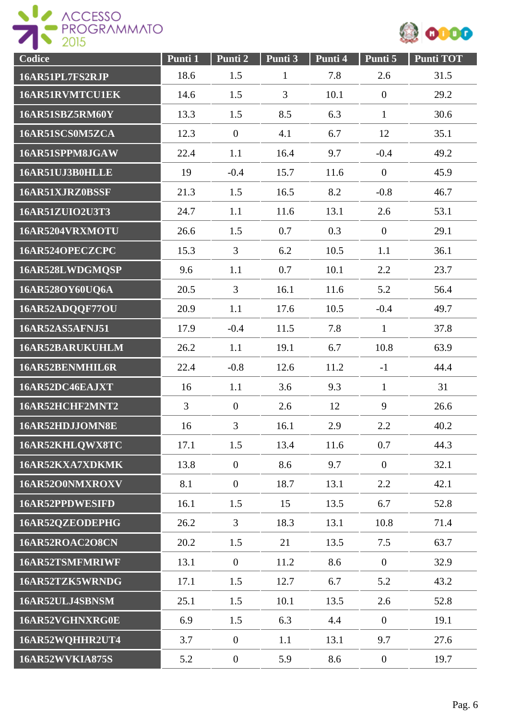



| Codice          | Punti 1        | Punti 2          | Punti 3      | Punti 4 | Punti 5          | <b>Punti TOT</b> |
|-----------------|----------------|------------------|--------------|---------|------------------|------------------|
| 16AR51PL7FS2RJP | 18.6           | 1.5              | $\mathbf{1}$ | 7.8     | 2.6              | 31.5             |
| 16AR51RVMTCU1EK | 14.6           | 1.5              | 3            | 10.1    | $\overline{0}$   | 29.2             |
| 16AR51SBZ5RM60Y | 13.3           | 1.5              | 8.5          | 6.3     | $\mathbf{1}$     | 30.6             |
| 16AR51SCS0M5ZCA | 12.3           | $\overline{0}$   | 4.1          | 6.7     | 12               | 35.1             |
| 16AR51SPPM8JGAW | 22.4           | 1.1              | 16.4         | 9.7     | $-0.4$           | 49.2             |
| 16AR51UJ3B0HLLE | 19             | $-0.4$           | 15.7         | 11.6    | $\boldsymbol{0}$ | 45.9             |
| 16AR51XJRZ0BSSF | 21.3           | 1.5              | 16.5         | 8.2     | $-0.8$           | 46.7             |
| 16AR51ZUIO2U3T3 | 24.7           | 1.1              | 11.6         | 13.1    | 2.6              | 53.1             |
| 16AR5204VRXMOTU | 26.6           | 1.5              | 0.7          | 0.3     | $\mathbf{0}$     | 29.1             |
| 16AR524OPECZCPC | 15.3           | $\overline{3}$   | 6.2          | 10.5    | 1.1              | 36.1             |
| 16AR528LWDGMQSP | 9.6            | 1.1              | 0.7          | 10.1    | 2.2              | 23.7             |
| 16AR528OY60UQ6A | 20.5           | 3                | 16.1         | 11.6    | 5.2              | 56.4             |
| 16AR52ADQQF77OU | 20.9           | 1.1              | 17.6         | 10.5    | $-0.4$           | 49.7             |
| 16AR52AS5AFNJ51 | 17.9           | $-0.4$           | 11.5         | 7.8     | $\mathbf{1}$     | 37.8             |
| 16AR52BARUKUHLM | 26.2           | 1.1              | 19.1         | 6.7     | 10.8             | 63.9             |
| 16AR52BENMHIL6R | 22.4           | $-0.8$           | 12.6         | 11.2    | $-1$             | 44.4             |
| 16AR52DC46EAJXT | 16             | 1.1              | 3.6          | 9.3     | $\mathbf{1}$     | 31               |
| 16AR52HCHF2MNT2 | $\overline{3}$ | $\mathbf{0}$     | 2.6          | 12      | 9                | 26.6             |
| 16AR52HDJJOMN8E | 16             | 3                | 16.1         | 2.9     | 2.2              | 40.2             |
| 16AR52KHLQWX8TC | 17.1           | 1.5              | 13.4         | 11.6    | 0.7              | 44.3             |
| 16AR52KXA7XDKMK | 13.8           | $\boldsymbol{0}$ | 8.6          | 9.7     | $\boldsymbol{0}$ | 32.1             |
| 16AR52O0NMXROXV | 8.1            | $\overline{0}$   | 18.7         | 13.1    | 2.2              | 42.1             |
| 16AR52PPDWESIFD | 16.1           | 1.5              | 15           | 13.5    | 6.7              | 52.8             |
| 16AR52QZEODEPHG | 26.2           | 3                | 18.3         | 13.1    | 10.8             | 71.4             |
| 16AR52ROAC2O8CN | 20.2           | 1.5              | 21           | 13.5    | 7.5              | 63.7             |
| 16AR52TSMFMRIWF | 13.1           | $\mathbf{0}$     | 11.2         | 8.6     | $\mathbf{0}$     | 32.9             |
| 16AR52TZK5WRNDG | 17.1           | 1.5              | 12.7         | 6.7     | 5.2              | 43.2             |
| 16AR52ULJ4SBNSM | 25.1           | 1.5              | 10.1         | 13.5    | 2.6              | 52.8             |
| 16AR52VGHNXRG0E | 6.9            | 1.5              | 6.3          | 4.4     | $\mathbf{0}$     | 19.1             |
| 16AR52WQHHR2UT4 | 3.7            | $\overline{0}$   | 1.1          | 13.1    | 9.7              | 27.6             |
| 16AR52WVKIA875S | 5.2            | $\mathbf{0}$     | 5.9          | 8.6     | $\overline{0}$   | 19.7             |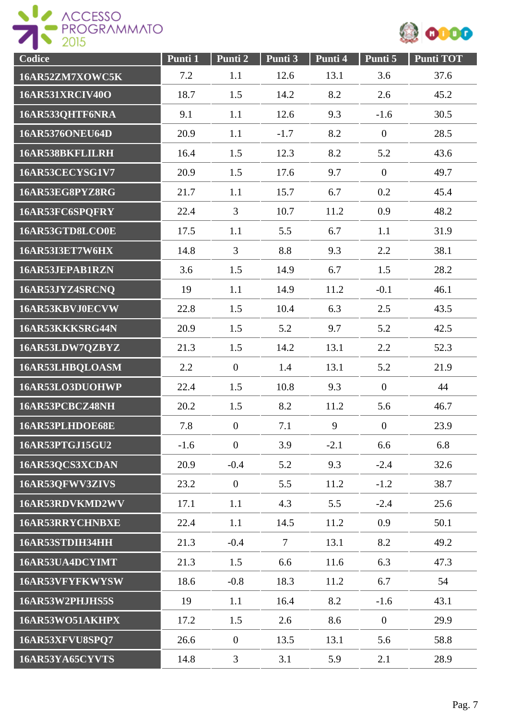



| Codice                 | Punti 1 | Punti 2          | Punti 3 | Punti 4 | Punti 5          | <b>Punti TOT</b> |
|------------------------|---------|------------------|---------|---------|------------------|------------------|
| 16AR52ZM7XOWC5K        | 7.2     | 1.1              | 12.6    | 13.1    | 3.6              | 37.6             |
| <b>16AR531XRCIV40O</b> | 18.7    | 1.5              | 14.2    | 8.2     | 2.6              | 45.2             |
| 16AR533QHTF6NRA        | 9.1     | 1.1              | 12.6    | 9.3     | $-1.6$           | 30.5             |
| <b>16AR5376ONEU64D</b> | 20.9    | 1.1              | $-1.7$  | 8.2     | $\mathbf{0}$     | 28.5             |
| 16AR538BKFLILRH        | 16.4    | 1.5              | 12.3    | 8.2     | 5.2              | 43.6             |
| 16AR53CECYSG1V7        | 20.9    | 1.5              | 17.6    | 9.7     | $\boldsymbol{0}$ | 49.7             |
| 16AR53EG8PYZ8RG        | 21.7    | 1.1              | 15.7    | 6.7     | 0.2              | 45.4             |
| 16AR53FC6SPQFRY        | 22.4    | 3                | 10.7    | 11.2    | 0.9              | 48.2             |
| 16AR53GTD8LCO0E        | 17.5    | 1.1              | 5.5     | 6.7     | 1.1              | 31.9             |
| 16AR53I3ET7W6HX        | 14.8    | $\overline{3}$   | 8.8     | 9.3     | 2.2              | 38.1             |
| 16AR53JEPAB1RZN        | 3.6     | 1.5              | 14.9    | 6.7     | 1.5              | 28.2             |
| 16AR53JYZ4SRCNQ        | 19      | 1.1              | 14.9    | 11.2    | $-0.1$           | 46.1             |
| 16AR53KBVJ0ECVW        | 22.8    | 1.5              | 10.4    | 6.3     | 2.5              | 43.5             |
| 16AR53KKKSRG44N        | 20.9    | 1.5              | 5.2     | 9.7     | 5.2              | 42.5             |
| 16AR53LDW7QZBYZ        | 21.3    | 1.5              | 14.2    | 13.1    | 2.2              | 52.3             |
| 16AR53LHBQLOASM        | 2.2     | $\boldsymbol{0}$ | 1.4     | 13.1    | 5.2              | 21.9             |
| 16AR53LO3DUOHWP        | 22.4    | 1.5              | 10.8    | 9.3     | $\boldsymbol{0}$ | 44               |
| 16AR53PCBCZ48NH        | 20.2    | 1.5              | 8.2     | 11.2    | 5.6              | 46.7             |
| 16AR53PLHDOE68E        | 7.8     | $\boldsymbol{0}$ | 7.1     | 9       | $\boldsymbol{0}$ | 23.9             |
| 16AR53PTGJ15GU2        | $-1.6$  | $\overline{0}$   | 3.9     | $-2.1$  | 6.6              | 6.8              |
| 16AR53QCS3XCDAN        | 20.9    | $-0.4$           | 5.2     | 9.3     | $-2.4$           | 32.6             |
| 16AR53QFWV3ZIVS        | 23.2    | $\overline{0}$   | 5.5     | 11.2    | $-1.2$           | 38.7             |
| 16AR53RDVKMD2WV        | 17.1    | 1.1              | 4.3     | 5.5     | $-2.4$           | 25.6             |
| 16AR53RRYCHNBXE        | 22.4    | 1.1              | 14.5    | 11.2    | 0.9              | 50.1             |
| 16AR53STDIH34HH        | 21.3    | $-0.4$           | $\tau$  | 13.1    | 8.2              | 49.2             |
| 16AR53UA4DCYIMT        | 21.3    | 1.5              | 6.6     | 11.6    | 6.3              | 47.3             |
| 16AR53VFYFKWYSW        | 18.6    | $-0.8$           | 18.3    | 11.2    | 6.7              | 54               |
| 16AR53W2PHJHS5S        | 19      | 1.1              | 16.4    | 8.2     | $-1.6$           | 43.1             |
| 16AR53WO51AKHPX        | 17.2    | 1.5              | 2.6     | 8.6     | $\mathbf{0}$     | 29.9             |
| 16AR53XFVU8SPQ7        | 26.6    | $\mathbf{0}$     | 13.5    | 13.1    | 5.6              | 58.8             |
| 16AR53YA65CYVTS        | 14.8    | $\mathfrak{Z}$   | 3.1     | 5.9     | 2.1              | 28.9             |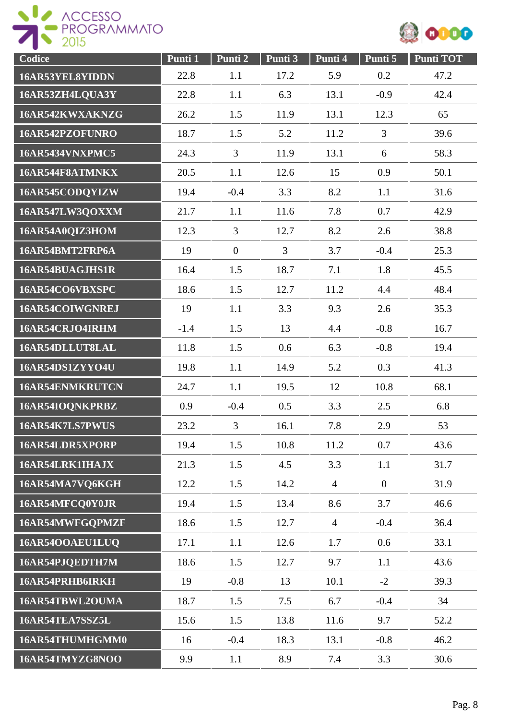



| Codice                 | Punti 1 | Punti 2        | Punti 3 | Punti 4        | Punti 5        | <b>Punti TOT</b> |
|------------------------|---------|----------------|---------|----------------|----------------|------------------|
| 16AR53YEL8YIDDN        | 22.8    | 1.1            | 17.2    | 5.9            | 0.2            | 47.2             |
| 16AR53ZH4LQUA3Y        | 22.8    | 1.1            | 6.3     | 13.1           | $-0.9$         | 42.4             |
| 16AR542KWXAKNZG        | 26.2    | 1.5            | 11.9    | 13.1           | 12.3           | 65               |
| 16AR542PZOFUNRO        | 18.7    | 1.5            | 5.2     | 11.2           | $\overline{3}$ | 39.6             |
| <b>16AR5434VNXPMC5</b> | 24.3    | 3              | 11.9    | 13.1           | 6              | 58.3             |
| 16AR544F8ATMNKX        | 20.5    | 1.1            | 12.6    | 15             | 0.9            | 50.1             |
| 16AR545CODQYIZW        | 19.4    | $-0.4$         | 3.3     | 8.2            | 1.1            | 31.6             |
| 16AR547LW3QOXXM        | 21.7    | 1.1            | 11.6    | 7.8            | 0.7            | 42.9             |
| 16AR54A0QIZ3HOM        | 12.3    | $\overline{3}$ | 12.7    | 8.2            | 2.6            | 38.8             |
| 16AR54BMT2FRP6A        | 19      | $\overline{0}$ | 3       | 3.7            | $-0.4$         | 25.3             |
| 16AR54BUAGJHS1R        | 16.4    | 1.5            | 18.7    | 7.1            | 1.8            | 45.5             |
| 16AR54CO6VBXSPC        | 18.6    | 1.5            | 12.7    | 11.2           | 4.4            | 48.4             |
| 16AR54COIWGNREJ        | 19      | 1.1            | 3.3     | 9.3            | 2.6            | 35.3             |
| 16AR54CRJO4IRHM        | $-1.4$  | 1.5            | 13      | 4.4            | $-0.8$         | 16.7             |
| 16AR54DLLUT8LAL        | 11.8    | 1.5            | 0.6     | 6.3            | $-0.8$         | 19.4             |
| 16AR54DS1ZYYO4U        | 19.8    | 1.1            | 14.9    | 5.2            | 0.3            | 41.3             |
| 16AR54ENMKRUTCN        | 24.7    | 1.1            | 19.5    | 12             | 10.8           | 68.1             |
| 16AR54IOQNKPRBZ        | 0.9     | $-0.4$         | 0.5     | 3.3            | 2.5            | 6.8              |
| 16AR54K7LS7PWUS        | 23.2    | 3              | 16.1    | 7.8            | 2.9            | 53               |
| 16AR54LDR5XPORP        | 19.4    | 1.5            | 10.8    | 11.2           | 0.7            | 43.6             |
| 16AR54LRK1IHAJX        | 21.3    | 1.5            | 4.5     | 3.3            | 1.1            | 31.7             |
| 16AR54MA7VQ6KGH        | 12.2    | 1.5            | 14.2    | $\overline{4}$ | $\overline{0}$ | 31.9             |
| 16AR54MFCQ0Y0JR        | 19.4    | 1.5            | 13.4    | 8.6            | 3.7            | 46.6             |
| 16AR54MWFGOPMZF        | 18.6    | 1.5            | 12.7    | $\overline{4}$ | $-0.4$         | 36.4             |
| 16AR54OOAEU1LUQ        | 17.1    | 1.1            | 12.6    | 1.7            | 0.6            | 33.1             |
| 16AR54PJQEDTH7M        | 18.6    | 1.5            | 12.7    | 9.7            | 1.1            | 43.6             |
| 16AR54PRHB6IRKH        | 19      | $-0.8$         | 13      | 10.1           | $-2$           | 39.3             |
| 16AR54TBWL2OUMA        | 18.7    | 1.5            | 7.5     | 6.7            | $-0.4$         | 34               |
| 16AR54TEA7SSZ5L        | 15.6    | 1.5            | 13.8    | 11.6           | 9.7            | 52.2             |
| 16AR54THUMHGMM0        | 16      | $-0.4$         | 18.3    | 13.1           | $-0.8$         | 46.2             |
| 16AR54TMYZG8NOO        | 9.9     | 1.1            | 8.9     | 7.4            | 3.3            | 30.6             |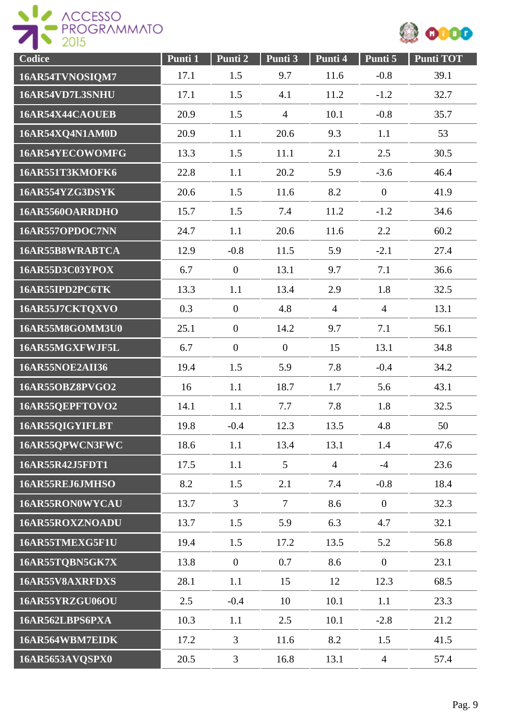



| Codice                 | Punti 1 | Punti 2        | Punti 3         | Punti 4        | Punti 5          | <b>Punti TOT</b> |
|------------------------|---------|----------------|-----------------|----------------|------------------|------------------|
| 16AR54TVNOSIQM7        | 17.1    | 1.5            | 9.7             | 11.6           | $-0.8$           | 39.1             |
| 16AR54VD7L3SNHU        | 17.1    | 1.5            | 4.1             | 11.2           | $-1.2$           | 32.7             |
| 16AR54X44CAOUEB        | 20.9    | 1.5            | $\overline{4}$  | 10.1           | $-0.8$           | 35.7             |
| 16AR54XQ4N1AM0D        | 20.9    | 1.1            | 20.6            | 9.3            | 1.1              | 53               |
| 16AR54YECOWOMFG        | 13.3    | 1.5            | 11.1            | 2.1            | 2.5              | 30.5             |
| <b>16AR551T3KMOFK6</b> | 22.8    | 1.1            | 20.2            | 5.9            | $-3.6$           | 46.4             |
| 16AR554YZG3DSYK        | 20.6    | 1.5            | 11.6            | 8.2            | $\boldsymbol{0}$ | 41.9             |
| 16AR5560OARRDHO        | 15.7    | 1.5            | 7.4             | 11.2           | $-1.2$           | 34.6             |
| 16AR557OPDOC7NN        | 24.7    | 1.1            | 20.6            | 11.6           | 2.2              | 60.2             |
| 16AR55B8WRABTCA        | 12.9    | $-0.8$         | 11.5            | 5.9            | $-2.1$           | 27.4             |
| <b>16AR55D3C03YPOX</b> | 6.7     | $\overline{0}$ | 13.1            | 9.7            | 7.1              | 36.6             |
| 16AR55IPD2PC6TK        | 13.3    | 1.1            | 13.4            | 2.9            | 1.8              | 32.5             |
| 16AR55J7CKTQXVO        | 0.3     | $\overline{0}$ | 4.8             | $\overline{4}$ | $\overline{4}$   | 13.1             |
| 16AR55M8GOMM3U0        | 25.1    | $\overline{0}$ | 14.2            | 9.7            | 7.1              | 56.1             |
| 16AR55MGXFWJF5L        | 6.7     | $\overline{0}$ | $\overline{0}$  | 15             | 13.1             | 34.8             |
| <b>16AR55NOE2AII36</b> | 19.4    | 1.5            | 5.9             | 7.8            | $-0.4$           | 34.2             |
| 16AR55OBZ8PVGO2        | 16      | 1.1            | 18.7            | 1.7            | 5.6              | 43.1             |
| 16AR55QEPFTOVO2        | 14.1    | 1.1            | 7.7             | 7.8            | 1.8              | 32.5             |
| 16AR55QIGYIFLBT        | 19.8    | $-0.4$         | 12.3            | 13.5           | 4.8              | 50               |
| 16AR55QPWCN3FWC        | 18.6    | 1.1            | 13.4            | 13.1           | 1.4              | 47.6             |
| 16AR55R42J5FDT1        | 17.5    | 1.1            | $5\overline{)}$ | $\overline{4}$ | $-4$             | 23.6             |
| 16AR55REJ6JMHSO        | 8.2     | 1.5            | 2.1             | 7.4            | $-0.8$           | 18.4             |
| 16AR55RON0WYCAU        | 13.7    | $\overline{3}$ | $\overline{7}$  | 8.6            | $\overline{0}$   | 32.3             |
| 16AR55ROXZNOADU        | 13.7    | 1.5            | 5.9             | 6.3            | 4.7              | 32.1             |
| 16AR55TMEXG5F1U        | 19.4    | 1.5            | 17.2            | 13.5           | 5.2              | 56.8             |
| 16AR55TQBN5GK7X        | 13.8    | $\overline{0}$ | 0.7             | 8.6            | $\boldsymbol{0}$ | 23.1             |
| 16AR55V8AXRFDXS        | 28.1    | 1.1            | 15              | 12             | 12.3             | 68.5             |
| 16AR55YRZGU06OU        | 2.5     | $-0.4$         | 10              | 10.1           | 1.1              | 23.3             |
| 16AR562LBPS6PXA        | 10.3    | 1.1            | 2.5             | 10.1           | $-2.8$           | 21.2             |
| 16AR564WBM7EIDK        | 17.2    | 3              | 11.6            | 8.2            | 1.5              | 41.5             |
| 16AR5653AVQSPX0        | 20.5    | 3              | 16.8            | 13.1           | $\overline{4}$   | 57.4             |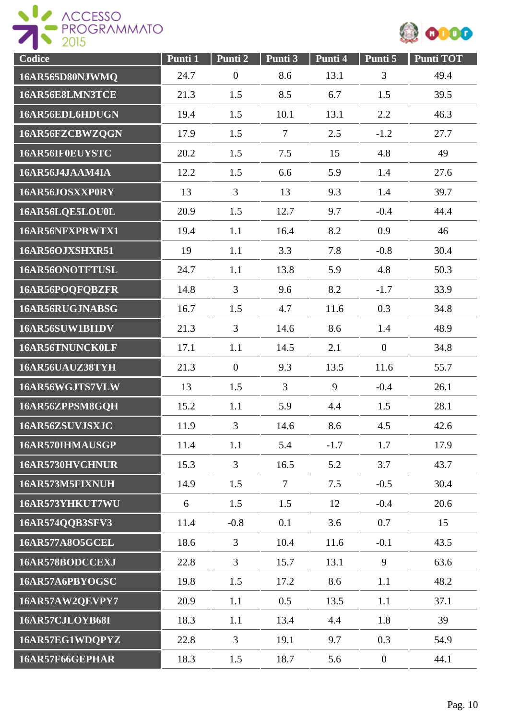



| Codice          | Punti 1 | Punti 2          | Punti 3        | Punti 4 | Punti 5        | Punti TOT |
|-----------------|---------|------------------|----------------|---------|----------------|-----------|
| 16AR565D80NJWMQ | 24.7    | $\boldsymbol{0}$ | 8.6            | 13.1    | 3              | 49.4      |
| 16AR56E8LMN3TCE | 21.3    | 1.5              | 8.5            | 6.7     | 1.5            | 39.5      |
| 16AR56EDL6HDUGN | 19.4    | 1.5              | 10.1           | 13.1    | 2.2            | 46.3      |
| 16AR56FZCBWZQGN | 17.9    | 1.5              | $\tau$         | 2.5     | $-1.2$         | 27.7      |
| 16AR56IF0EUYSTC | 20.2    | 1.5              | 7.5            | 15      | 4.8            | 49        |
| 16AR56J4JAAM4IA | 12.2    | 1.5              | 6.6            | 5.9     | 1.4            | 27.6      |
| 16AR56JOSXXP0RY | 13      | $\overline{3}$   | 13             | 9.3     | 1.4            | 39.7      |
| 16AR56LQE5LOU0L | 20.9    | 1.5              | 12.7           | 9.7     | $-0.4$         | 44.4      |
| 16AR56NFXPRWTX1 | 19.4    | 1.1              | 16.4           | 8.2     | 0.9            | 46        |
| 16AR56OJXSHXR51 | 19      | 1.1              | 3.3            | 7.8     | $-0.8$         | 30.4      |
| 16AR56ONOTFTUSL | 24.7    | 1.1              | 13.8           | 5.9     | 4.8            | 50.3      |
| 16AR56POQFQBZFR | 14.8    | $\overline{3}$   | 9.6            | 8.2     | $-1.7$         | 33.9      |
| 16AR56RUGJNABSG | 16.7    | 1.5              | 4.7            | 11.6    | 0.3            | 34.8      |
| 16AR56SUW1BI1DV | 21.3    | $\overline{3}$   | 14.6           | 8.6     | 1.4            | 48.9      |
| 16AR56TNUNCK0LF | 17.1    | 1.1              | 14.5           | 2.1     | $\overline{0}$ | 34.8      |
| 16AR56UAUZ38TYH | 21.3    | $\boldsymbol{0}$ | 9.3            | 13.5    | 11.6           | 55.7      |
| 16AR56WGJTS7VLW | 13      | 1.5              | $\overline{3}$ | 9       | $-0.4$         | 26.1      |
| 16AR56ZPPSM8GQH | 15.2    | 1.1              | 5.9            | 4.4     | 1.5            | 28.1      |
| 16AR56ZSUVJSXJC | 11.9    | 3                | 14.6           | 8.6     | 4.5            | 42.6      |
| 16AR570IHMAUSGP | 11.4    | 1.1              | 5.4            | $-1.7$  | 1.7            | 17.9      |
| 16AR5730HVCHNUR | 15.3    | 3                | 16.5           | 5.2     | 3.7            | 43.7      |
| 16AR573M5FIXNUH | 14.9    | 1.5              | $\overline{7}$ | 7.5     | $-0.5$         | 30.4      |
| 16AR573YHKUT7WU | 6       | 1.5              | 1.5            | 12      | $-0.4$         | 20.6      |
| 16AR574QQB3SFV3 | 11.4    | $-0.8$           | 0.1            | 3.6     | 0.7            | 15        |
| 16AR577A8O5GCEL | 18.6    | $\overline{3}$   | 10.4           | 11.6    | $-0.1$         | 43.5      |
| 16AR578BODCCEXJ | 22.8    | $\overline{3}$   | 15.7           | 13.1    | 9              | 63.6      |
| 16AR57A6PBYOGSC | 19.8    | 1.5              | 17.2           | 8.6     | 1.1            | 48.2      |
| 16AR57AW2QEVPY7 | 20.9    | 1.1              | 0.5            | 13.5    | 1.1            | 37.1      |
| 16AR57CJLOYB68I | 18.3    | 1.1              | 13.4           | 4.4     | 1.8            | 39        |
| 16AR57EG1WDQPYZ | 22.8    | 3                | 19.1           | 9.7     | 0.3            | 54.9      |
| 16AR57F66GEPHAR | 18.3    | 1.5              | 18.7           | 5.6     | $\mathbf{0}$   | 44.1      |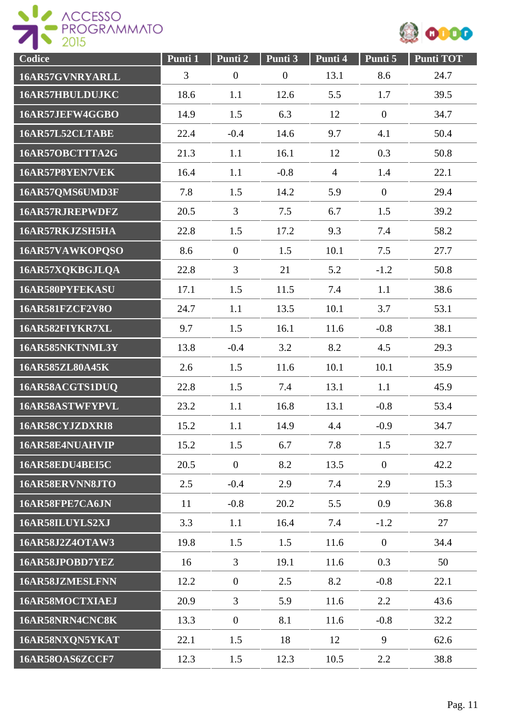



| Codice                 | Punti 1 | Punti 2          | Punti 3          | Punti 4        | Punti 5          | <b>Punti TOT</b> |
|------------------------|---------|------------------|------------------|----------------|------------------|------------------|
| 16AR57GVNRYARLL        | 3       | $\boldsymbol{0}$ | $\boldsymbol{0}$ | 13.1           | 8.6              | 24.7             |
| 16AR57HBULDUJKC        | 18.6    | 1.1              | 12.6             | 5.5            | 1.7              | 39.5             |
| 16AR57JEFW4GGBO        | 14.9    | 1.5              | 6.3              | 12             | $\mathbf{0}$     | 34.7             |
| 16AR57L52CLTABE        | 22.4    | $-0.4$           | 14.6             | 9.7            | 4.1              | 50.4             |
| 16AR57OBCTTTA2G        | 21.3    | 1.1              | 16.1             | 12             | 0.3              | 50.8             |
| 16AR57P8YEN7VEK        | 16.4    | 1.1              | $-0.8$           | $\overline{4}$ | 1.4              | 22.1             |
| 16AR57QMS6UMD3F        | 7.8     | 1.5              | 14.2             | 5.9            | $\overline{0}$   | 29.4             |
| 16AR57RJREPWDFZ        | 20.5    | $\overline{3}$   | 7.5              | 6.7            | 1.5              | 39.2             |
| 16AR57RKJZSH5HA        | 22.8    | 1.5              | 17.2             | 9.3            | 7.4              | 58.2             |
| 16AR57VAWKOPQSO        | 8.6     | $\boldsymbol{0}$ | 1.5              | 10.1           | 7.5              | 27.7             |
| 16AR57XQKBGJLQA        | 22.8    | $\overline{3}$   | 21               | 5.2            | $-1.2$           | 50.8             |
| 16AR580PYFEKASU        | 17.1    | 1.5              | 11.5             | 7.4            | 1.1              | 38.6             |
| <b>16AR581FZCF2V8O</b> | 24.7    | 1.1              | 13.5             | 10.1           | 3.7              | 53.1             |
| 16AR582FIYKR7XL        | 9.7     | 1.5              | 16.1             | 11.6           | $-0.8$           | 38.1             |
| 16AR585NKTNML3Y        | 13.8    | $-0.4$           | 3.2              | 8.2            | 4.5              | 29.3             |
| 16AR585ZL80A45K        | 2.6     | 1.5              | 11.6             | 10.1           | 10.1             | 35.9             |
| 16AR58ACGTS1DUQ        | 22.8    | 1.5              | 7.4              | 13.1           | 1.1              | 45.9             |
| 16AR58ASTWFYPVL        | 23.2    | 1.1              | 16.8             | 13.1           | $-0.8$           | 53.4             |
| 16AR58CYJZDXRI8        | 15.2    | 1.1              | 14.9             | 4.4            | $-0.9$           | 34.7             |
| 16AR58E4NUAHVIP        | 15.2    | 1.5              | 6.7              | 7.8            | 1.5              | 32.7             |
| 16AR58EDU4BEI5C        | 20.5    | $\overline{0}$   | 8.2              | 13.5           | $\boldsymbol{0}$ | 42.2             |
| 16AR58ERVNN8JTO        | 2.5     | $-0.4$           | 2.9              | 7.4            | 2.9              | 15.3             |
| 16AR58FPE7CA6JN        | 11      | $-0.8$           | 20.2             | 5.5            | 0.9              | 36.8             |
| 16AR58ILUYLS2XJ        | 3.3     | 1.1              | 16.4             | 7.4            | $-1.2$           | 27               |
| 16AR58J2Z4OTAW3        | 19.8    | 1.5              | 1.5              | 11.6           | $\overline{0}$   | 34.4             |
| 16AR58JPOBD7YEZ        | 16      | 3                | 19.1             | 11.6           | 0.3              | 50               |
| 16AR58JZMESLFNN        | 12.2    | $\overline{0}$   | 2.5              | 8.2            | $-0.8$           | 22.1             |
| 16AR58MOCTXIAEJ        | 20.9    | $\overline{3}$   | 5.9              | 11.6           | 2.2              | 43.6             |
| 16AR58NRN4CNC8K        | 13.3    | $\overline{0}$   | 8.1              | 11.6           | $-0.8$           | 32.2             |
| 16AR58NXQN5YKAT        | 22.1    | 1.5              | 18               | 12             | 9                | 62.6             |
| <b>16AR58OAS6ZCCF7</b> | 12.3    | 1.5              | 12.3             | 10.5           | 2.2              | 38.8             |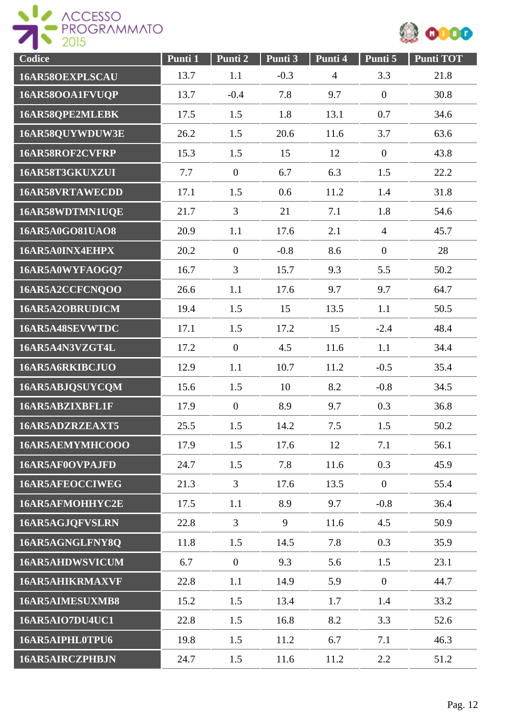



| Codice                 | Punti 1 | Punti 2          | Punti 3 | Punti 4        | Punti 5          | <b>Punti TOT</b> |
|------------------------|---------|------------------|---------|----------------|------------------|------------------|
| 16AR58OEXPLSCAU        | 13.7    | 1.1              | $-0.3$  | $\overline{4}$ | 3.3              | 21.8             |
| 16AR58OOA1FVUQP        | 13.7    | $-0.4$           | 7.8     | 9.7            | $\overline{0}$   | 30.8             |
| 16AR58QPE2MLEBK        | 17.5    | 1.5              | 1.8     | 13.1           | 0.7              | 34.6             |
| 16AR58QUYWDUW3E        | 26.2    | 1.5              | 20.6    | 11.6           | 3.7              | 63.6             |
| 16AR58ROF2CVFRP        | 15.3    | 1.5              | 15      | 12             | $\boldsymbol{0}$ | 43.8             |
| 16AR58T3GKUXZUI        | 7.7     | $\boldsymbol{0}$ | 6.7     | 6.3            | 1.5              | 22.2             |
| 16AR58VRTAWECDD        | 17.1    | 1.5              | 0.6     | 11.2           | 1.4              | 31.8             |
| 16AR58WDTMN1UQE        | 21.7    | 3                | 21      | 7.1            | 1.8              | 54.6             |
| 16AR5A0GO81UAO8        | 20.9    | 1.1              | 17.6    | 2.1            | $\overline{4}$   | 45.7             |
| 16AR5A0INX4EHPX        | 20.2    | $\overline{0}$   | $-0.8$  | 8.6            | $\boldsymbol{0}$ | 28               |
| 16AR5A0WYFAOGQ7        | 16.7    | 3                | 15.7    | 9.3            | 5.5              | 50.2             |
| 16AR5A2CCFCNQOO        | 26.6    | 1.1              | 17.6    | 9.7            | 9.7              | 64.7             |
| 16AR5A2OBRUDICM        | 19.4    | 1.5              | 15      | 13.5           | 1.1              | 50.5             |
| 16AR5A48SEVWTDC        | 17.1    | 1.5              | 17.2    | 15             | $-2.4$           | 48.4             |
| 16AR5A4N3VZGT4L        | 17.2    | $\overline{0}$   | 4.5     | 11.6           | 1.1              | 34.4             |
| 16AR5A6RKIBCJUO        | 12.9    | 1.1              | 10.7    | 11.2           | $-0.5$           | 35.4             |
| 16AR5ABJQSUYCQM        | 15.6    | 1.5              | 10      | 8.2            | $-0.8$           | 34.5             |
| 16AR5ABZIXBFL1F        | 17.9    | $\boldsymbol{0}$ | 8.9     | 9.7            | 0.3              | 36.8             |
| 16AR5ADZRZEAXT5        | 25.5    | 1.5              | 14.2    | 7.5            | 1.5              | 50.2             |
| 16AR5AEMYMHCOOO        | 17.9    | 1.5              | 17.6    | 12             | 7.1              | 56.1             |
| 16AR5AF0OVPAJFD        | 24.7    | 1.5              | 7.8     | 11.6           | 0.3              | 45.9             |
| 16AR5AFEOCCIWEG        | 21.3    | $\overline{3}$   | 17.6    | 13.5           | $\overline{0}$   | 55.4             |
| 16AR5AFMOHHYC2E        | 17.5    | 1.1              | 8.9     | 9.7            | $-0.8$           | 36.4             |
| 16AR5AGJQFVSLRN        | 22.8    | $\overline{3}$   | 9       | 11.6           | 4.5              | 50.9             |
| 16AR5AGNGLFNY8Q        | 11.8    | 1.5              | 14.5    | 7.8            | 0.3              | 35.9             |
| 16AR5AHDWSVICUM        | 6.7     | $\overline{0}$   | 9.3     | 5.6            | 1.5              | 23.1             |
| <b>16AR5AHIKRMAXVF</b> | 22.8    | 1.1              | 14.9    | 5.9            | $\overline{0}$   | 44.7             |
| 16AR5AIMESUXMB8        | 15.2    | 1.5              | 13.4    | 1.7            | 1.4              | 33.2             |
| <b>16AR5AIO7DU4UC1</b> | 22.8    | 1.5              | 16.8    | 8.2            | 3.3              | 52.6             |
| 16AR5AIPHL0TPU6        | 19.8    | 1.5              | 11.2    | 6.7            | 7.1              | 46.3             |
| 16AR5AIRCZPHBJN        | 24.7    | 1.5              | 11.6    | 11.2           | 2.2              | 51.2             |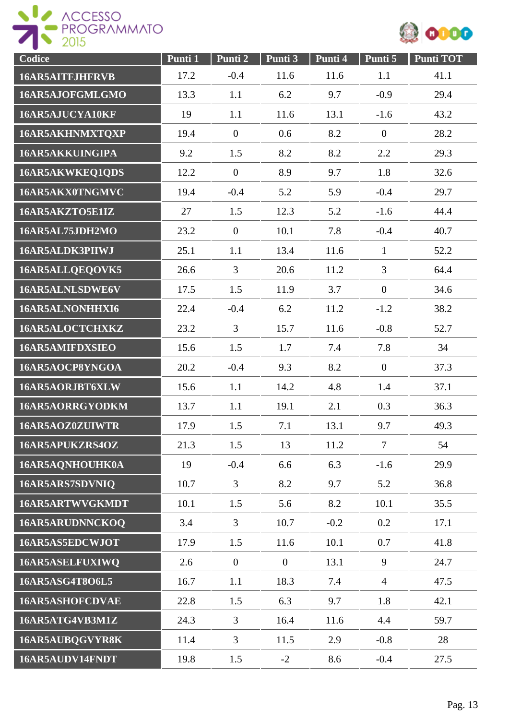



| Codice                 | Punti 1 | Punti 2        | Punti 3        | Punti 4 | Punti 5        | <b>Punti TOT</b> |
|------------------------|---------|----------------|----------------|---------|----------------|------------------|
| 16AR5AITFJHFRVB        | 17.2    | $-0.4$         | 11.6           | 11.6    | 1.1            | 41.1             |
| 16AR5AJOFGMLGMO        | 13.3    | 1.1            | 6.2            | 9.7     | $-0.9$         | 29.4             |
| 16AR5AJUCYA10KF        | 19      | 1.1            | 11.6           | 13.1    | $-1.6$         | 43.2             |
| 16AR5AKHNMXTQXP        | 19.4    | $\overline{0}$ | 0.6            | 8.2     | $\overline{0}$ | 28.2             |
| 16AR5AKKUINGIPA        | 9.2     | 1.5            | 8.2            | 8.2     | 2.2            | 29.3             |
| 16AR5AKWKEQ1QDS        | 12.2    | $\overline{0}$ | 8.9            | 9.7     | 1.8            | 32.6             |
| 16AR5AKX0TNGMVC        | 19.4    | $-0.4$         | 5.2            | 5.9     | $-0.4$         | 29.7             |
| 16AR5AKZTO5E1IZ        | 27      | 1.5            | 12.3           | 5.2     | $-1.6$         | 44.4             |
| 16AR5AL75JDH2MO        | 23.2    | $\mathbf{0}$   | 10.1           | 7.8     | $-0.4$         | 40.7             |
| 16AR5ALDK3PIIWJ        | 25.1    | 1.1            | 13.4           | 11.6    | $\mathbf{1}$   | 52.2             |
| 16AR5ALLQEQOVK5        | 26.6    | $\overline{3}$ | 20.6           | 11.2    | 3              | 64.4             |
| 16AR5ALNLSDWE6V        | 17.5    | 1.5            | 11.9           | 3.7     | $\overline{0}$ | 34.6             |
| 16AR5ALNONHHXI6        | 22.4    | $-0.4$         | 6.2            | 11.2    | $-1.2$         | 38.2             |
| 16AR5ALOCTCHXKZ        | 23.2    | $\overline{3}$ | 15.7           | 11.6    | $-0.8$         | 52.7             |
| <b>16AR5AMIFDXSIEO</b> | 15.6    | 1.5            | 1.7            | 7.4     | 7.8            | 34               |
| 16AR5AOCP8YNGOA        | 20.2    | $-0.4$         | 9.3            | 8.2     | $\overline{0}$ | 37.3             |
| 16AR5AORJBT6XLW        | 15.6    | 1.1            | 14.2           | 4.8     | 1.4            | 37.1             |
| 16AR5AORRGYODKM        | 13.7    | 1.1            | 19.1           | 2.1     | 0.3            | 36.3             |
| 16AR5AOZ0ZUIWTR        | 17.9    | 1.5            | 7.1            | 13.1    | 9.7            | 49.3             |
| 16AR5APUKZRS4OZ        | 21.3    | 1.5            | 13             | 11.2    | $\overline{7}$ | 54               |
| 16AR5AQNHOUHK0A        | 19      | $-0.4$         | 6.6            | 6.3     | $-1.6$         | 29.9             |
| 16AR5ARS7SDVNIQ        | 10.7    | 3              | 8.2            | 9.7     | 5.2            | 36.8             |
| 16AR5ARTWVGKMDT        | 10.1    | 1.5            | 5.6            | 8.2     | 10.1           | 35.5             |
| 16AR5ARUDNNCKOQ        | 3.4     | $\overline{3}$ | 10.7           | $-0.2$  | 0.2            | 17.1             |
| 16AR5AS5EDCWJOT        | 17.9    | 1.5            | 11.6           | 10.1    | 0.7            | 41.8             |
| 16AR5ASELFUXIWQ        | 2.6     | $\overline{0}$ | $\overline{0}$ | 13.1    | 9              | 24.7             |
| 16AR5ASG4T8O6L5        | 16.7    | 1.1            | 18.3           | 7.4     | $\overline{4}$ | 47.5             |
| 16AR5ASHOFCDVAE        | 22.8    | 1.5            | 6.3            | 9.7     | 1.8            | 42.1             |
| 16AR5ATG4VB3M1Z        | 24.3    | 3              | 16.4           | 11.6    | 4.4            | 59.7             |
| 16AR5AUBQGVYR8K        | 11.4    | $\overline{3}$ | 11.5           | 2.9     | $-0.8$         | 28               |
| 16AR5AUDV14FNDT        | 19.8    | 1.5            | $-2$           | 8.6     | $-0.4$         | 27.5             |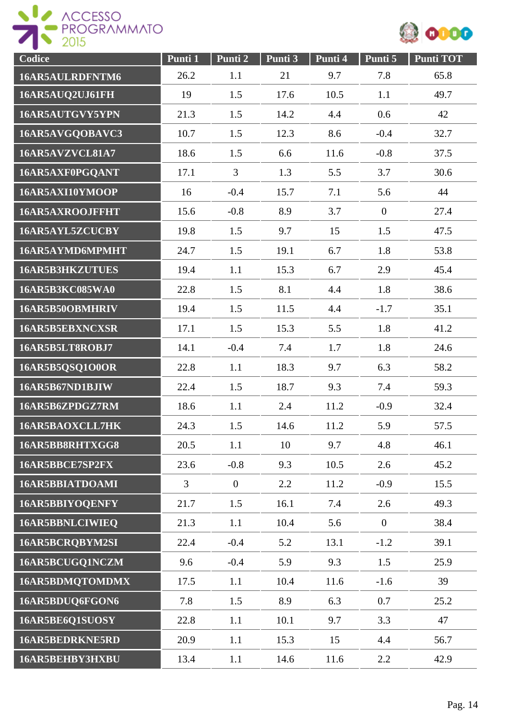



| Codice                 | Punti 1 | Punti 2          | Punti 3 | Punti 4 | Punti 5        | <b>Punti TOT</b> |
|------------------------|---------|------------------|---------|---------|----------------|------------------|
| 16AR5AULRDFNTM6        | 26.2    | 1.1              | 21      | 9.7     | 7.8            | 65.8             |
| 16AR5AUQ2UJ61FH        | 19      | 1.5              | 17.6    | 10.5    | 1.1            | 49.7             |
| 16AR5AUTGVY5YPN        | 21.3    | 1.5              | 14.2    | 4.4     | 0.6            | 42               |
| 16AR5AVGQOBAVC3        | 10.7    | 1.5              | 12.3    | 8.6     | $-0.4$         | 32.7             |
| 16AR5AVZVCL81A7        | 18.6    | 1.5              | 6.6     | 11.6    | $-0.8$         | 37.5             |
| 16AR5AXF0PGQANT        | 17.1    | 3                | 1.3     | 5.5     | 3.7            | 30.6             |
| 16AR5AXI10YMOOP        | 16      | $-0.4$           | 15.7    | 7.1     | 5.6            | 44               |
| 16AR5AXROOJFFHT        | 15.6    | $-0.8$           | 8.9     | 3.7     | $\overline{0}$ | 27.4             |
| 16AR5AYL5ZCUCBY        | 19.8    | 1.5              | 9.7     | 15      | 1.5            | 47.5             |
| 16AR5AYMD6MPMHT        | 24.7    | 1.5              | 19.1    | 6.7     | 1.8            | 53.8             |
| <b>16AR5B3HKZUTUES</b> | 19.4    | 1.1              | 15.3    | 6.7     | 2.9            | 45.4             |
| 16AR5B3KC085WA0        | 22.8    | 1.5              | 8.1     | 4.4     | 1.8            | 38.6             |
| 16AR5B50OBMHRIV        | 19.4    | 1.5              | 11.5    | 4.4     | $-1.7$         | 35.1             |
| 16AR5B5EBXNCXSR        | 17.1    | 1.5              | 15.3    | 5.5     | 1.8            | 41.2             |
| 16AR5B5LT8ROBJ7        | 14.1    | $-0.4$           | 7.4     | 1.7     | 1.8            | 24.6             |
| 16AR5B5QSQ1O0OR        | 22.8    | 1.1              | 18.3    | 9.7     | 6.3            | 58.2             |
| 16AR5B67ND1BJIW        | 22.4    | 1.5              | 18.7    | 9.3     | 7.4            | 59.3             |
| 16AR5B6ZPDGZ7RM        | 18.6    | 1.1              | 2.4     | 11.2    | $-0.9$         | 32.4             |
| 16AR5BAOXCLL7HK        | 24.3    | 1.5              | 14.6    | 11.2    | 5.9            | 57.5             |
| 16AR5BB8RHTXGG8        | 20.5    | 1.1              | 10      | 9.7     | 4.8            | 46.1             |
| 16AR5BBCE7SP2FX        | 23.6    | $-0.8$           | 9.3     | 10.5    | 2.6            | 45.2             |
| 16AR5BBIATDOAMI        | 3       | $\boldsymbol{0}$ | 2.2     | 11.2    | $-0.9$         | 15.5             |
| 16AR5BBIYOQENFY        | 21.7    | 1.5              | 16.1    | 7.4     | 2.6            | 49.3             |
| 16AR5BBNLCIWIEQ        | 21.3    | 1.1              | 10.4    | 5.6     | $\overline{0}$ | 38.4             |
| 16AR5BCRQBYM2SI        | 22.4    | $-0.4$           | 5.2     | 13.1    | $-1.2$         | 39.1             |
| 16AR5BCUGQ1NCZM        | 9.6     | $-0.4$           | 5.9     | 9.3     | 1.5            | 25.9             |
| 16AR5BDMQTOMDMX        | 17.5    | 1.1              | 10.4    | 11.6    | $-1.6$         | 39               |
| 16AR5BDUQ6FGON6        | 7.8     | 1.5              | 8.9     | 6.3     | 0.7            | 25.2             |
| 16AR5BE6Q1SUOSY        | 22.8    | 1.1              | 10.1    | 9.7     | 3.3            | 47               |
| 16AR5BEDRKNE5RD        | 20.9    | 1.1              | 15.3    | 15      | 4.4            | 56.7             |
| 16AR5BEHBY3HXBU        | 13.4    | 1.1              | 14.6    | 11.6    | 2.2            | 42.9             |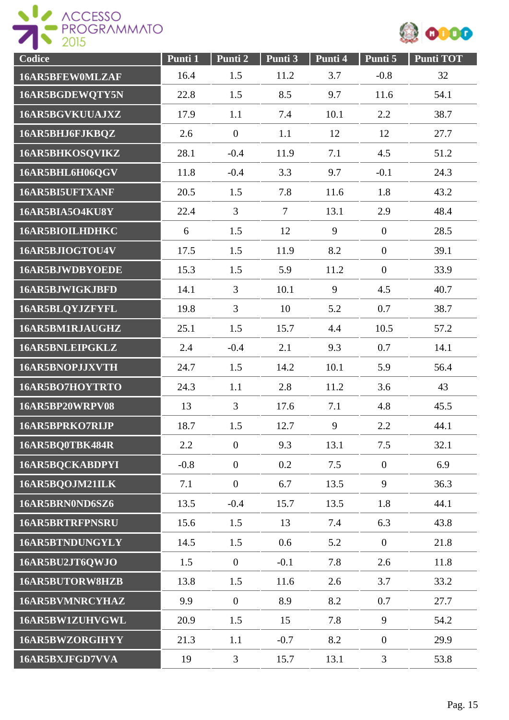



| Codice                 | Punti 1 | Punti 2          | Punti 3 | Punti 4 | Punti 5          | <b>Punti TOT</b> |
|------------------------|---------|------------------|---------|---------|------------------|------------------|
| 16AR5BFEW0MLZAF        | 16.4    | 1.5              | 11.2    | 3.7     | $-0.8$           | 32               |
| 16AR5BGDEWQTY5N        | 22.8    | 1.5              | 8.5     | 9.7     | 11.6             | 54.1             |
| 16AR5BGVKUUAJXZ        | 17.9    | 1.1              | 7.4     | 10.1    | 2.2              | 38.7             |
| 16AR5BHJ6FJKBQZ        | 2.6     | $\overline{0}$   | 1.1     | 12      | 12               | 27.7             |
| 16AR5BHKOSQVIKZ        | 28.1    | $-0.4$           | 11.9    | 7.1     | 4.5              | 51.2             |
| 16AR5BHL6H06QGV        | 11.8    | $-0.4$           | 3.3     | 9.7     | $-0.1$           | 24.3             |
| 16AR5BI5UFTXANF        | 20.5    | 1.5              | 7.8     | 11.6    | 1.8              | 43.2             |
| 16AR5BIA5O4KU8Y        | 22.4    | $\overline{3}$   | $\tau$  | 13.1    | 2.9              | 48.4             |
| 16AR5BIOILHDHKC        | 6       | 1.5              | 12      | 9       | $\overline{0}$   | 28.5             |
| 16AR5BJIOGTOU4V        | 17.5    | 1.5              | 11.9    | 8.2     | $\boldsymbol{0}$ | 39.1             |
| 16AR5BJWDBYOEDE        | 15.3    | 1.5              | 5.9     | 11.2    | $\overline{0}$   | 33.9             |
| 16AR5BJWIGKJBFD        | 14.1    | 3                | 10.1    | 9       | 4.5              | 40.7             |
| 16AR5BLQYJZFYFL        | 19.8    | $\overline{3}$   | 10      | 5.2     | 0.7              | 38.7             |
| 16AR5BM1RJAUGHZ        | 25.1    | 1.5              | 15.7    | 4.4     | 10.5             | 57.2             |
| 16AR5BNLEIPGKLZ        | 2.4     | $-0.4$           | 2.1     | 9.3     | 0.7              | 14.1             |
| 16AR5BNOPJJXVTH        | 24.7    | 1.5              | 14.2    | 10.1    | 5.9              | 56.4             |
| 16AR5BO7HOYTRTO        | 24.3    | 1.1              | 2.8     | 11.2    | 3.6              | 43               |
| 16AR5BP20WRPV08        | 13      | $\overline{3}$   | 17.6    | 7.1     | 4.8              | 45.5             |
| 16AR5BPRKO7RIJP        | 18.7    | 1.5              | 12.7    | 9       | 2.2              | 44.1             |
| 16AR5BQ0TBK484R        | 2.2     | $\overline{0}$   | 9.3     | 13.1    | 7.5              | 32.1             |
| 16AR5BQCKABDPYI        | $-0.8$  | $\boldsymbol{0}$ | 0.2     | 7.5     | $\boldsymbol{0}$ | 6.9              |
| 16AR5BQOJM21ILK        | 7.1     | $\overline{0}$   | 6.7     | 13.5    | 9                | 36.3             |
| 16AR5BRN0ND6SZ6        | 13.5    | $-0.4$           | 15.7    | 13.5    | 1.8              | 44.1             |
| <b>16AR5BRTRFPNSRU</b> | 15.6    | 1.5              | 13      | 7.4     | 6.3              | 43.8             |
| 16AR5BTNDUNGYLY        | 14.5    | 1.5              | 0.6     | 5.2     | $\overline{0}$   | 21.8             |
| 16AR5BU2JT6QWJO        | 1.5     | $\boldsymbol{0}$ | $-0.1$  | 7.8     | 2.6              | 11.8             |
| <b>16AR5BUTORW8HZB</b> | 13.8    | 1.5              | 11.6    | 2.6     | 3.7              | 33.2             |
| <b>16AR5BVMNRCYHAZ</b> | 9.9     | $\overline{0}$   | 8.9     | 8.2     | 0.7              | 27.7             |
| 16AR5BW1ZUHVGWL        | 20.9    | 1.5              | 15      | 7.8     | 9                | 54.2             |
| 16AR5BWZORGIHYY        | 21.3    | 1.1              | $-0.7$  | 8.2     | $\boldsymbol{0}$ | 29.9             |
| 16AR5BXJFGD7VVA        | 19      | 3                | 15.7    | 13.1    | $\mathfrak{Z}$   | 53.8             |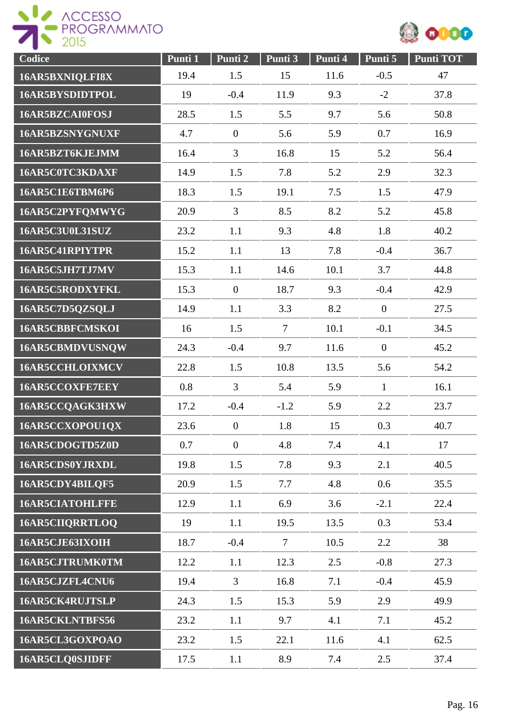



| Codice                 | Punti 1 | Punti 2          | Punti 3        | Punti 4 | Punti 5          | <b>Punti TOT</b> |
|------------------------|---------|------------------|----------------|---------|------------------|------------------|
| 16AR5BXNIQLFI8X        | 19.4    | 1.5              | 15             | 11.6    | $-0.5$           | 47               |
| 16AR5BYSDIDTPOL        | 19      | $-0.4$           | 11.9           | 9.3     | $-2$             | 37.8             |
| 16AR5BZCAI0FOSJ        | 28.5    | 1.5              | 5.5            | 9.7     | 5.6              | 50.8             |
| 16AR5BZSNYGNUXF        | 4.7     | $\boldsymbol{0}$ | 5.6            | 5.9     | 0.7              | 16.9             |
| 16AR5BZT6KJEJMM        | 16.4    | 3                | 16.8           | 15      | 5.2              | 56.4             |
| 16AR5C0TC3KDAXF        | 14.9    | 1.5              | 7.8            | 5.2     | 2.9              | 32.3             |
| 16AR5C1E6TBM6P6        | 18.3    | 1.5              | 19.1           | 7.5     | 1.5              | 47.9             |
| 16AR5C2PYFQMWYG        | 20.9    | 3                | 8.5            | 8.2     | 5.2              | 45.8             |
| <b>16AR5C3U0L31SUZ</b> | 23.2    | 1.1              | 9.3            | 4.8     | 1.8              | 40.2             |
| 16AR5C41RPIYTPR        | 15.2    | 1.1              | 13             | 7.8     | $-0.4$           | 36.7             |
| 16AR5C5JH7TJ7MV        | 15.3    | 1.1              | 14.6           | 10.1    | 3.7              | 44.8             |
| 16AR5C5RODXYFKL        | 15.3    | $\overline{0}$   | 18.7           | 9.3     | $-0.4$           | 42.9             |
| 16AR5C7D5QZSQLJ        | 14.9    | 1.1              | 3.3            | 8.2     | $\mathbf{0}$     | 27.5             |
| 16AR5CBBFCMSKOI        | 16      | 1.5              | $\overline{7}$ | 10.1    | $-0.1$           | 34.5             |
| 16AR5CBMDVUSNQW        | 24.3    | $-0.4$           | 9.7            | 11.6    | $\boldsymbol{0}$ | 45.2             |
| 16AR5CCHLOIXMCV        | 22.8    | 1.5              | 10.8           | 13.5    | 5.6              | 54.2             |
| 16AR5CCOXFE7EEY        | 0.8     | 3                | 5.4            | 5.9     | $\mathbf{1}$     | 16.1             |
| 16AR5CCQAGK3HXW        | 17.2    | $-0.4$           | $-1.2$         | 5.9     | 2.2              | 23.7             |
| 16AR5CCXOPOU1QX        | 23.6    | $\boldsymbol{0}$ | 1.8            | 15      | 0.3              | 40.7             |
| 16AR5CDOGTD5Z0D        | 0.7     | $\overline{0}$   | 4.8            | 7.4     | 4.1              | 17               |
| 16AR5CDS0YJRXDL        | 19.8    | 1.5              | 7.8            | 9.3     | 2.1              | 40.5             |
| 16AR5CDY4BILQF5        | 20.9    | 1.5              | 7.7            | 4.8     | 0.6              | 35.5             |
| <b>16AR5CIATOHLFFE</b> | 12.9    | 1.1              | 6.9            | 3.6     | $-2.1$           | 22.4             |
| 16AR5CIIQRRTLOQ        | 19      | 1.1              | 19.5           | 13.5    | 0.3              | 53.4             |
| 16AR5CJE63IXOIH        | 18.7    | $-0.4$           | $\tau$         | 10.5    | 2.2              | 38               |
| 16AR5CJTRUMK0TM        | 12.2    | 1.1              | 12.3           | 2.5     | $-0.8$           | 27.3             |
| 16AR5CJZFL4CNU6        | 19.4    | 3                | 16.8           | 7.1     | $-0.4$           | 45.9             |
| 16AR5CK4RUJTSLP        | 24.3    | 1.5              | 15.3           | 5.9     | 2.9              | 49.9             |
| 16AR5CKLNTBFS56        | 23.2    | 1.1              | 9.7            | 4.1     | 7.1              | 45.2             |
| 16AR5CL3GOXPOAO        | 23.2    | 1.5              | 22.1           | 11.6    | 4.1              | 62.5             |
| 16AR5CLQ0SJIDFF        | 17.5    | 1.1              | 8.9            | 7.4     | 2.5              | 37.4             |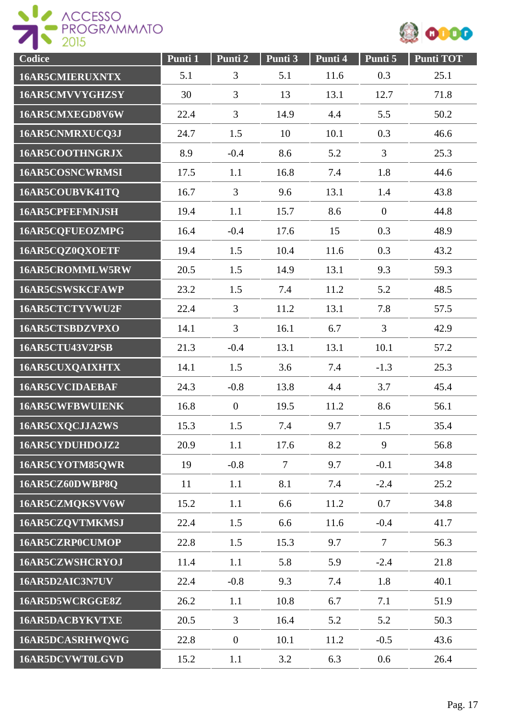

| Codice                 | Punti 1 | Punti 2          | Punti 3        | Punti 4 | Punti 5          | <b>Punti TOT</b> |
|------------------------|---------|------------------|----------------|---------|------------------|------------------|
| <b>16AR5CMIERUXNTX</b> | 5.1     | 3                | 5.1            | 11.6    | 0.3              | 25.1             |
| 16AR5CMVVYGHZSY        | 30      | 3                | 13             | 13.1    | 12.7             | 71.8             |
| 16AR5CMXEGD8V6W        | 22.4    | 3                | 14.9           | 4.4     | 5.5              | 50.2             |
| 16AR5CNMRXUCQ3J        | 24.7    | 1.5              | 10             | 10.1    | 0.3              | 46.6             |
| 16AR5COOTHNGRJX        | 8.9     | $-0.4$           | 8.6            | 5.2     | 3                | 25.3             |
| 16AR5COSNCWRMSI        | 17.5    | 1.1              | 16.8           | 7.4     | 1.8              | 44.6             |
| 16AR5COUBVK41TQ        | 16.7    | 3                | 9.6            | 13.1    | 1.4              | 43.8             |
| <b>16AR5CPFEFMNJSH</b> | 19.4    | 1.1              | 15.7           | 8.6     | $\boldsymbol{0}$ | 44.8             |
| 16AR5CQFUEOZMPG        | 16.4    | $-0.4$           | 17.6           | 15      | 0.3              | 48.9             |
| 16AR5CQZ0QXOETF        | 19.4    | 1.5              | 10.4           | 11.6    | 0.3              | 43.2             |
| 16AR5CROMMLW5RW        | 20.5    | 1.5              | 14.9           | 13.1    | 9.3              | 59.3             |
| <b>16AR5CSWSKCFAWP</b> | 23.2    | 1.5              | 7.4            | 11.2    | 5.2              | 48.5             |
| 16AR5CTCTYVWU2F        | 22.4    | 3                | 11.2           | 13.1    | 7.8              | 57.5             |
| 16AR5CTSBDZVPXO        | 14.1    | 3                | 16.1           | 6.7     | $\overline{3}$   | 42.9             |
| 16AR5CTU43V2PSB        | 21.3    | $-0.4$           | 13.1           | 13.1    | 10.1             | 57.2             |
| 16AR5CUXQAIXHTX        | 14.1    | 1.5              | 3.6            | 7.4     | $-1.3$           | 25.3             |
| <b>16AR5CVCIDAEBAF</b> | 24.3    | $-0.8$           | 13.8           | 4.4     | 3.7              | 45.4             |
| <b>16AR5CWFBWUIENK</b> | 16.8    | $\boldsymbol{0}$ | 19.5           | 11.2    | 8.6              | 56.1             |
| 16AR5CXQCJJA2WS        | 15.3    | 1.5              | 7.4            | 9.7     | 1.5              | 35.4             |
| 16AR5CYDUHDOJZ2        | 20.9    | 1.1              | 17.6           | 8.2     | 9                | 56.8             |
| 16AR5CYOTM85QWR        | 19      | $-0.8$           | $\overline{7}$ | 9.7     | $-0.1$           | 34.8             |
| 16AR5CZ60DWBP8Q        | 11      | 1.1              | 8.1            | 7.4     | $-2.4$           | 25.2             |
| 16AR5CZMQKSVV6W        | 15.2    | 1.1              | 6.6            | 11.2    | 0.7              | 34.8             |
| 16AR5CZQVTMKMSJ        | 22.4    | 1.5              | 6.6            | 11.6    | $-0.4$           | 41.7             |
| 16AR5CZRP0CUMOP        | 22.8    | 1.5              | 15.3           | 9.7     | $\tau$           | 56.3             |
| 16AR5CZWSHCRYOJ        | 11.4    | 1.1              | 5.8            | 5.9     | $-2.4$           | 21.8             |
| 16AR5D2AIC3N7UV        | 22.4    | $-0.8$           | 9.3            | 7.4     | 1.8              | 40.1             |
| 16AR5D5WCRGGE8Z        | 26.2    | 1.1              | 10.8           | 6.7     | 7.1              | 51.9             |
| <b>16AR5DACBYKVTXE</b> | 20.5    | 3                | 16.4           | 5.2     | 5.2              | 50.3             |
| 16AR5DCASRHWQWG        | 22.8    | $\boldsymbol{0}$ | 10.1           | 11.2    | $-0.5$           | 43.6             |
| 16AR5DCVWT0LGVD        | 15.2    | 1.1              | 3.2            | 6.3     | 0.6              | 26.4             |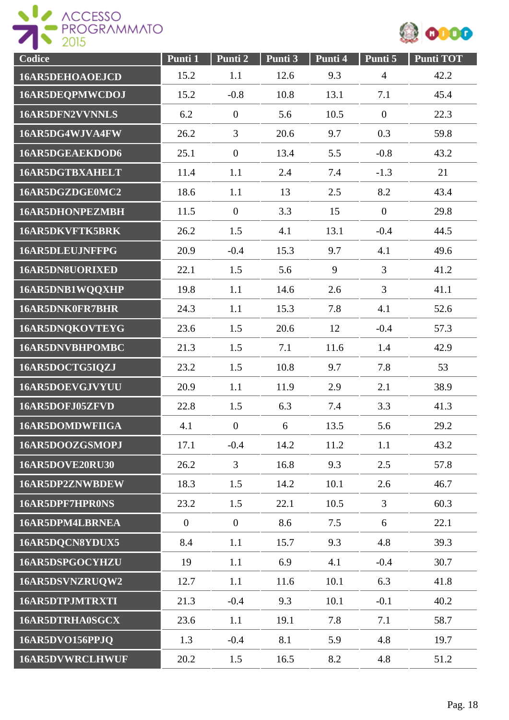

| Codice                 | Punti 1        | Punti 2        | Punti 3 | Punti 4 | Punti 5        | <b>Punti TOT</b> |
|------------------------|----------------|----------------|---------|---------|----------------|------------------|
| 16AR5DEHOAOEJCD        | 15.2           | 1.1            | 12.6    | 9.3     | $\overline{4}$ | 42.2             |
| 16AR5DEQPMWCDOJ        | 15.2           | $-0.8$         | 10.8    | 13.1    | 7.1            | 45.4             |
| 16AR5DFN2VVNNLS        | 6.2            | $\overline{0}$ | 5.6     | 10.5    | $\overline{0}$ | 22.3             |
| 16AR5DG4WJVA4FW        | 26.2           | 3              | 20.6    | 9.7     | 0.3            | 59.8             |
| 16AR5DGEAEKDOD6        | 25.1           | $\overline{0}$ | 13.4    | 5.5     | $-0.8$         | 43.2             |
| <b>16AR5DGTBXAHELT</b> | 11.4           | 1.1            | 2.4     | 7.4     | $-1.3$         | 21               |
| 16AR5DGZDGE0MC2        | 18.6           | 1.1            | 13      | 2.5     | 8.2            | 43.4             |
| <b>16AR5DHONPEZMBH</b> | 11.5           | $\overline{0}$ | 3.3     | 15      | $\overline{0}$ | 29.8             |
| <b>16AR5DKVFTK5BRK</b> | 26.2           | 1.5            | 4.1     | 13.1    | $-0.4$         | 44.5             |
| 16AR5DLEUJNFFPG        | 20.9           | $-0.4$         | 15.3    | 9.7     | 4.1            | 49.6             |
| 16AR5DN8UORIXED        | 22.1           | 1.5            | 5.6     | 9       | 3              | 41.2             |
| 16AR5DNB1WQQXHP        | 19.8           | 1.1            | 14.6    | 2.6     | 3              | 41.1             |
| 16AR5DNK0FR7BHR        | 24.3           | 1.1            | 15.3    | 7.8     | 4.1            | 52.6             |
| 16AR5DNQKOVTEYG        | 23.6           | 1.5            | 20.6    | 12      | $-0.4$         | 57.3             |
| <b>16AR5DNVBHPOMBC</b> | 21.3           | 1.5            | 7.1     | 11.6    | 1.4            | 42.9             |
| 16AR5DOCTG5IQZJ        | 23.2           | 1.5            | 10.8    | 9.7     | 7.8            | 53               |
| 16AR5DOEVGJVYUU        | 20.9           | 1.1            | 11.9    | 2.9     | 2.1            | 38.9             |
| 16AR5DOFJ05ZFVD        | 22.8           | 1.5            | 6.3     | 7.4     | 3.3            | 41.3             |
| <b>16AR5DOMDWFIIGA</b> | 4.1            | $\overline{0}$ | 6       | 13.5    | 5.6            | 29.2             |
| 16AR5DOOZGSMOPJ        | 17.1           | $-0.4$         | 14.2    | 11.2    | 1.1            | 43.2             |
| 16AR5DOVE20RU30        | 26.2           | $\mathfrak{Z}$ | 16.8    | 9.3     | 2.5            | 57.8             |
| 16AR5DP2ZNWBDEW        | 18.3           | 1.5            | 14.2    | 10.1    | 2.6            | 46.7             |
| 16AR5DPF7HPR0NS        | 23.2           | 1.5            | 22.1    | 10.5    | $\overline{3}$ | 60.3             |
| 16AR5DPM4LBRNEA        | $\overline{0}$ | $\overline{0}$ | 8.6     | 7.5     | 6              | 22.1             |
| 16AR5DQCN8YDUX5        | 8.4            | 1.1            | 15.7    | 9.3     | 4.8            | 39.3             |
| 16AR5DSPGOCYHZU        | 19             | 1.1            | 6.9     | 4.1     | $-0.4$         | 30.7             |
| 16AR5DSVNZRUQW2        | 12.7           | 1.1            | 11.6    | 10.1    | 6.3            | 41.8             |
| 16AR5DTPJMTRXTI        | 21.3           | $-0.4$         | 9.3     | 10.1    | $-0.1$         | 40.2             |
| 16AR5DTRHA0SGCX        | 23.6           | 1.1            | 19.1    | 7.8     | 7.1            | 58.7             |
| 16AR5DVO156PPJQ        | 1.3            | $-0.4$         | 8.1     | 5.9     | 4.8            | 19.7             |
| <b>16AR5DVWRCLHWUF</b> | 20.2           | 1.5            | 16.5    | 8.2     | 4.8            | 51.2             |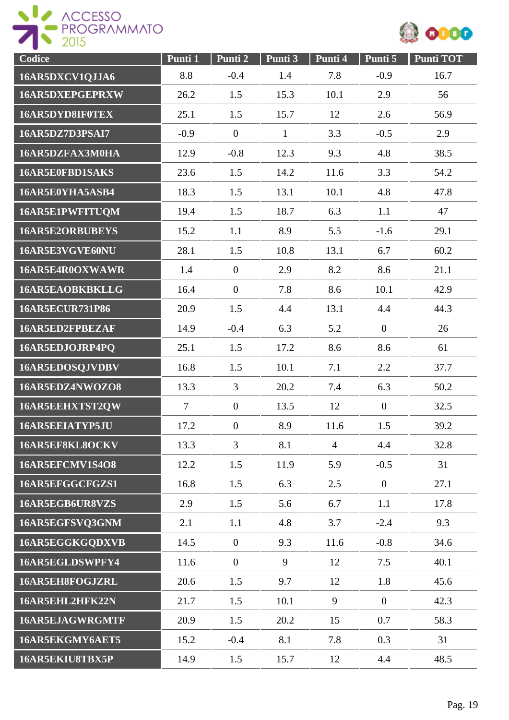



| Codice                 | Punti 1        | Punti 2          | Punti 3      | Punti 4        | Punti 5          | <b>Punti TOT</b> |
|------------------------|----------------|------------------|--------------|----------------|------------------|------------------|
| 16AR5DXCV1QJJA6        | 8.8            | $-0.4$           | 1.4          | 7.8            | $-0.9$           | 16.7             |
| 16AR5DXEPGEPRXW        | 26.2           | 1.5              | 15.3         | 10.1           | 2.9              | 56               |
| 16AR5DYD8IF0TEX        | 25.1           | 1.5              | 15.7         | 12             | 2.6              | 56.9             |
| 16AR5DZ7D3PSAI7        | $-0.9$         | $\boldsymbol{0}$ | $\mathbf{1}$ | 3.3            | $-0.5$           | 2.9              |
| 16AR5DZFAX3M0HA        | 12.9           | $-0.8$           | 12.3         | 9.3            | 4.8              | 38.5             |
| 16AR5E0FBD1SAKS        | 23.6           | 1.5              | 14.2         | 11.6           | 3.3              | 54.2             |
| 16AR5E0YHA5ASB4        | 18.3           | 1.5              | 13.1         | 10.1           | 4.8              | 47.8             |
| 16AR5E1PWFITUQM        | 19.4           | 1.5              | 18.7         | 6.3            | 1.1              | 47               |
| 16AR5E2ORBUBEYS        | 15.2           | 1.1              | 8.9          | 5.5            | $-1.6$           | 29.1             |
| 16AR5E3VGVE60NU        | 28.1           | 1.5              | 10.8         | 13.1           | 6.7              | 60.2             |
| 16AR5E4R0OXWAWR        | 1.4            | $\overline{0}$   | 2.9          | 8.2            | 8.6              | 21.1             |
| 16AR5EAOBKBKLLG        | 16.4           | $\overline{0}$   | 7.8          | 8.6            | 10.1             | 42.9             |
| <b>16AR5ECUR731P86</b> | 20.9           | 1.5              | 4.4          | 13.1           | 4.4              | 44.3             |
| 16AR5ED2FPBEZAF        | 14.9           | $-0.4$           | 6.3          | 5.2            | $\boldsymbol{0}$ | 26               |
| 16AR5EDJOJRP4PQ        | 25.1           | 1.5              | 17.2         | 8.6            | 8.6              | 61               |
| 16AR5EDOSQJVDBV        | 16.8           | 1.5              | 10.1         | 7.1            | 2.2              | 37.7             |
| 16AR5EDZ4NWOZO8        | 13.3           | 3                | 20.2         | 7.4            | 6.3              | 50.2             |
| 16AR5EEHXTST2QW        | $\overline{7}$ | $\overline{0}$   | 13.5         | 12             | $\overline{0}$   | 32.5             |
| 16AR5EEIATYP5JU        | 17.2           | $\boldsymbol{0}$ | 8.9          | 11.6           | 1.5              | 39.2             |
| 16AR5EF8KL8OCKV        | 13.3           | $\overline{3}$   | 8.1          | $\overline{4}$ | 4.4              | 32.8             |
| 16AR5EFCMV1S4O8        | 12.2           | 1.5              | 11.9         | 5.9            | $-0.5$           | 31               |
| 16AR5EFGGCFGZS1        | 16.8           | 1.5              | 6.3          | 2.5            | $\overline{0}$   | 27.1             |
| 16AR5EGB6UR8VZS        | 2.9            | 1.5              | 5.6          | 6.7            | 1.1              | 17.8             |
| 16AR5EGFSVQ3GNM        | 2.1            | 1.1              | 4.8          | 3.7            | $-2.4$           | 9.3              |
| 16AR5EGGKGQDXVB        | 14.5           | $\overline{0}$   | 9.3          | 11.6           | $-0.8$           | 34.6             |
| 16AR5EGLDSWPFY4        | 11.6           | $\overline{0}$   | 9            | 12             | 7.5              | 40.1             |
| 16AR5EH8FOGJZRL        | 20.6           | 1.5              | 9.7          | 12             | 1.8              | 45.6             |
| 16AR5EHL2HFK22N        | 21.7           | 1.5              | 10.1         | 9              | $\mathbf{0}$     | 42.3             |
| 16AR5EJAGWRGMTF        | 20.9           | 1.5              | 20.2         | 15             | 0.7              | 58.3             |
| 16AR5EKGMY6AET5        | 15.2           | $-0.4$           | 8.1          | 7.8            | 0.3              | 31               |
| 16AR5EKIU8TBX5P        | 14.9           | 1.5              | 15.7         | 12             | 4.4              | 48.5             |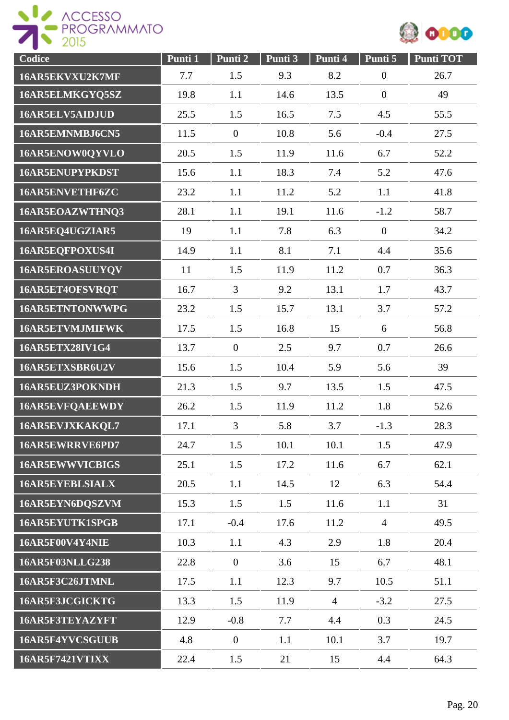



| Codice                 | Punti 1 | Punti 2          | Punti 3 | Punti 4        | Punti 5          | <b>Punti TOT</b> |
|------------------------|---------|------------------|---------|----------------|------------------|------------------|
| 16AR5EKVXU2K7MF        | 7.7     | 1.5              | 9.3     | 8.2            | $\boldsymbol{0}$ | 26.7             |
| 16AR5ELMKGYQ5SZ        | 19.8    | 1.1              | 14.6    | 13.5           | $\boldsymbol{0}$ | 49               |
| 16AR5ELV5AIDJUD        | 25.5    | 1.5              | 16.5    | 7.5            | 4.5              | 55.5             |
| 16AR5EMNMBJ6CN5        | 11.5    | $\mathbf{0}$     | 10.8    | 5.6            | $-0.4$           | 27.5             |
| 16AR5ENOW0QYVLO        | 20.5    | 1.5              | 11.9    | 11.6           | 6.7              | 52.2             |
| 16AR5ENUPYPKDST        | 15.6    | 1.1              | 18.3    | 7.4            | 5.2              | 47.6             |
| 16AR5ENVETHF6ZC        | 23.2    | 1.1              | 11.2    | 5.2            | 1.1              | 41.8             |
| 16AR5EOAZWTHNQ3        | 28.1    | 1.1              | 19.1    | 11.6           | $-1.2$           | 58.7             |
| 16AR5EQ4UGZIAR5        | 19      | 1.1              | 7.8     | 6.3            | $\overline{0}$   | 34.2             |
| 16AR5EQFPOXUS4I        | 14.9    | 1.1              | 8.1     | 7.1            | 4.4              | 35.6             |
| 16AR5EROASUUYQV        | 11      | 1.5              | 11.9    | 11.2           | 0.7              | 36.3             |
| 16AR5ET4OFSVRQT        | 16.7    | 3                | 9.2     | 13.1           | 1.7              | 43.7             |
| 16AR5ETNTONWWPG        | 23.2    | 1.5              | 15.7    | 13.1           | 3.7              | 57.2             |
| 16AR5ETVMJMIFWK        | 17.5    | 1.5              | 16.8    | 15             | 6                | 56.8             |
| 16AR5ETX28IV1G4        | 13.7    | $\mathbf{0}$     | 2.5     | 9.7            | 0.7              | 26.6             |
| 16AR5ETXSBR6U2V        | 15.6    | 1.5              | 10.4    | 5.9            | 5.6              | 39               |
| 16AR5EUZ3POKNDH        | 21.3    | 1.5              | 9.7     | 13.5           | 1.5              | 47.5             |
| 16AR5EVFQAEEWDY        | 26.2    | 1.5              | 11.9    | 11.2           | 1.8              | 52.6             |
| 16AR5EVJXKAKQL7        | 17.1    | 3                | 5.8     | 3.7            | $-1.3$           | 28.3             |
| 16AR5EWRRVE6PD7        | 24.7    | 1.5              | 10.1    | 10.1           | 1.5              | 47.9             |
| <b>16AR5EWWVICBIGS</b> | 25.1    | 1.5              | 17.2    | 11.6           | 6.7              | 62.1             |
| 16AR5EYEBLSIALX        | 20.5    | 1.1              | 14.5    | 12             | 6.3              | 54.4             |
| 16AR5EYN6DQSZVM        | 15.3    | 1.5              | 1.5     | 11.6           | 1.1              | 31               |
| 16AR5EYUTK1SPGB        | 17.1    | $-0.4$           | 17.6    | 11.2           | $\overline{4}$   | 49.5             |
| 16AR5F00V4Y4NIE        | 10.3    | 1.1              | 4.3     | 2.9            | 1.8              | 20.4             |
| <b>16AR5F03NLLG238</b> | 22.8    | $\overline{0}$   | 3.6     | 15             | 6.7              | 48.1             |
| 16AR5F3C26JTMNL        | 17.5    | 1.1              | 12.3    | 9.7            | 10.5             | 51.1             |
| 16AR5F3JCGICKTG        | 13.3    | 1.5              | 11.9    | $\overline{4}$ | $-3.2$           | 27.5             |
| 16AR5F3TEYAZYFT        | 12.9    | $-0.8$           | 7.7     | 4.4            | 0.3              | 24.5             |
| 16AR5F4YVCSGUUB        | 4.8     | $\boldsymbol{0}$ | 1.1     | 10.1           | 3.7              | 19.7             |
| <b>16AR5F7421VTIXX</b> | 22.4    | 1.5              | 21      | 15             | 4.4              | 64.3             |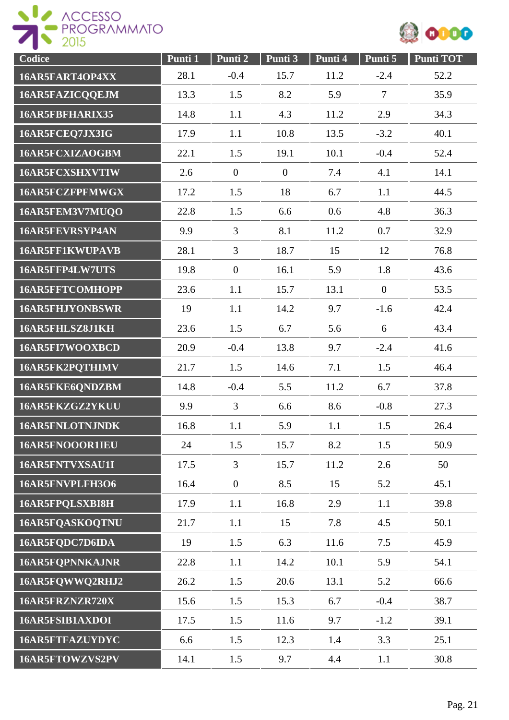



| Codice                 | Punti 1 | Punti 2          | Punti 3          | Punti 4 | Punti 5        | <b>Punti TOT</b> |
|------------------------|---------|------------------|------------------|---------|----------------|------------------|
| 16AR5FART4OP4XX        | 28.1    | $-0.4$           | 15.7             | 11.2    | $-2.4$         | 52.2             |
| 16AR5FAZICQQEJM        | 13.3    | 1.5              | 8.2              | 5.9     | $\overline{7}$ | 35.9             |
| 16AR5FBFHARIX35        | 14.8    | 1.1              | 4.3              | 11.2    | 2.9            | 34.3             |
| 16AR5FCEQ7JX3IG        | 17.9    | 1.1              | 10.8             | 13.5    | $-3.2$         | 40.1             |
| 16AR5FCXIZAOGBM        | 22.1    | 1.5              | 19.1             | 10.1    | $-0.4$         | 52.4             |
| 16AR5FCXSHXVTIW        | 2.6     | $\boldsymbol{0}$ | $\boldsymbol{0}$ | 7.4     | 4.1            | 14.1             |
| 16AR5FCZFPFMWGX        | 17.2    | 1.5              | 18               | 6.7     | 1.1            | 44.5             |
| 16AR5FEM3V7MUQO        | 22.8    | 1.5              | 6.6              | 0.6     | 4.8            | 36.3             |
| 16AR5FEVRSYP4AN        | 9.9     | $\overline{3}$   | 8.1              | 11.2    | 0.7            | 32.9             |
| 16AR5FF1KWUPAVB        | 28.1    | 3                | 18.7             | 15      | 12             | 76.8             |
| 16AR5FFP4LW7UTS        | 19.8    | $\overline{0}$   | 16.1             | 5.9     | 1.8            | 43.6             |
| <b>16AR5FFTCOMHOPP</b> | 23.6    | 1.1              | 15.7             | 13.1    | $\overline{0}$ | 53.5             |
| 16AR5FHJYONBSWR        | 19      | 1.1              | 14.2             | 9.7     | $-1.6$         | 42.4             |
| 16AR5FHLSZ8J1KH        | 23.6    | 1.5              | 6.7              | 5.6     | 6              | 43.4             |
| 16AR5FI7WOOXBCD        | 20.9    | $-0.4$           | 13.8             | 9.7     | $-2.4$         | 41.6             |
| 16AR5FK2PQTHIMV        | 21.7    | 1.5              | 14.6             | 7.1     | 1.5            | 46.4             |
| 16AR5FKE6QNDZBM        | 14.8    | $-0.4$           | 5.5              | 11.2    | 6.7            | 37.8             |
| 16AR5FKZGZ2YKUU        | 9.9     | 3                | 6.6              | 8.6     | $-0.8$         | 27.3             |
| 16AR5FNLOTNJNDK        | 16.8    | 1.1              | 5.9              | 1.1     | 1.5            | 26.4             |
| 16AR5FNOOOR1IEU        | 24      | 1.5              | 15.7             | 8.2     | 1.5            | 50.9             |
| 16AR5FNTVXSAU1I        | 17.5    | 3                | 15.7             | 11.2    | 2.6            | 50               |
| 16AR5FNVPLFH3O6        | 16.4    | $\boldsymbol{0}$ | 8.5              | 15      | 5.2            | 45.1             |
| 16AR5FPQLSXBI8H        | 17.9    | 1.1              | 16.8             | 2.9     | 1.1            | 39.8             |
| 16AR5FQASKOQTNU        | 21.7    | 1.1              | 15               | 7.8     | 4.5            | 50.1             |
| 16AR5FQDC7D6IDA        | 19      | 1.5              | 6.3              | 11.6    | 7.5            | 45.9             |
| 16AR5FQPNNKAJNR        | 22.8    | 1.1              | 14.2             | 10.1    | 5.9            | 54.1             |
| 16AR5FQWWQ2RHJ2        | 26.2    | 1.5              | 20.6             | 13.1    | 5.2            | 66.6             |
| 16AR5FRZNZR720X        | 15.6    | 1.5              | 15.3             | 6.7     | $-0.4$         | 38.7             |
| 16AR5FSIB1AXDOI        | 17.5    | 1.5              | 11.6             | 9.7     | $-1.2$         | 39.1             |
| 16AR5FTFAZUYDYC        | 6.6     | 1.5              | 12.3             | 1.4     | 3.3            | 25.1             |
| 16AR5FTOWZVS2PV        | 14.1    | 1.5              | 9.7              | 4.4     | 1.1            | 30.8             |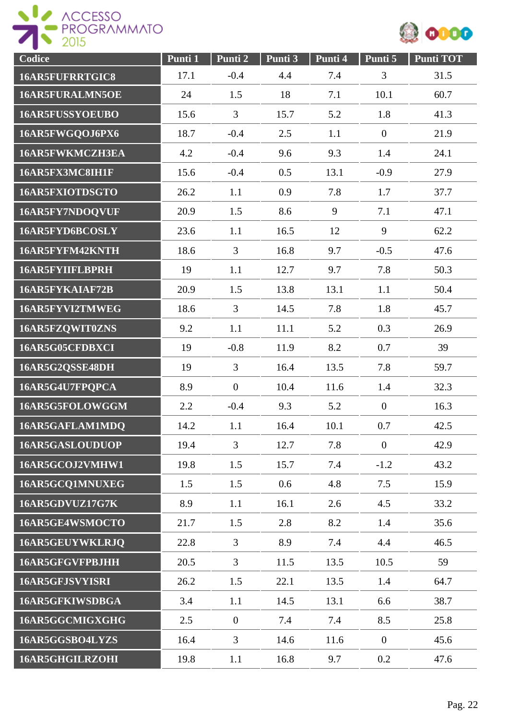

| Codice                 | Punti 1 | Punti 2          | Punti 3 | Punti 4 | Punti 5          | <b>Punti TOT</b> |
|------------------------|---------|------------------|---------|---------|------------------|------------------|
| <b>16AR5FUFRRTGIC8</b> | 17.1    | $-0.4$           | 4.4     | 7.4     | 3                | 31.5             |
| 16AR5FURALMN5OE        | 24      | 1.5              | 18      | 7.1     | 10.1             | 60.7             |
| <b>16AR5FUSSYOEUBO</b> | 15.6    | 3                | 15.7    | 5.2     | 1.8              | 41.3             |
| 16AR5FWGQOJ6PX6        | 18.7    | $-0.4$           | 2.5     | 1.1     | $\boldsymbol{0}$ | 21.9             |
| <b>16AR5FWKMCZH3EA</b> | 4.2     | $-0.4$           | 9.6     | 9.3     | 1.4              | 24.1             |
| 16AR5FX3MC8IH1F        | 15.6    | $-0.4$           | 0.5     | 13.1    | $-0.9$           | 27.9             |
| 16AR5FXIOTDSGTO        | 26.2    | 1.1              | 0.9     | 7.8     | 1.7              | 37.7             |
| 16AR5FY7NDOQVUF        | 20.9    | 1.5              | 8.6     | 9       | 7.1              | 47.1             |
| 16AR5FYD6BCOSLY        | 23.6    | 1.1              | 16.5    | 12      | 9                | 62.2             |
| 16AR5FYFM42KNTH        | 18.6    | $\overline{3}$   | 16.8    | 9.7     | $-0.5$           | 47.6             |
| <b>16AR5FYIIFLBPRH</b> | 19      | 1.1              | 12.7    | 9.7     | 7.8              | 50.3             |
| 16AR5FYKAIAF72B        | 20.9    | 1.5              | 13.8    | 13.1    | 1.1              | 50.4             |
| 16AR5FYVI2TMWEG        | 18.6    | $\overline{3}$   | 14.5    | 7.8     | 1.8              | 45.7             |
| 16AR5FZQWIT0ZNS        | 9.2     | 1.1              | 11.1    | 5.2     | 0.3              | 26.9             |
| 16AR5G05CFDBXCI        | 19      | $-0.8$           | 11.9    | 8.2     | 0.7              | 39               |
| 16AR5G2QSSE48DH        | 19      | 3                | 16.4    | 13.5    | 7.8              | 59.7             |
| 16AR5G4U7FPQPCA        | 8.9     | $\boldsymbol{0}$ | 10.4    | 11.6    | 1.4              | 32.3             |
| 16AR5G5FOLOWGGM        | 2.2     | $-0.4$           | 9.3     | 5.2     | $\overline{0}$   | 16.3             |
| 16AR5GAFLAM1MDQ        | 14.2    | 1.1              | 16.4    | 10.1    | 0.7              | 42.5             |
| 16AR5GASLOUDUOP        | 19.4    | $\overline{3}$   | 12.7    | 7.8     | $\overline{0}$   | 42.9             |
| 16AR5GCOJ2VMHW1        | 19.8    | 1.5              | 15.7    | 7.4     | $-1.2$           | 43.2             |
| 16AR5GCQ1MNUXEG        | 1.5     | 1.5              | 0.6     | 4.8     | 7.5              | 15.9             |
| 16AR5GDVUZ17G7K        | 8.9     | 1.1              | 16.1    | 2.6     | 4.5              | 33.2             |
| 16AR5GE4WSMOCTO        | 21.7    | 1.5              | 2.8     | 8.2     | 1.4              | 35.6             |
| 16AR5GEUYWKLRJQ        | 22.8    | $\overline{3}$   | 8.9     | 7.4     | 4.4              | 46.5             |
| 16AR5GFGVFPBJHH        | 20.5    | $\overline{3}$   | 11.5    | 13.5    | 10.5             | 59               |
| 16AR5GFJSVYISRI        | 26.2    | 1.5              | 22.1    | 13.5    | 1.4              | 64.7             |
| 16AR5GFKIWSDBGA        | 3.4     | 1.1              | 14.5    | 13.1    | 6.6              | 38.7             |
| 16AR5GGCMIGXGHG        | 2.5     | $\overline{0}$   | 7.4     | 7.4     | 8.5              | 25.8             |
| 16AR5GGSBO4LYZS        | 16.4    | 3                | 14.6    | 11.6    | $\overline{0}$   | 45.6             |
| 16AR5GHGILRZOHI        | 19.8    | 1.1              | 16.8    | 9.7     | 0.2              | 47.6             |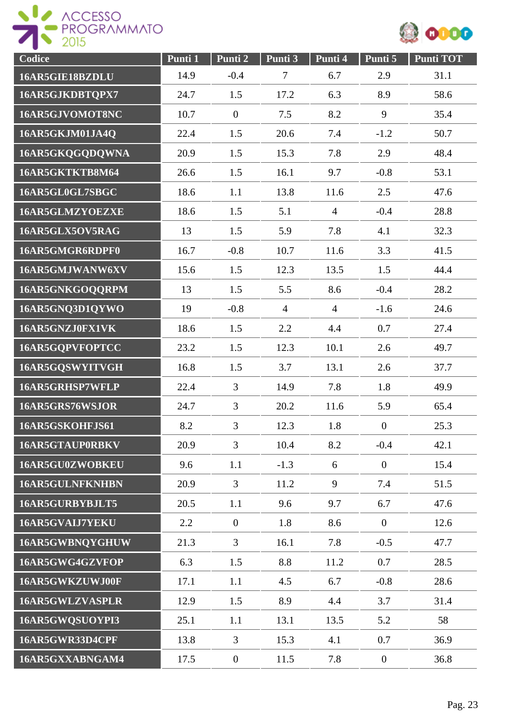



| Codice                 | Punti 1 | Punti 2          | Punti 3        | Punti 4        | Punti 5          | <b>Punti TOT</b> |
|------------------------|---------|------------------|----------------|----------------|------------------|------------------|
| 16AR5GIE18BZDLU        | 14.9    | $-0.4$           | $\overline{7}$ | 6.7            | 2.9              | 31.1             |
| 16AR5GJKDBTQPX7        | 24.7    | 1.5              | 17.2           | 6.3            | 8.9              | 58.6             |
| 16AR5GJVOMOT8NC        | 10.7    | $\overline{0}$   | 7.5            | 8.2            | 9                | 35.4             |
| 16AR5GKJM01JA4Q        | 22.4    | 1.5              | 20.6           | 7.4            | $-1.2$           | 50.7             |
| 16AR5GKQGQDQWNA        | 20.9    | 1.5              | 15.3           | 7.8            | 2.9              | 48.4             |
| 16AR5GKTKTB8M64        | 26.6    | 1.5              | 16.1           | 9.7            | $-0.8$           | 53.1             |
| 16AR5GL0GL7SBGC        | 18.6    | 1.1              | 13.8           | 11.6           | 2.5              | 47.6             |
| 16AR5GLMZYOEZXE        | 18.6    | 1.5              | 5.1            | $\overline{4}$ | $-0.4$           | 28.8             |
| 16AR5GLX5OV5RAG        | 13      | 1.5              | 5.9            | 7.8            | 4.1              | 32.3             |
| 16AR5GMGR6RDPF0        | 16.7    | $-0.8$           | 10.7           | 11.6           | 3.3              | 41.5             |
| 16AR5GMJWANW6XV        | 15.6    | 1.5              | 12.3           | 13.5           | 1.5              | 44.4             |
| 16AR5GNKGOQQRPM        | 13      | 1.5              | 5.5            | 8.6            | $-0.4$           | 28.2             |
| 16AR5GNQ3D1QYWO        | 19      | $-0.8$           | $\overline{4}$ | $\overline{4}$ | $-1.6$           | 24.6             |
| 16AR5GNZJ0FX1VK        | 18.6    | 1.5              | 2.2            | 4.4            | 0.7              | 27.4             |
| 16AR5GQPVFOPTCC        | 23.2    | 1.5              | 12.3           | 10.1           | 2.6              | 49.7             |
| 16AR5GQSWYITVGH        | 16.8    | 1.5              | 3.7            | 13.1           | 2.6              | 37.7             |
| 16AR5GRHSP7WFLP        | 22.4    | 3                | 14.9           | 7.8            | 1.8              | 49.9             |
| 16AR5GRS76WSJOR        | 24.7    | 3                | 20.2           | 11.6           | 5.9              | 65.4             |
| 16AR5GSKOHFJS61        | 8.2     | 3                | 12.3           | 1.8            | $\boldsymbol{0}$ | 25.3             |
| 16AR5GTAUP0RBKV        | 20.9    | 3                | 10.4           | 8.2            | $-0.4$           | 42.1             |
| 16AR5GU0ZWOBKEU        | 9.6     | 1.1              | $-1.3$         | 6              | $\boldsymbol{0}$ | 15.4             |
| <b>16AR5GULNFKNHBN</b> | 20.9    | 3                | 11.2           | 9              | 7.4              | 51.5             |
| 16AR5GURBYBJLT5        | 20.5    | 1.1              | 9.6            | 9.7            | 6.7              | 47.6             |
| 16AR5GVAIJ7YEKU        | 2.2     | $\boldsymbol{0}$ | 1.8            | 8.6            | $\boldsymbol{0}$ | 12.6             |
| 16AR5GWBNQYGHUW        | 21.3    | $\overline{3}$   | 16.1           | 7.8            | $-0.5$           | 47.7             |
| 16AR5GWG4GZVFOP        | 6.3     | 1.5              | 8.8            | 11.2           | 0.7              | 28.5             |
| 16AR5GWKZUWJ00F        | 17.1    | 1.1              | 4.5            | 6.7            | $-0.8$           | 28.6             |
| 16AR5GWLZVASPLR        | 12.9    | 1.5              | 8.9            | 4.4            | 3.7              | 31.4             |
| 16AR5GWQSUOYPI3        | 25.1    | 1.1              | 13.1           | 13.5           | 5.2              | 58               |
| 16AR5GWR33D4CPF        | 13.8    | 3                | 15.3           | 4.1            | 0.7              | 36.9             |
| 16AR5GXXABNGAM4        | 17.5    | $\mathbf{0}$     | 11.5           | 7.8            | $\boldsymbol{0}$ | 36.8             |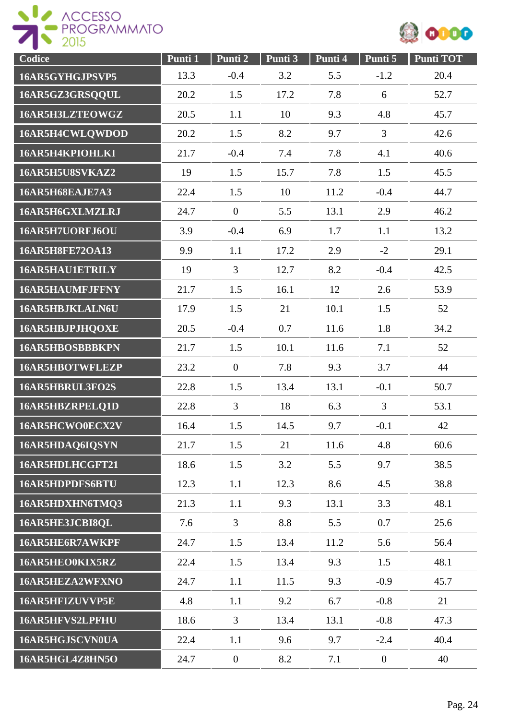



| Codice          | Punti 1 | Punti 2        | Punti 3 | Punti 4 | Punti 5          | <b>Punti TOT</b> |
|-----------------|---------|----------------|---------|---------|------------------|------------------|
| 16AR5GYHGJPSVP5 | 13.3    | $-0.4$         | 3.2     | 5.5     | $-1.2$           | 20.4             |
| 16AR5GZ3GRSQQUL | 20.2    | 1.5            | 17.2    | 7.8     | 6                | 52.7             |
| 16AR5H3LZTEOWGZ | 20.5    | 1.1            | 10      | 9.3     | 4.8              | 45.7             |
| 16AR5H4CWLQWDOD | 20.2    | 1.5            | 8.2     | 9.7     | $\overline{3}$   | 42.6             |
| 16AR5H4KPIOHLKI | 21.7    | $-0.4$         | 7.4     | 7.8     | 4.1              | 40.6             |
| 16AR5H5U8SVKAZ2 | 19      | 1.5            | 15.7    | 7.8     | 1.5              | 45.5             |
| 16AR5H68EAJE7A3 | 22.4    | 1.5            | 10      | 11.2    | $-0.4$           | 44.7             |
| 16AR5H6GXLMZLRJ | 24.7    | $\overline{0}$ | 5.5     | 13.1    | 2.9              | 46.2             |
| 16AR5H7UORFJ6OU | 3.9     | $-0.4$         | 6.9     | 1.7     | 1.1              | 13.2             |
| 16AR5H8FE72OA13 | 9.9     | 1.1            | 17.2    | 2.9     | $-2$             | 29.1             |
| 16AR5HAU1ETRILY | 19      | $\overline{3}$ | 12.7    | 8.2     | $-0.4$           | 42.5             |
| 16AR5HAUMFJFFNY | 21.7    | 1.5            | 16.1    | 12      | 2.6              | 53.9             |
| 16AR5HBJKLALN6U | 17.9    | 1.5            | 21      | 10.1    | 1.5              | 52               |
| 16AR5HBJPJHQOXE | 20.5    | $-0.4$         | 0.7     | 11.6    | 1.8              | 34.2             |
| 16AR5HBOSBBBKPN | 21.7    | 1.5            | 10.1    | 11.6    | 7.1              | 52               |
| 16AR5HBOTWFLEZP | 23.2    | $\overline{0}$ | 7.8     | 9.3     | 3.7              | 44               |
| 16AR5HBRUL3FO2S | 22.8    | 1.5            | 13.4    | 13.1    | $-0.1$           | 50.7             |
| 16AR5HBZRPELQ1D | 22.8    | $\overline{3}$ | 18      | 6.3     | $\overline{3}$   | 53.1             |
| 16AR5HCWO0ECX2V | 16.4    | 1.5            | 14.5    | 9.7     | $-0.1$           | 42               |
| 16AR5HDAQ6IQSYN | 21.7    | 1.5            | 21      | 11.6    | 4.8              | 60.6             |
| 16AR5HDLHCGFT21 | 18.6    | 1.5            | 3.2     | 5.5     | 9.7              | 38.5             |
| 16AR5HDPDFS6BTU | 12.3    | 1.1            | 12.3    | 8.6     | 4.5              | 38.8             |
| 16AR5HDXHN6TMQ3 | 21.3    | 1.1            | 9.3     | 13.1    | 3.3              | 48.1             |
| 16AR5HE3JCBI8QL | 7.6     | 3              | 8.8     | 5.5     | 0.7              | 25.6             |
| 16AR5HE6R7AWKPF | 24.7    | 1.5            | 13.4    | 11.2    | 5.6              | 56.4             |
| 16AR5HEO0KIX5RZ | 22.4    | 1.5            | 13.4    | 9.3     | 1.5              | 48.1             |
| 16AR5HEZA2WFXNO | 24.7    | 1.1            | 11.5    | 9.3     | $-0.9$           | 45.7             |
| 16AR5HFIZUVVP5E | 4.8     | 1.1            | 9.2     | 6.7     | $-0.8$           | 21               |
| 16AR5HFVS2LPFHU | 18.6    | 3              | 13.4    | 13.1    | $-0.8$           | 47.3             |
| 16AR5HGJSCVN0UA | 22.4    | 1.1            | 9.6     | 9.7     | $-2.4$           | 40.4             |
| 16AR5HGL4Z8HN5O | 24.7    | $\mathbf{0}$   | 8.2     | 7.1     | $\boldsymbol{0}$ | 40               |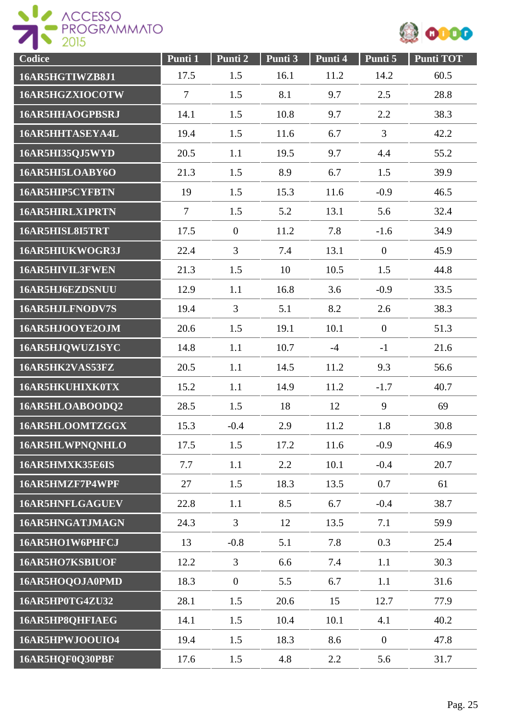



| Codice                 | Punti 1        | Punti 2        | Punti 3 | Punti 4 | Punti 5          | <b>Punti TOT</b> |
|------------------------|----------------|----------------|---------|---------|------------------|------------------|
| 16AR5HGTIWZB8J1        | 17.5           | 1.5            | 16.1    | 11.2    | 14.2             | 60.5             |
| 16AR5HGZXIOCOTW        | $\overline{7}$ | 1.5            | 8.1     | 9.7     | 2.5              | 28.8             |
| <b>16AR5HHAOGPBSRJ</b> | 14.1           | 1.5            | 10.8    | 9.7     | 2.2              | 38.3             |
| 16AR5HHTASEYA4L        | 19.4           | 1.5            | 11.6    | 6.7     | $\mathfrak{Z}$   | 42.2             |
| 16AR5HI35QJ5WYD        | 20.5           | 1.1            | 19.5    | 9.7     | 4.4              | 55.2             |
| 16AR5HI5LOABY6O        | 21.3           | 1.5            | 8.9     | 6.7     | 1.5              | 39.9             |
| 16AR5HIP5CYFBTN        | 19             | 1.5            | 15.3    | 11.6    | $-0.9$           | 46.5             |
| 16AR5HIRLX1PRTN        | $\overline{7}$ | 1.5            | 5.2     | 13.1    | 5.6              | 32.4             |
| 16AR5HISL8I5TRT        | 17.5           | $\overline{0}$ | 11.2    | 7.8     | $-1.6$           | 34.9             |
| 16AR5HIUKWOGR3J        | 22.4           | $\overline{3}$ | 7.4     | 13.1    | $\overline{0}$   | 45.9             |
| 16AR5HIVIL3FWEN        | 21.3           | 1.5            | 10      | 10.5    | 1.5              | 44.8             |
| 16AR5HJ6EZDSNUU        | 12.9           | 1.1            | 16.8    | 3.6     | $-0.9$           | 33.5             |
| 16AR5HJLFNODV7S        | 19.4           | $\overline{3}$ | 5.1     | 8.2     | 2.6              | 38.3             |
| 16AR5HJOOYE2OJM        | 20.6           | 1.5            | 19.1    | 10.1    | $\boldsymbol{0}$ | 51.3             |
| 16AR5HJQWUZ1SYC        | 14.8           | 1.1            | 10.7    | $-4$    | $-1$             | 21.6             |
| 16AR5HK2VAS53FZ        | 20.5           | 1.1            | 14.5    | 11.2    | 9.3              | 56.6             |
| 16AR5HKUHIXK0TX        | 15.2           | 1.1            | 14.9    | 11.2    | $-1.7$           | 40.7             |
| 16AR5HLOABOODQ2        | 28.5           | 1.5            | 18      | 12      | 9                | 69               |
| 16AR5HLOOMTZGGX        | 15.3           | $-0.4$         | 2.9     | 11.2    | 1.8              | 30.8             |
| 16AR5HLWPNQNHLO        | 17.5           | 1.5            | 17.2    | 11.6    | $-0.9$           | 46.9             |
| 16AR5HMXK35E6IS        | 7.7            | 1.1            | 2.2     | 10.1    | $-0.4$           | 20.7             |
| 16AR5HMZF7P4WPF        | 27             | 1.5            | 18.3    | 13.5    | 0.7              | 61               |
| <b>16AR5HNFLGAGUEV</b> | 22.8           | 1.1            | 8.5     | 6.7     | $-0.4$           | 38.7             |
| 16AR5HNGATJMAGN        | 24.3           | $\overline{3}$ | 12      | 13.5    | 7.1              | 59.9             |
| 16AR5HO1W6PHFCJ        | 13             | $-0.8$         | 5.1     | 7.8     | 0.3              | 25.4             |
| 16AR5HO7KSBIUOF        | 12.2           | 3              | 6.6     | 7.4     | 1.1              | 30.3             |
| 16AR5HOQOJA0PMD        | 18.3           | $\overline{0}$ | 5.5     | 6.7     | 1.1              | 31.6             |
| 16AR5HP0TG4ZU32        | 28.1           | 1.5            | 20.6    | 15      | 12.7             | 77.9             |
| 16AR5HP8QHFIAEG        | 14.1           | 1.5            | 10.4    | 10.1    | 4.1              | 40.2             |
| 16AR5HPWJOOUIO4        | 19.4           | 1.5            | 18.3    | 8.6     | $\overline{0}$   | 47.8             |
| 16AR5HQF0Q30PBF        | 17.6           | 1.5            | 4.8     | 2.2     | 5.6              | 31.7             |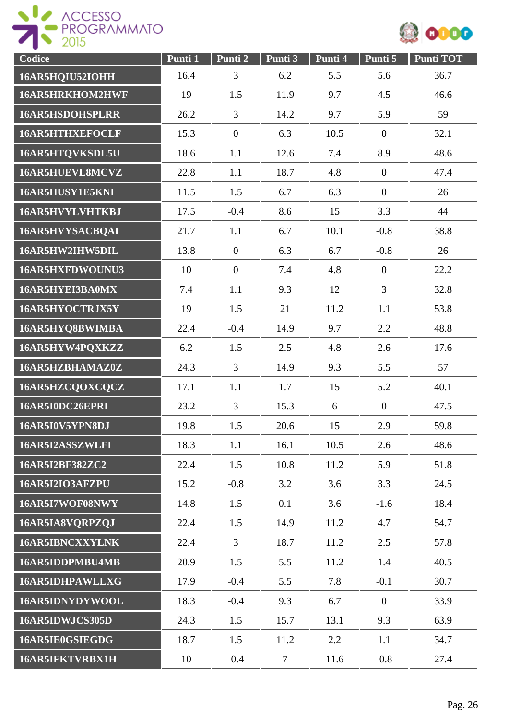

| Codice                 | Punti 1 | Punti <sub>2</sub> | Punti 3         | Punti 4 | Punti 5          | <b>Punti TOT</b> |
|------------------------|---------|--------------------|-----------------|---------|------------------|------------------|
| 16AR5HQIU52IOHH        | 16.4    | 3                  | 6.2             | 5.5     | 5.6              | 36.7             |
| 16AR5HRKHOM2HWF        | 19      | 1.5                | 11.9            | 9.7     | 4.5              | 46.6             |
| <b>16AR5HSDOHSPLRR</b> | 26.2    | 3                  | 14.2            | 9.7     | 5.9              | 59               |
| <b>16AR5HTHXEFOCLF</b> | 15.3    | $\overline{0}$     | 6.3             | 10.5    | $\boldsymbol{0}$ | 32.1             |
| 16AR5HTQVKSDL5U        | 18.6    | 1.1                | 12.6            | 7.4     | 8.9              | 48.6             |
| 16AR5HUEVL8MCVZ        | 22.8    | 1.1                | 18.7            | 4.8     | $\boldsymbol{0}$ | 47.4             |
| 16AR5HUSY1E5KNI        | 11.5    | 1.5                | 6.7             | 6.3     | $\boldsymbol{0}$ | 26               |
| 16AR5HVYLVHTKBJ        | 17.5    | $-0.4$             | 8.6             | 15      | 3.3              | 44               |
| 16AR5HVYSACBQAI        | 21.7    | 1.1                | 6.7             | 10.1    | $-0.8$           | 38.8             |
| 16AR5HW2IHW5DIL        | 13.8    | $\overline{0}$     | 6.3             | 6.7     | $-0.8$           | 26               |
| 16AR5HXFDWOUNU3        | 10      | $\overline{0}$     | 7.4             | 4.8     | $\overline{0}$   | 22.2             |
| 16AR5HYEI3BA0MX        | 7.4     | 1.1                | 9.3             | 12      | $\overline{3}$   | 32.8             |
| 16AR5HYOCTRJX5Y        | 19      | 1.5                | 21              | 11.2    | 1.1              | 53.8             |
| 16AR5HYQ8BWIMBA        | 22.4    | $-0.4$             | 14.9            | 9.7     | 2.2              | 48.8             |
| 16AR5HYW4PQXKZZ        | 6.2     | 1.5                | 2.5             | 4.8     | 2.6              | 17.6             |
| 16AR5HZBHAMAZ0Z        | 24.3    | $\overline{3}$     | 14.9            | 9.3     | 5.5              | 57               |
| 16AR5HZCQOXCQCZ        | 17.1    | 1.1                | 1.7             | 15      | 5.2              | 40.1             |
| 16AR5I0DC26EPRI        | 23.2    | $\overline{3}$     | 15.3            | 6       | $\overline{0}$   | 47.5             |
| 16AR5I0V5YPN8DJ        | 19.8    | 1.5                | 20.6            | 15      | 2.9              | 59.8             |
| 16AR5I2ASSZWLFI        | 18.3    | 1.1                | 16.1            | 10.5    | 2.6              | 48.6             |
| 16AR5I2BF382ZC2        | 22.4    | 1.5                | 10.8            | 11.2    | 5.9              | 51.8             |
| 16AR5I2IO3AFZPU        | 15.2    | $-0.8$             | 3.2             | 3.6     | 3.3              | 24.5             |
| 16AR5I7WOF08NWY        | 14.8    | 1.5                | 0.1             | 3.6     | $-1.6$           | 18.4             |
| 16AR5IA8VQRPZQJ        | 22.4    | 1.5                | 14.9            | 11.2    | 4.7              | 54.7             |
| <b>16AR5IBNCXXYLNK</b> | 22.4    | 3                  | 18.7            | 11.2    | 2.5              | 57.8             |
| 16AR5IDDPMBU4MB        | 20.9    | 1.5                | 5.5             | 11.2    | 1.4              | 40.5             |
| 16AR5IDHPAWLLXG        | 17.9    | $-0.4$             | 5.5             | 7.8     | $-0.1$           | 30.7             |
| 16AR5IDNYDYWOOL        | 18.3    | $-0.4$             | 9.3             | 6.7     | $\mathbf{0}$     | 33.9             |
| 16AR5IDWJCS305D        | 24.3    | 1.5                | 15.7            | 13.1    | 9.3              | 63.9             |
| 16AR5IE0GSIEGDG        | 18.7    | 1.5                | 11.2            | 2.2     | 1.1              | 34.7             |
| <b>16AR5IFKTVRBX1H</b> | 10      | $-0.4$             | $7\phantom{.0}$ | 11.6    | $-0.8$           | 27.4             |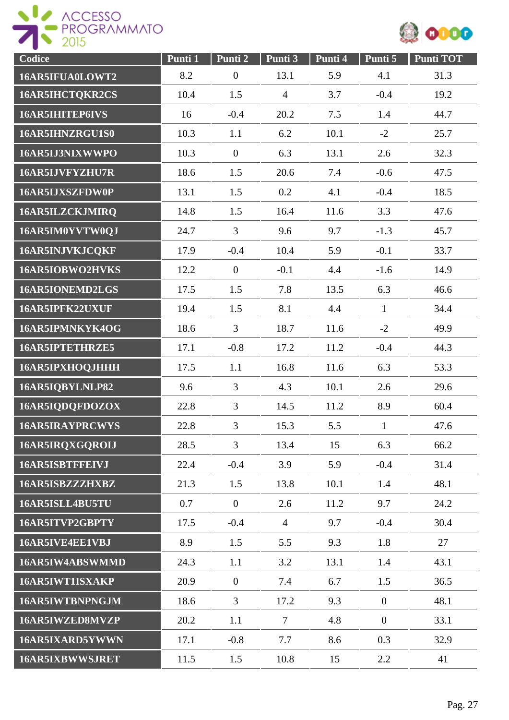



| Codice                 | Punti 1 | Punti 2          | Punti 3        | Punti 4 | Punti 5          | <b>Punti TOT</b> |
|------------------------|---------|------------------|----------------|---------|------------------|------------------|
| 16AR5IFUA0LOWT2        | 8.2     | $\boldsymbol{0}$ | 13.1           | 5.9     | 4.1              | 31.3             |
| 16AR5IHCTQKR2CS        | 10.4    | 1.5              | $\overline{4}$ | 3.7     | $-0.4$           | 19.2             |
| 16AR5IHITEP6IVS        | 16      | $-0.4$           | 20.2           | 7.5     | 1.4              | 44.7             |
| 16AR5IHNZRGU1S0        | 10.3    | 1.1              | 6.2            | 10.1    | $-2$             | 25.7             |
| 16AR5IJ3NIXWWPO        | 10.3    | $\overline{0}$   | 6.3            | 13.1    | 2.6              | 32.3             |
| 16AR5IJVFYZHU7R        | 18.6    | 1.5              | 20.6           | 7.4     | $-0.6$           | 47.5             |
| 16AR5IJXSZFDW0P        | 13.1    | 1.5              | 0.2            | 4.1     | $-0.4$           | 18.5             |
| 16AR5ILZCKJMIRQ        | 14.8    | 1.5              | 16.4           | 11.6    | 3.3              | 47.6             |
| 16AR5IM0YVTW0QJ        | 24.7    | $\overline{3}$   | 9.6            | 9.7     | $-1.3$           | 45.7             |
| 16AR5INJVKJCQKF        | 17.9    | $-0.4$           | 10.4           | 5.9     | $-0.1$           | 33.7             |
| 16AR5IOBWO2HVKS        | 12.2    | $\overline{0}$   | $-0.1$         | 4.4     | $-1.6$           | 14.9             |
| 16AR5IONEMD2LGS        | 17.5    | 1.5              | 7.8            | 13.5    | 6.3              | 46.6             |
| 16AR5IPFK22UXUF        | 19.4    | 1.5              | 8.1            | 4.4     | $\mathbf{1}$     | 34.4             |
| 16AR5IPMNKYK4OG        | 18.6    | $\overline{3}$   | 18.7           | 11.6    | $-2$             | 49.9             |
| 16AR5IPTETHRZE5        | 17.1    | $-0.8$           | 17.2           | 11.2    | $-0.4$           | 44.3             |
| 16AR5IPXHOQJHHH        | 17.5    | 1.1              | 16.8           | 11.6    | 6.3              | 53.3             |
| 16AR5IQBYLNLP82        | 9.6     | 3                | 4.3            | 10.1    | 2.6              | 29.6             |
| 16AR5IQDQFDOZOX        | 22.8    | 3                | 14.5           | 11.2    | 8.9              | 60.4             |
| <b>16AR5IRAYPRCWYS</b> | 22.8    | 3                | 15.3           | 5.5     | $\mathbf{1}$     | 47.6             |
| 16AR5IRQXGQROIJ        | 28.5    | $\overline{3}$   | 13.4           | 15      | 6.3              | 66.2             |
| <b>16AR5ISBTFFEIVJ</b> | 22.4    | $-0.4$           | 3.9            | 5.9     | $-0.4$           | 31.4             |
| 16AR5ISBZZZHXBZ        | 21.3    | 1.5              | 13.8           | 10.1    | 1.4              | 48.1             |
| 16AR5ISLL4BU5TU        | 0.7     | $\overline{0}$   | 2.6            | 11.2    | 9.7              | 24.2             |
| 16AR5ITVP2GBPTY        | 17.5    | $-0.4$           | $\overline{4}$ | 9.7     | $-0.4$           | 30.4             |
| 16AR5IVE4EE1VBJ        | 8.9     | 1.5              | 5.5            | 9.3     | 1.8              | 27               |
| 16AR5IW4ABSWMMD        | 24.3    | 1.1              | 3.2            | 13.1    | 1.4              | 43.1             |
| 16AR5IWT1ISXAKP        | 20.9    | $\overline{0}$   | 7.4            | 6.7     | 1.5              | 36.5             |
| 16AR5IWTBNPNGJM        | 18.6    | 3                | 17.2           | 9.3     | $\overline{0}$   | 48.1             |
| 16AR5IWZED8MVZP        | 20.2    | 1.1              | $\tau$         | 4.8     | $\boldsymbol{0}$ | 33.1             |
| 16AR5IXARD5YWWN        | 17.1    | $-0.8$           | 7.7            | 8.6     | 0.3              | 32.9             |
| <b>16AR5IXBWWSJRET</b> | 11.5    | 1.5              | 10.8           | 15      | 2.2              | 41               |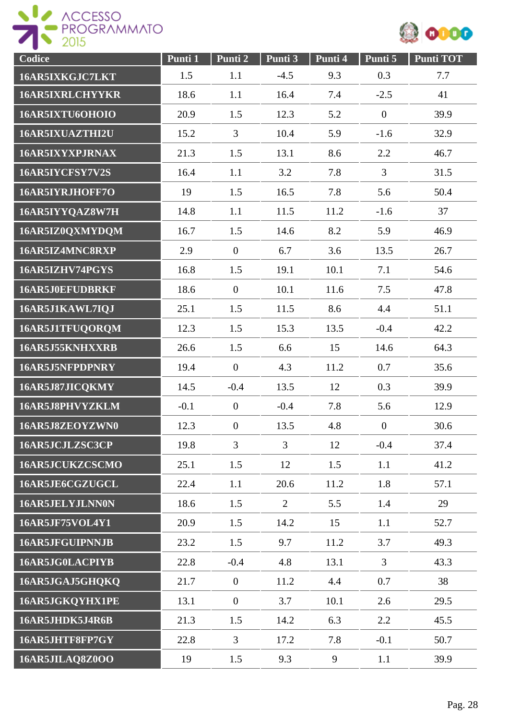



| Codice                 | Punti 1 | Punti 2          | Punti 3        | Punti 4 | Punti 5          | <b>Punti TOT</b> |
|------------------------|---------|------------------|----------------|---------|------------------|------------------|
| 16AR5IXKGJC7LKT        | 1.5     | 1.1              | $-4.5$         | 9.3     | 0.3              | 7.7              |
| <b>16AR5IXRLCHYYKR</b> | 18.6    | 1.1              | 16.4           | 7.4     | $-2.5$           | 41               |
| 16AR5IXTU6OHOIO        | 20.9    | 1.5              | 12.3           | 5.2     | $\mathbf{0}$     | 39.9             |
| 16AR5IXUAZTHI2U        | 15.2    | 3                | 10.4           | 5.9     | $-1.6$           | 32.9             |
| 16AR5IXYXPJRNAX        | 21.3    | 1.5              | 13.1           | 8.6     | 2.2              | 46.7             |
| 16AR5IYCFSY7V2S        | 16.4    | 1.1              | 3.2            | 7.8     | $\overline{3}$   | 31.5             |
| 16AR5IYRJHOFF7O        | 19      | 1.5              | 16.5           | 7.8     | 5.6              | 50.4             |
| 16AR5IYYQAZ8W7H        | 14.8    | 1.1              | 11.5           | 11.2    | $-1.6$           | 37               |
| 16AR5IZ0QXMYDQM        | 16.7    | 1.5              | 14.6           | 8.2     | 5.9              | 46.9             |
| 16AR5IZ4MNC8RXP        | 2.9     | $\overline{0}$   | 6.7            | 3.6     | 13.5             | 26.7             |
| 16AR5IZHV74PGYS        | 16.8    | 1.5              | 19.1           | 10.1    | 7.1              | 54.6             |
| 16AR5J0EFUDBRKF        | 18.6    | $\overline{0}$   | 10.1           | 11.6    | 7.5              | 47.8             |
| 16AR5J1KAWL7IQJ        | 25.1    | 1.5              | 11.5           | 8.6     | 4.4              | 51.1             |
| 16AR5J1TFUQORQM        | 12.3    | 1.5              | 15.3           | 13.5    | $-0.4$           | 42.2             |
| 16AR5J55KNHXXRB        | 26.6    | 1.5              | 6.6            | 15      | 14.6             | 64.3             |
| 16AR5J5NFPDPNRY        | 19.4    | $\overline{0}$   | 4.3            | 11.2    | 0.7              | 35.6             |
| 16AR5J87JICQKMY        | 14.5    | $-0.4$           | 13.5           | 12      | 0.3              | 39.9             |
| 16AR5J8PHVYZKLM        | $-0.1$  | $\overline{0}$   | $-0.4$         | 7.8     | 5.6              | 12.9             |
| 16AR5J8ZEOYZWN0        | 12.3    | $\boldsymbol{0}$ | 13.5           | 4.8     | $\boldsymbol{0}$ | 30.6             |
| 16AR5JCJLZSC3CP        | 19.8    | $\overline{3}$   | $\overline{3}$ | 12      | $-0.4$           | 37.4             |
| 16AR5JCUKZCSCMO        | 25.1    | 1.5              | 12             | 1.5     | 1.1              | 41.2             |
| 16AR5JE6CGZUGCL        | 22.4    | 1.1              | 20.6           | 11.2    | 1.8              | 57.1             |
| 16AR5JELYJLNN0N        | 18.6    | 1.5              | $\overline{2}$ | 5.5     | 1.4              | 29               |
| <b>16AR5JF75VOL4Y1</b> | 20.9    | 1.5              | 14.2           | 15      | 1.1              | 52.7             |
| <b>16AR5JFGUIPNNJB</b> | 23.2    | 1.5              | 9.7            | 11.2    | 3.7              | 49.3             |
| 16AR5JG0LACPIYB        | 22.8    | $-0.4$           | 4.8            | 13.1    | $\overline{3}$   | 43.3             |
| 16AR5JGAJ5GHQKQ        | 21.7    | $\overline{0}$   | 11.2           | 4.4     | 0.7              | 38               |
| 16AR5JGKQYHX1PE        | 13.1    | $\overline{0}$   | 3.7            | 10.1    | 2.6              | 29.5             |
| 16AR5JHDK5J4R6B        | 21.3    | 1.5              | 14.2           | 6.3     | 2.2              | 45.5             |
| 16AR5JHTF8FP7GY        | 22.8    | $\mathfrak{Z}$   | 17.2           | 7.8     | $-0.1$           | 50.7             |
| 16AR5JILAQ8Z0OO        | 19      | 1.5              | 9.3            | 9       | 1.1              | 39.9             |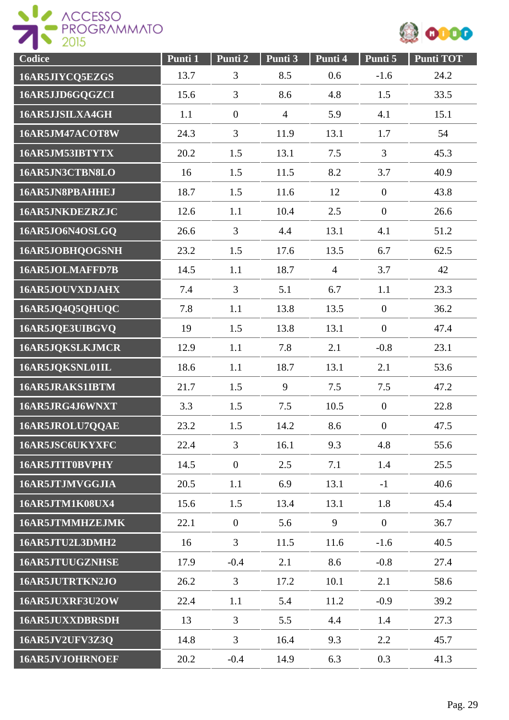



| Codice                 | Punti 1 | Punti 2          | Punti 3        | Punti 4        | Punti 5          | <b>Punti TOT</b> |
|------------------------|---------|------------------|----------------|----------------|------------------|------------------|
| 16AR5JIYCQ5EZGS        | 13.7    | 3                | 8.5            | 0.6            | $-1.6$           | 24.2             |
| 16AR5JJD6GQGZCI        | 15.6    | 3                | 8.6            | 4.8            | 1.5              | 33.5             |
| 16AR5JJSILXA4GH        | 1.1     | $\overline{0}$   | $\overline{4}$ | 5.9            | 4.1              | 15.1             |
| 16AR5JM47ACOT8W        | 24.3    | $\overline{3}$   | 11.9           | 13.1           | 1.7              | 54               |
| 16AR5JM53IBTYTX        | 20.2    | 1.5              | 13.1           | 7.5            | 3                | 45.3             |
| 16AR5JN3CTBN8LO        | 16      | 1.5              | 11.5           | 8.2            | 3.7              | 40.9             |
| 16AR5JN8PBAHHEJ        | 18.7    | 1.5              | 11.6           | 12             | $\boldsymbol{0}$ | 43.8             |
| 16AR5JNKDEZRZJC        | 12.6    | 1.1              | 10.4           | 2.5            | $\overline{0}$   | 26.6             |
| 16AR5JO6N4OSLGQ        | 26.6    | $\overline{3}$   | 4.4            | 13.1           | 4.1              | 51.2             |
| 16AR5JOBHQOGSNH        | 23.2    | 1.5              | 17.6           | 13.5           | 6.7              | 62.5             |
| 16AR5JOLMAFFD7B        | 14.5    | 1.1              | 18.7           | $\overline{4}$ | 3.7              | 42               |
| 16AR5JOUVXDJAHX        | 7.4     | 3                | 5.1            | 6.7            | 1.1              | 23.3             |
| 16AR5JQ4Q5QHUQC        | 7.8     | 1.1              | 13.8           | 13.5           | $\overline{0}$   | 36.2             |
| 16AR5JQE3UIBGVQ        | 19      | 1.5              | 13.8           | 13.1           | $\boldsymbol{0}$ | 47.4             |
| 16AR5JQKSLKJMCR        | 12.9    | 1.1              | 7.8            | 2.1            | $-0.8$           | 23.1             |
| 16AR5JQKSNL01IL        | 18.6    | 1.1              | 18.7           | 13.1           | 2.1              | 53.6             |
| 16AR5JRAKS1IBTM        | 21.7    | 1.5              | 9              | 7.5            | 7.5              | 47.2             |
| 16AR5JRG4J6WNXT        | 3.3     | 1.5              | 7.5            | 10.5           | $\overline{0}$   | 22.8             |
| 16AR5JROLU7QQAE        | 23.2    | 1.5              | 14.2           | 8.6            | $\boldsymbol{0}$ | 47.5             |
| 16AR5JSC6UKYXFC        | 22.4    | 3                | 16.1           | 9.3            | 4.8              | 55.6             |
| 16AR5JTIT0BVPHY        | 14.5    | $\boldsymbol{0}$ | 2.5            | 7.1            | 1.4              | 25.5             |
| 16AR5JTJMVGGJIA        | 20.5    | 1.1              | 6.9            | 13.1           | $-1$             | 40.6             |
| <b>16AR5JTM1K08UX4</b> | 15.6    | 1.5              | 13.4           | 13.1           | 1.8              | 45.4             |
| 16AR5JTMMHZEJMK        | 22.1    | $\overline{0}$   | 5.6            | 9              | $\overline{0}$   | 36.7             |
| 16AR5JTU2L3DMH2        | 16      | $\overline{3}$   | 11.5           | 11.6           | $-1.6$           | 40.5             |
| 16AR5JTUUGZNHSE        | 17.9    | $-0.4$           | 2.1            | 8.6            | $-0.8$           | 27.4             |
| 16AR5JUTRTKN2JO        | 26.2    | 3                | 17.2           | 10.1           | 2.1              | 58.6             |
| 16AR5JUXRF3U2OW        | 22.4    | 1.1              | 5.4            | 11.2           | $-0.9$           | 39.2             |
| <b>16AR5JUXXDBRSDH</b> | 13      | 3                | 5.5            | 4.4            | 1.4              | 27.3             |
| 16AR5JV2UFV3Z3Q        | 14.8    | $\mathfrak{Z}$   | 16.4           | 9.3            | 2.2              | 45.7             |
| 16AR5JVJOHRNOEF        | 20.2    | $-0.4$           | 14.9           | 6.3            | 0.3              | 41.3             |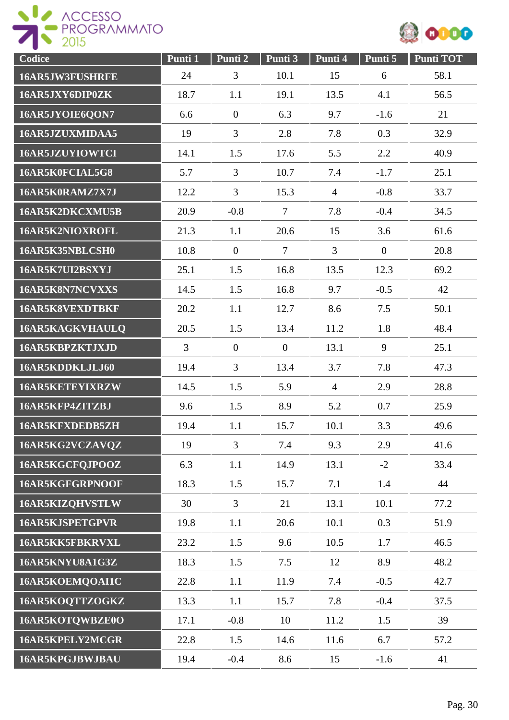

| Codice                 | Punti 1        | Punti <sub>2</sub> | Punti 3        | Punti <sub>4</sub> | Punti 5        | <b>Punti TOT</b> |
|------------------------|----------------|--------------------|----------------|--------------------|----------------|------------------|
| 16AR5JW3FUSHRFE        | 24             | 3                  | 10.1           | 15                 | 6              | 58.1             |
| 16AR5JXY6DIP0ZK        | 18.7           | 1.1                | 19.1           | 13.5               | 4.1            | 56.5             |
| 16AR5JYOIE6QON7        | 6.6            | $\boldsymbol{0}$   | 6.3            | 9.7                | $-1.6$         | 21               |
| 16AR5JZUXMIDAA5        | 19             | 3                  | 2.8            | 7.8                | 0.3            | 32.9             |
| 16AR5JZUYIOWTCI        | 14.1           | 1.5                | 17.6           | 5.5                | 2.2            | 40.9             |
| 16AR5K0FCIAL5G8        | 5.7            | 3                  | 10.7           | 7.4                | $-1.7$         | 25.1             |
| 16AR5K0RAMZ7X7J        | 12.2           | 3                  | 15.3           | $\overline{4}$     | $-0.8$         | 33.7             |
| 16AR5K2DKCXMU5B        | 20.9           | $-0.8$             | $\overline{7}$ | 7.8                | $-0.4$         | 34.5             |
| 16AR5K2NIOXROFL        | 21.3           | 1.1                | 20.6           | 15                 | 3.6            | 61.6             |
| 16AR5K35NBLCSH0        | 10.8           | $\overline{0}$     | $\overline{7}$ | 3                  | $\overline{0}$ | 20.8             |
| 16AR5K7UI2BSXYJ        | 25.1           | 1.5                | 16.8           | 13.5               | 12.3           | 69.2             |
| 16AR5K8N7NCVXXS        | 14.5           | 1.5                | 16.8           | 9.7                | $-0.5$         | 42               |
| 16AR5K8VEXDTBKF        | 20.2           | 1.1                | 12.7           | 8.6                | 7.5            | 50.1             |
| 16AR5KAGKVHAULQ        | 20.5           | 1.5                | 13.4           | 11.2               | 1.8            | 48.4             |
| 16AR5KBPZKTJXJD        | $\overline{3}$ | $\overline{0}$     | $\mathbf{0}$   | 13.1               | 9              | 25.1             |
| 16AR5KDDKLJLJ60        | 19.4           | 3                  | 13.4           | 3.7                | 7.8            | 47.3             |
| 16AR5KETEYIXRZW        | 14.5           | 1.5                | 5.9            | $\overline{4}$     | 2.9            | 28.8             |
| 16AR5KFP4ZITZBJ        | 9.6            | 1.5                | 8.9            | 5.2                | 0.7            | 25.9             |
| 16AR5KFXDEDB5ZH        | 19.4           | 1.1                | 15.7           | 10.1               | 3.3            | 49.6             |
| 16AR5KG2VCZAVQZ        | 19             | $\overline{3}$     | 7.4            | 9.3                | 2.9            | 41.6             |
| 16AR5KGCFQJPOOZ        | 6.3            | 1.1                | 14.9           | 13.1               | $-2$           | 33.4             |
| 16AR5KGFGRPNOOF        | 18.3           | 1.5                | 15.7           | 7.1                | 1.4            | 44               |
| 16AR5KIZQHVSTLW        | 30             | $\overline{3}$     | 21             | 13.1               | 10.1           | 77.2             |
| <b>16AR5KJSPETGPVR</b> | 19.8           | 1.1                | 20.6           | 10.1               | 0.3            | 51.9             |
| 16AR5KK5FBKRVXL        | 23.2           | 1.5                | 9.6            | 10.5               | 1.7            | 46.5             |
| 16AR5KNYU8A1G3Z        | 18.3           | 1.5                | 7.5            | 12                 | 8.9            | 48.2             |
| 16AR5KOEMQOAI1C        | 22.8           | 1.1                | 11.9           | 7.4                | $-0.5$         | 42.7             |
| 16AR5KOQTTZOGKZ        | 13.3           | 1.1                | 15.7           | 7.8                | $-0.4$         | 37.5             |
| 16AR5KOTQWBZE0O        | 17.1           | $-0.8$             | 10             | 11.2               | 1.5            | 39               |
| 16AR5KPELY2MCGR        | 22.8           | 1.5                | 14.6           | 11.6               | 6.7            | 57.2             |
| 16AR5KPGJBWJBAU        | 19.4           | $-0.4$             | 8.6            | 15                 | $-1.6$         | 41               |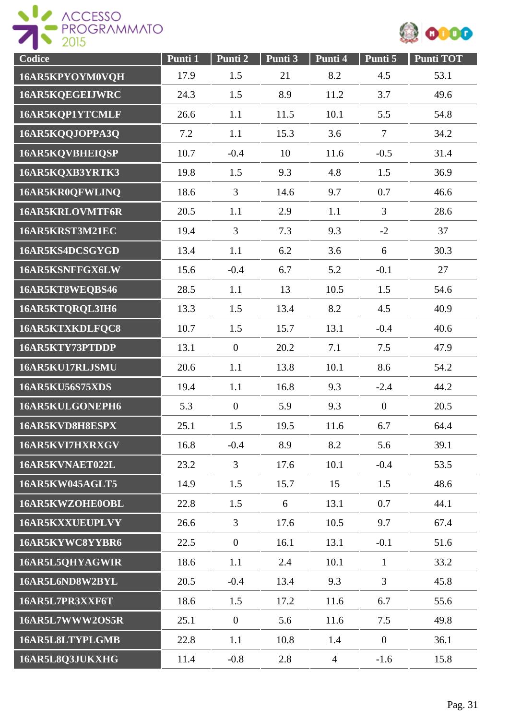



| Codice                 | Punti 1 | Punti 2        | Punti 3 | Punti 4        | Punti 5          | <b>Punti TOT</b> |
|------------------------|---------|----------------|---------|----------------|------------------|------------------|
| 16AR5KPYOYM0VQH        | 17.9    | 1.5            | 21      | 8.2            | 4.5              | 53.1             |
| 16AR5KQEGEIJWRC        | 24.3    | 1.5            | 8.9     | 11.2           | 3.7              | 49.6             |
| 16AR5KQP1YTCMLF        | 26.6    | 1.1            | 11.5    | 10.1           | 5.5              | 54.8             |
| 16AR5KQQJOPPA3Q        | 7.2     | 1.1            | 15.3    | 3.6            | $\overline{7}$   | 34.2             |
| 16AR5KQVBHEIQSP        | 10.7    | $-0.4$         | 10      | 11.6           | $-0.5$           | 31.4             |
| 16AR5KQXB3YRTK3        | 19.8    | 1.5            | 9.3     | 4.8            | 1.5              | 36.9             |
| 16AR5KR0QFWLINQ        | 18.6    | 3              | 14.6    | 9.7            | 0.7              | 46.6             |
| <b>16AR5KRLOVMTF6R</b> | 20.5    | 1.1            | 2.9     | 1.1            | $\overline{3}$   | 28.6             |
| 16AR5KRST3M21EC        | 19.4    | $\overline{3}$ | 7.3     | 9.3            | $-2$             | 37               |
| 16AR5KS4DCSGYGD        | 13.4    | 1.1            | 6.2     | 3.6            | 6                | 30.3             |
| 16AR5KSNFFGX6LW        | 15.6    | $-0.4$         | 6.7     | 5.2            | $-0.1$           | 27               |
| 16AR5KT8WEQBS46        | 28.5    | 1.1            | 13      | 10.5           | 1.5              | 54.6             |
| 16AR5KTQRQL3IH6        | 13.3    | 1.5            | 13.4    | 8.2            | 4.5              | 40.9             |
| 16AR5KTXKDLFQC8        | 10.7    | 1.5            | 15.7    | 13.1           | $-0.4$           | 40.6             |
| 16AR5KTY73PTDDP        | 13.1    | $\overline{0}$ | 20.2    | 7.1            | 7.5              | 47.9             |
| 16AR5KU17RLJSMU        | 20.6    | 1.1            | 13.8    | 10.1           | 8.6              | 54.2             |
| <b>16AR5KU56S75XDS</b> | 19.4    | 1.1            | 16.8    | 9.3            | $-2.4$           | 44.2             |
| 16AR5KULGONEPH6        | 5.3     | $\overline{0}$ | 5.9     | 9.3            | $\boldsymbol{0}$ | 20.5             |
| 16AR5KVD8H8ESPX        | 25.1    | 1.5            | 19.5    | 11.6           | 6.7              | 64.4             |
| 16AR5KVI7HXRXGV        | 16.8    | $-0.4$         | 8.9     | 8.2            | 5.6              | 39.1             |
| 16AR5KVNAET022L        | 23.2    | 3              | 17.6    | 10.1           | $-0.4$           | 53.5             |
| 16AR5KW045AGLT5        | 14.9    | 1.5            | 15.7    | 15             | 1.5              | 48.6             |
| 16AR5KWZOHE0OBL        | 22.8    | 1.5            | 6       | 13.1           | 0.7              | 44.1             |
| 16AR5KXXUEUPLVY        | 26.6    | $\overline{3}$ | 17.6    | 10.5           | 9.7              | 67.4             |
| 16AR5KYWC8YYBR6        | 22.5    | $\overline{0}$ | 16.1    | 13.1           | $-0.1$           | 51.6             |
| 16AR5L5QHYAGWIR        | 18.6    | 1.1            | 2.4     | 10.1           | $\mathbf{1}$     | 33.2             |
| 16AR5L6ND8W2BYL        | 20.5    | $-0.4$         | 13.4    | 9.3            | $\overline{3}$   | 45.8             |
| 16AR5L7PR3XXF6T        | 18.6    | 1.5            | 17.2    | 11.6           | 6.7              | 55.6             |
| 16AR5L7WWW2OS5R        | 25.1    | $\overline{0}$ | 5.6     | 11.6           | 7.5              | 49.8             |
| 16AR5L8LTYPLGMB        | 22.8    | 1.1            | 10.8    | 1.4            | $\overline{0}$   | 36.1             |
| 16AR5L8Q3JUKXHG        | 11.4    | $-0.8$         | 2.8     | $\overline{4}$ | $-1.6$           | 15.8             |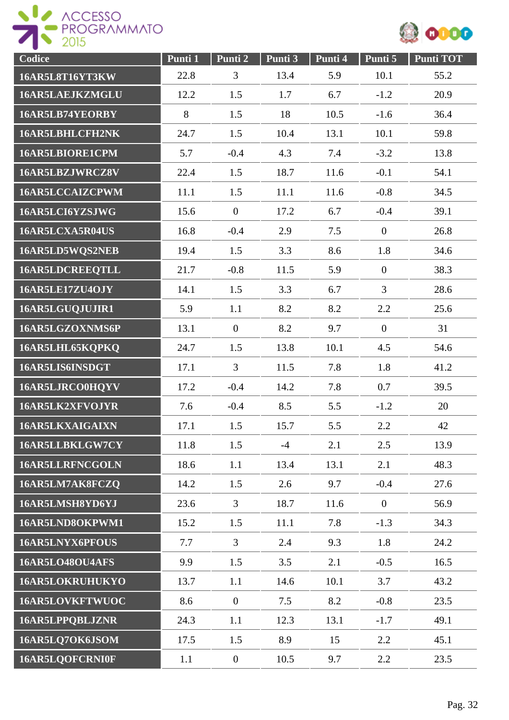

| Codice                 | Punti 1 | Punti 2          | Punti 3 | Punti 4 | Punti 5        | <b>Punti TOT</b> |
|------------------------|---------|------------------|---------|---------|----------------|------------------|
| 16AR5L8T16YT3KW        | 22.8    | $\overline{3}$   | 13.4    | 5.9     | 10.1           | 55.2             |
| 16AR5LAEJKZMGLU        | 12.2    | 1.5              | 1.7     | 6.7     | $-1.2$         | 20.9             |
| 16AR5LB74YEORBY        | 8       | 1.5              | 18      | 10.5    | $-1.6$         | 36.4             |
| 16AR5LBHLCFH2NK        | 24.7    | 1.5              | 10.4    | 13.1    | 10.1           | 59.8             |
| 16AR5LBIORE1CPM        | 5.7     | $-0.4$           | 4.3     | 7.4     | $-3.2$         | 13.8             |
| 16AR5LBZJWRCZ8V        | 22.4    | 1.5              | 18.7    | 11.6    | $-0.1$         | 54.1             |
| 16AR5LCCAIZCPWM        | 11.1    | 1.5              | 11.1    | 11.6    | $-0.8$         | 34.5             |
| 16AR5LCI6YZSJWG        | 15.6    | $\overline{0}$   | 17.2    | 6.7     | $-0.4$         | 39.1             |
| 16AR5LCXA5R04US        | 16.8    | $-0.4$           | 2.9     | 7.5     | $\overline{0}$ | 26.8             |
| 16AR5LD5WQS2NEB        | 19.4    | 1.5              | 3.3     | 8.6     | 1.8            | 34.6             |
| <b>16AR5LDCREEQTLL</b> | 21.7    | $-0.8$           | 11.5    | 5.9     | $\overline{0}$ | 38.3             |
| 16AR5LE17ZU4OJY        | 14.1    | 1.5              | 3.3     | 6.7     | 3              | 28.6             |
| 16AR5LGUQJUJIR1        | 5.9     | 1.1              | 8.2     | 8.2     | 2.2            | 25.6             |
| 16AR5LGZOXNMS6P        | 13.1    | $\mathbf{0}$     | 8.2     | 9.7     | $\overline{0}$ | 31               |
| 16AR5LHL65KQPKQ        | 24.7    | 1.5              | 13.8    | 10.1    | 4.5            | 54.6             |
| 16AR5LIS6INSDGT        | 17.1    | $\overline{3}$   | 11.5    | 7.8     | 1.8            | 41.2             |
| 16AR5LJRCO0HQYV        | 17.2    | $-0.4$           | 14.2    | 7.8     | 0.7            | 39.5             |
| 16AR5LK2XFVOJYR        | 7.6     | $-0.4$           | 8.5     | 5.5     | $-1.2$         | 20               |
| 16AR5LKXAIGAIXN        | 17.1    | 1.5              | 15.7    | 5.5     | 2.2            | 42               |
| 16AR5LLBKLGW7CY        | 11.8    | 1.5              | $-4$    | 2.1     | 2.5            | 13.9             |
| 16AR5LLRFNCGOLN        | 18.6    | 1.1              | 13.4    | 13.1    | 2.1            | 48.3             |
| 16AR5LM7AK8FCZQ        | 14.2    | 1.5              | 2.6     | 9.7     | $-0.4$         | 27.6             |
| 16AR5LMSH8YD6YJ        | 23.6    | $\overline{3}$   | 18.7    | 11.6    | $\overline{0}$ | 56.9             |
| 16AR5LND8OKPWM1        | 15.2    | 1.5              | 11.1    | 7.8     | $-1.3$         | 34.3             |
| <b>16AR5LNYX6PFOUS</b> | 7.7     | $\overline{3}$   | 2.4     | 9.3     | 1.8            | 24.2             |
| 16AR5LO48OU4AFS        | 9.9     | 1.5              | 3.5     | 2.1     | $-0.5$         | 16.5             |
| 16AR5LOKRUHUKYO        | 13.7    | 1.1              | 14.6    | 10.1    | 3.7            | 43.2             |
| 16AR5LOVKFTWUOC        | 8.6     | $\mathbf{0}$     | 7.5     | 8.2     | $-0.8$         | 23.5             |
| 16AR5LPPQBLJZNR        | 24.3    | 1.1              | 12.3    | 13.1    | $-1.7$         | 49.1             |
| 16AR5LQ7OK6JSOM        | 17.5    | 1.5              | 8.9     | 15      | 2.2            | 45.1             |
| 16AR5LQOFCRNI0F        | 1.1     | $\boldsymbol{0}$ | 10.5    | 9.7     | 2.2            | 23.5             |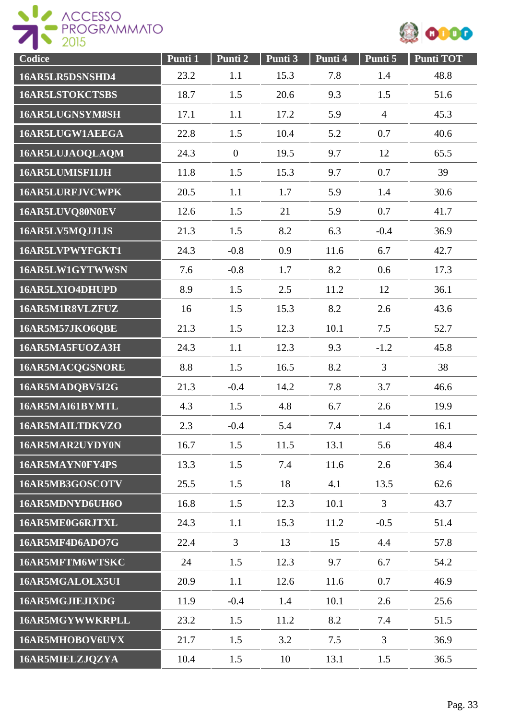



| Codice                 | Punti 1 | Punti 2        | Punti 3 | Punti 4 | Punti 5        | <b>Punti TOT</b> |
|------------------------|---------|----------------|---------|---------|----------------|------------------|
| 16AR5LR5DSNSHD4        | 23.2    | 1.1            | 15.3    | 7.8     | 1.4            | 48.8             |
| 16AR5LSTOKCTSBS        | 18.7    | 1.5            | 20.6    | 9.3     | 1.5            | 51.6             |
| 16AR5LUGNSYM8SH        | 17.1    | 1.1            | 17.2    | 5.9     | $\overline{4}$ | 45.3             |
| 16AR5LUGW1AEEGA        | 22.8    | 1.5            | 10.4    | 5.2     | 0.7            | 40.6             |
| 16AR5LUJAOQLAQM        | 24.3    | $\overline{0}$ | 19.5    | 9.7     | 12             | 65.5             |
| 16AR5LUMISF1IJH        | 11.8    | 1.5            | 15.3    | 9.7     | 0.7            | 39               |
| <b>16AR5LURFJVCWPK</b> | 20.5    | 1.1            | 1.7     | 5.9     | 1.4            | 30.6             |
| 16AR5LUVQ80N0EV        | 12.6    | 1.5            | 21      | 5.9     | 0.7            | 41.7             |
| 16AR5LV5MQJJ1JS        | 21.3    | 1.5            | 8.2     | 6.3     | $-0.4$         | 36.9             |
| 16AR5LVPWYFGKT1        | 24.3    | $-0.8$         | 0.9     | 11.6    | 6.7            | 42.7             |
| 16AR5LW1GYTWWSN        | 7.6     | $-0.8$         | 1.7     | 8.2     | 0.6            | 17.3             |
| 16AR5LXIO4DHUPD        | 8.9     | 1.5            | 2.5     | 11.2    | 12             | 36.1             |
| 16AR5M1R8VLZFUZ        | 16      | 1.5            | 15.3    | 8.2     | 2.6            | 43.6             |
| 16AR5M57JKO6QBE        | 21.3    | 1.5            | 12.3    | 10.1    | 7.5            | 52.7             |
| 16AR5MA5FUOZA3H        | 24.3    | 1.1            | 12.3    | 9.3     | $-1.2$         | 45.8             |
| 16AR5MACQGSNORE        | 8.8     | 1.5            | 16.5    | 8.2     | $\overline{3}$ | 38               |
| 16AR5MADQBV5I2G        | 21.3    | $-0.4$         | 14.2    | 7.8     | 3.7            | 46.6             |
| 16AR5MAI61BYMTL        | 4.3     | 1.5            | 4.8     | 6.7     | 2.6            | 19.9             |
| 16AR5MAILTDKVZO        | 2.3     | $-0.4$         | 5.4     | 7.4     | 1.4            | 16.1             |
| 16AR5MAR2UYDY0N        | 16.7    | 1.5            | 11.5    | 13.1    | 5.6            | 48.4             |
| 16AR5MAYN0FY4PS        | 13.3    | 1.5            | 7.4     | 11.6    | 2.6            | 36.4             |
| 16AR5MB3GOSCOTV        | 25.5    | 1.5            | 18      | 4.1     | 13.5           | 62.6             |
| 16AR5MDNYD6UH6O        | 16.8    | 1.5            | 12.3    | 10.1    | $\mathfrak{Z}$ | 43.7             |
| 16AR5ME0G6RJTXL        | 24.3    | 1.1            | 15.3    | 11.2    | $-0.5$         | 51.4             |
| 16AR5MF4D6ADO7G        | 22.4    | $\mathfrak{Z}$ | 13      | 15      | 4.4            | 57.8             |
| 16AR5MFTM6WTSKC        | 24      | 1.5            | 12.3    | 9.7     | 6.7            | 54.2             |
| 16AR5MGALOLX5UI        | 20.9    | 1.1            | 12.6    | 11.6    | 0.7            | 46.9             |
| 16AR5MGJIEJIXDG        | 11.9    | $-0.4$         | 1.4     | 10.1    | 2.6            | 25.6             |
| 16AR5MGYWWKRPLL        | 23.2    | 1.5            | 11.2    | 8.2     | 7.4            | 51.5             |
| 16AR5MHOBOV6UVX        | 21.7    | 1.5            | 3.2     | 7.5     | $\mathfrak{Z}$ | 36.9             |
| 16AR5MIELZJQZYA        | 10.4    | 1.5            | 10      | 13.1    | 1.5            | 36.5             |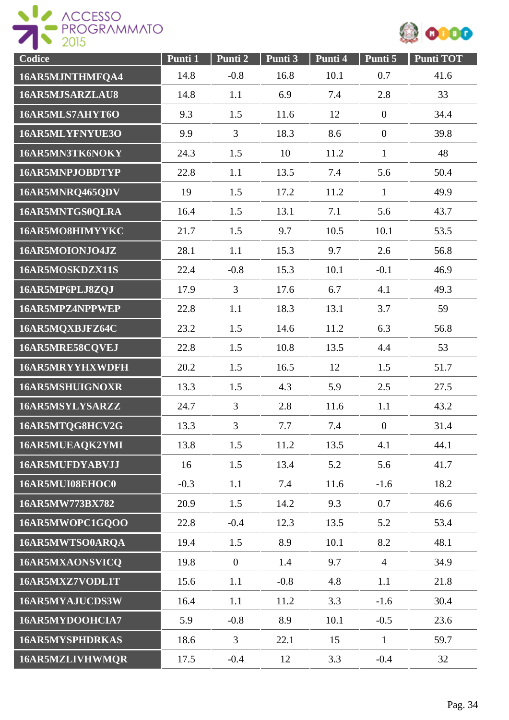



| Codice                 | Punti 1 | Punti 2          | Punti 3 | Punti 4 | Punti 5          | <b>Punti TOT</b> |
|------------------------|---------|------------------|---------|---------|------------------|------------------|
| 16AR5MJNTHMFQA4        | 14.8    | $-0.8$           | 16.8    | 10.1    | 0.7              | 41.6             |
| 16AR5MJSARZLAU8        | 14.8    | 1.1              | 6.9     | 7.4     | 2.8              | 33               |
| 16AR5MLS7AHYT6O        | 9.3     | 1.5              | 11.6    | 12      | $\boldsymbol{0}$ | 34.4             |
| 16AR5MLYFNYUE3O        | 9.9     | 3                | 18.3    | 8.6     | $\boldsymbol{0}$ | 39.8             |
| 16AR5MN3TK6NOKY        | 24.3    | 1.5              | 10      | 11.2    | $\mathbf{1}$     | 48               |
| 16AR5MNPJOBDTYP        | 22.8    | 1.1              | 13.5    | 7.4     | 5.6              | 50.4             |
| 16AR5MNRQ465QDV        | 19      | 1.5              | 17.2    | 11.2    | $\mathbf{1}$     | 49.9             |
| 16AR5MNTGS0QLRA        | 16.4    | 1.5              | 13.1    | 7.1     | 5.6              | 43.7             |
| 16AR5MO8HIMYYKC        | 21.7    | 1.5              | 9.7     | 10.5    | 10.1             | 53.5             |
| 16AR5MOIONJO4JZ        | 28.1    | 1.1              | 15.3    | 9.7     | 2.6              | 56.8             |
| 16AR5MOSKDZX11S        | 22.4    | $-0.8$           | 15.3    | 10.1    | $-0.1$           | 46.9             |
| 16AR5MP6PLJ8ZQJ        | 17.9    | $\overline{3}$   | 17.6    | 6.7     | 4.1              | 49.3             |
| 16AR5MPZ4NPPWEP        | 22.8    | 1.1              | 18.3    | 13.1    | 3.7              | 59               |
| 16AR5MQXBJFZ64C        | 23.2    | 1.5              | 14.6    | 11.2    | 6.3              | 56.8             |
| 16AR5MRE58CQVEJ        | 22.8    | 1.5              | 10.8    | 13.5    | 4.4              | 53               |
| 16AR5MRYYHXWDFH        | 20.2    | 1.5              | 16.5    | 12      | 1.5              | 51.7             |
| 16AR5MSHUIGNOXR        | 13.3    | 1.5              | 4.3     | 5.9     | 2.5              | 27.5             |
| 16AR5MSYLYSARZZ        | 24.7    | $\overline{3}$   | 2.8     | 11.6    | 1.1              | 43.2             |
| 16AR5MTQG8HCV2G        | 13.3    | 3                | 7.7     | 7.4     | $\boldsymbol{0}$ | 31.4             |
| 16AR5MUEAQK2YMI        | 13.8    | 1.5              | 11.2    | 13.5    | 4.1              | 44.1             |
| 16AR5MUFDYABVJJ        | 16      | 1.5              | 13.4    | 5.2     | 5.6              | 41.7             |
| 16AR5MUI08EHOC0        | $-0.3$  | 1.1              | 7.4     | 11.6    | $-1.6$           | 18.2             |
| 16AR5MW773BX782        | 20.9    | 1.5              | 14.2    | 9.3     | 0.7              | 46.6             |
| 16AR5MWOPC1GQOO        | 22.8    | $-0.4$           | 12.3    | 13.5    | 5.2              | 53.4             |
| 16AR5MWTSO0ARQA        | 19.4    | 1.5              | 8.9     | 10.1    | 8.2              | 48.1             |
| 16AR5MXAONSVICQ        | 19.8    | $\boldsymbol{0}$ | 1.4     | 9.7     | $\overline{4}$   | 34.9             |
| 16AR5MXZ7VODL1T        | 15.6    | 1.1              | $-0.8$  | 4.8     | 1.1              | 21.8             |
| 16AR5MYAJUCDS3W        | 16.4    | 1.1              | 11.2    | 3.3     | $-1.6$           | 30.4             |
| 16AR5MYDOOHCIA7        | 5.9     | $-0.8$           | 8.9     | 10.1    | $-0.5$           | 23.6             |
| <b>16AR5MYSPHDRKAS</b> | 18.6    | 3                | 22.1    | 15      | $\mathbf{1}$     | 59.7             |
| 16AR5MZLIVHWMQR        | 17.5    | $-0.4$           | 12      | 3.3     | $-0.4$           | 32               |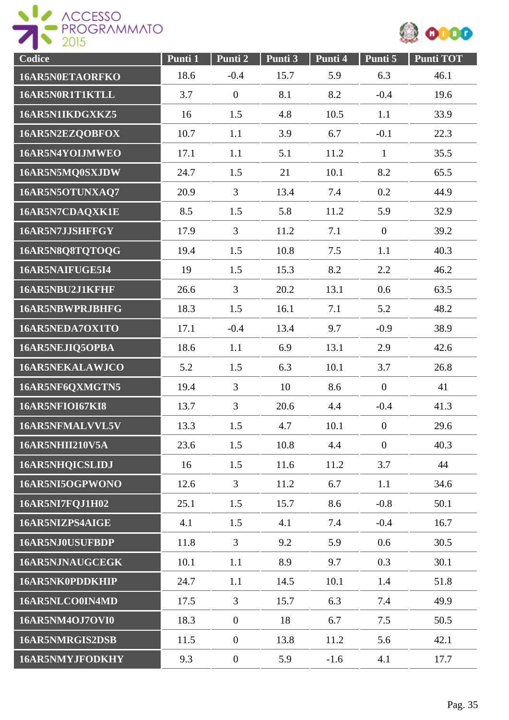



| Codice                 | Punti 1 | Punti 2          | Punti 3 | Punti 4 | Punti 5          | <b>Punti TOT</b> |
|------------------------|---------|------------------|---------|---------|------------------|------------------|
| <b>16AR5N0ETAORFKO</b> | 18.6    | $-0.4$           | 15.7    | 5.9     | 6.3              | 46.1             |
| 16AR5N0R1T1KTLL        | 3.7     | $\boldsymbol{0}$ | 8.1     | 8.2     | $-0.4$           | 19.6             |
| 16AR5N1IKDGXKZ5        | 16      | 1.5              | 4.8     | 10.5    | 1.1              | 33.9             |
| 16AR5N2EZQOBFOX        | 10.7    | 1.1              | 3.9     | 6.7     | $-0.1$           | 22.3             |
| 16AR5N4YOIJMWEO        | 17.1    | 1.1              | 5.1     | 11.2    | $\mathbf{1}$     | 35.5             |
| 16AR5N5MQ0SXJDW        | 24.7    | 1.5              | 21      | 10.1    | 8.2              | 65.5             |
| 16AR5N5OTUNXAQ7        | 20.9    | 3                | 13.4    | 7.4     | 0.2              | 44.9             |
| 16AR5N7CDAQXK1E        | 8.5     | 1.5              | 5.8     | 11.2    | 5.9              | 32.9             |
| 16AR5N7JJSHFFGY        | 17.9    | $\overline{3}$   | 11.2    | 7.1     | $\overline{0}$   | 39.2             |
| 16AR5N8Q8TQTOQG        | 19.4    | 1.5              | 10.8    | 7.5     | 1.1              | 40.3             |
| 16AR5NAIFUGE5I4        | 19      | 1.5              | 15.3    | 8.2     | 2.2              | 46.2             |
| 16AR5NBU2J1KFHF        | 26.6    | $\overline{3}$   | 20.2    | 13.1    | 0.6              | 63.5             |
| <b>16AR5NBWPRJBHFG</b> | 18.3    | 1.5              | 16.1    | 7.1     | 5.2              | 48.2             |
| 16AR5NEDA7OX1TO        | 17.1    | $-0.4$           | 13.4    | 9.7     | $-0.9$           | 38.9             |
| 16AR5NEJIQ5OPBA        | 18.6    | 1.1              | 6.9     | 13.1    | 2.9              | 42.6             |
| 16AR5NEKALAWJCO        | 5.2     | 1.5              | 6.3     | 10.1    | 3.7              | 26.8             |
| 16AR5NF6QXMGTN5        | 19.4    | 3                | 10      | 8.6     | $\boldsymbol{0}$ | 41               |
| 16AR5NFIOI67KI8        | 13.7    | 3                | 20.6    | 4.4     | $-0.4$           | 41.3             |
| 16AR5NFMALVVL5V        | 13.3    | 1.5              | 4.7     | 10.1    | $\boldsymbol{0}$ | 29.6             |
| <b>16AR5NHII210V5A</b> | 23.6    | 1.5              | 10.8    | 4.4     | $\overline{0}$   | 40.3             |
| 16AR5NHQICSLIDJ        | 16      | 1.5              | 11.6    | 11.2    | 3.7              | 44               |
| 16AR5NI5OGPWONO        | 12.6    | 3                | 11.2    | 6.7     | 1.1              | 34.6             |
| 16AR5NI7FQJ1H02        | 25.1    | 1.5              | 15.7    | 8.6     | $-0.8$           | 50.1             |
| 16AR5NIZPS4AIGE        | 4.1     | 1.5              | 4.1     | 7.4     | $-0.4$           | 16.7             |
| 16AR5NJ0USUFBDP        | 11.8    | $\overline{3}$   | 9.2     | 5.9     | 0.6              | 30.5             |
| 16AR5NJNAUGCEGK        | 10.1    | 1.1              | 8.9     | 9.7     | 0.3              | 30.1             |
| 16AR5NK0PDDKHIP        | 24.7    | 1.1              | 14.5    | 10.1    | 1.4              | 51.8             |
| 16AR5NLCO0IN4MD        | 17.5    | $\overline{3}$   | 15.7    | 6.3     | 7.4              | 49.9             |
| <b>16AR5NM4OJ7OVI0</b> | 18.3    | $\overline{0}$   | 18      | 6.7     | 7.5              | 50.5             |
| 16AR5NMRGIS2DSB        | 11.5    | $\overline{0}$   | 13.8    | 11.2    | 5.6              | 42.1             |
| 16AR5NMYJFODKHY        | 9.3     | $\mathbf{0}$     | 5.9     | $-1.6$  | 4.1              | 17.7             |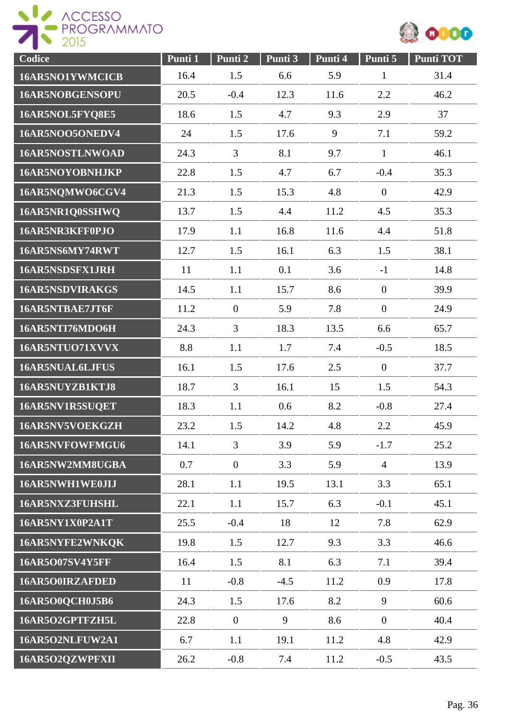

| Codice                 | Punti 1 | Punti 2          | Punti 3 | Punti 4 | Punti 5          | Punti TOT |
|------------------------|---------|------------------|---------|---------|------------------|-----------|
| 16AR5NO1YWMCICB        | 16.4    | 1.5              | 6.6     | 5.9     | $\mathbf{1}$     | 31.4      |
| 16AR5NOBGENSOPU        | 20.5    | $-0.4$           | 12.3    | 11.6    | 2.2              | 46.2      |
| 16AR5NOL5FYQ8E5        | 18.6    | 1.5              | 4.7     | 9.3     | 2.9              | 37        |
| 16AR5NOO5ONEDV4        | 24      | 1.5              | 17.6    | 9       | 7.1              | 59.2      |
| <b>16AR5NOSTLNWOAD</b> | 24.3    | 3                | 8.1     | 9.7     | $\mathbf{1}$     | 46.1      |
| 16AR5NOYOBNHJKP        | 22.8    | 1.5              | 4.7     | 6.7     | $-0.4$           | 35.3      |
| 16AR5NQMWO6CGV4        | 21.3    | 1.5              | 15.3    | 4.8     | $\mathbf{0}$     | 42.9      |
| 16AR5NR1Q0SSHWQ        | 13.7    | 1.5              | 4.4     | 11.2    | 4.5              | 35.3      |
| 16AR5NR3KFF0PJO        | 17.9    | 1.1              | 16.8    | 11.6    | 4.4              | 51.8      |
| 16AR5NS6MY74RWT        | 12.7    | 1.5              | 16.1    | 6.3     | 1.5              | 38.1      |
| 16AR5NSDSFX1JRH        | 11      | 1.1              | 0.1     | 3.6     | $-1$             | 14.8      |
| 16AR5NSDVIRAKGS        | 14.5    | 1.1              | 15.7    | 8.6     | $\overline{0}$   | 39.9      |
| 16AR5NTBAE7JT6F        | 11.2    | $\mathbf{0}$     | 5.9     | 7.8     | $\overline{0}$   | 24.9      |
| 16AR5NTI76MDO6H        | 24.3    | 3                | 18.3    | 13.5    | 6.6              | 65.7      |
| 16AR5NTUO71XVVX        | 8.8     | 1.1              | 1.7     | 7.4     | $-0.5$           | 18.5      |
| 16AR5NUAL6LJFUS        | 16.1    | 1.5              | 17.6    | 2.5     | $\boldsymbol{0}$ | 37.7      |
| 16AR5NUYZB1KTJ8        | 18.7    | 3                | 16.1    | 15      | 1.5              | 54.3      |
| 16AR5NV1R5SUQET        | 18.3    | 1.1              | 0.6     | 8.2     | $-0.8$           | 27.4      |
| 16AR5NV5VOEKGZH        | 23.2    | 1.5              | 14.2    | 4.8     | 2.2              | 45.9      |
| 16AR5NVFOWFMGU6        | 14.1    | 3                | 3.9     | 5.9     | $-1.7$           | 25.2      |
| 16AR5NW2MM8UGBA        | 0.7     | $\boldsymbol{0}$ | 3.3     | 5.9     | $\overline{4}$   | 13.9      |
| 16AR5NWH1WE0JIJ        | 28.1    | 1.1              | 19.5    | 13.1    | 3.3              | 65.1      |
| 16AR5NXZ3FUHSHL        | 22.1    | 1.1              | 15.7    | 6.3     | $-0.1$           | 45.1      |
| 16AR5NY1X0P2A1T        | 25.5    | $-0.4$           | 18      | 12      | 7.8              | 62.9      |
| 16AR5NYFE2WNKQK        | 19.8    | 1.5              | 12.7    | 9.3     | 3.3              | 46.6      |
| <b>16AR5O07SV4Y5FF</b> | 16.4    | 1.5              | 8.1     | 6.3     | 7.1              | 39.4      |
| 16AR5O0IRZAFDED        | 11      | $-0.8$           | $-4.5$  | 11.2    | 0.9              | 17.8      |
| 16AR5O0QCH0J5B6        | 24.3    | 1.5              | 17.6    | 8.2     | 9                | 60.6      |
| 16AR5O2GPTFZH5L        | 22.8    | $\mathbf{0}$     | 9       | 8.6     | $\overline{0}$   | 40.4      |
| 16AR5O2NLFUW2A1        | 6.7     | 1.1              | 19.1    | 11.2    | 4.8              | 42.9      |
| 16AR5O2QZWPFXII        | 26.2    | $-0.8$           | 7.4     | 11.2    | $-0.5$           | 43.5      |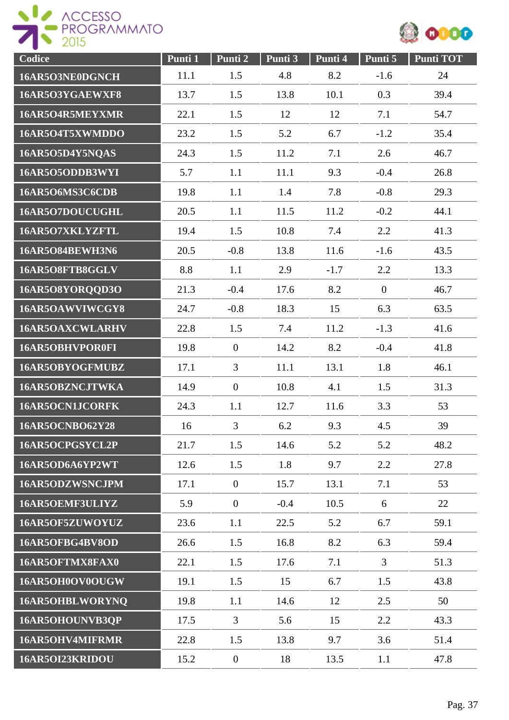



| Codice                 | Punti 1 | Punti 2          | Punti 3 | Punti 4 | Punti 5      | <b>Punti TOT</b> |
|------------------------|---------|------------------|---------|---------|--------------|------------------|
| 16AR5O3NE0DGNCH        | 11.1    | 1.5              | 4.8     | 8.2     | $-1.6$       | 24               |
| 16AR5O3YGAEWXF8        | 13.7    | 1.5              | 13.8    | 10.1    | 0.3          | 39.4             |
| 16AR5O4R5MEYXMR        | 22.1    | 1.5              | 12      | 12      | 7.1          | 54.7             |
| 16AR5O4T5XWMDDO        | 23.2    | 1.5              | 5.2     | 6.7     | $-1.2$       | 35.4             |
| 16AR5O5D4Y5NQAS        | 24.3    | 1.5              | 11.2    | 7.1     | 2.6          | 46.7             |
| 16AR5O5ODDB3WYI        | 5.7     | 1.1              | 11.1    | 9.3     | $-0.4$       | 26.8             |
| 16AR5O6MS3C6CDB        | 19.8    | 1.1              | 1.4     | 7.8     | $-0.8$       | 29.3             |
| 16AR5O7DOUCUGHL        | 20.5    | 1.1              | 11.5    | 11.2    | $-0.2$       | 44.1             |
| 16AR5O7XKLYZFTL        | 19.4    | 1.5              | 10.8    | 7.4     | 2.2          | 41.3             |
| <b>16AR5O84BEWH3N6</b> | 20.5    | $-0.8$           | 13.8    | 11.6    | $-1.6$       | 43.5             |
| 16AR5O8FTB8GGLV        | 8.8     | 1.1              | 2.9     | $-1.7$  | 2.2          | 13.3             |
| 16AR5O8YORQQD3O        | 21.3    | $-0.4$           | 17.6    | 8.2     | $\mathbf{0}$ | 46.7             |
| 16AR5OAWVIWCGY8        | 24.7    | $-0.8$           | 18.3    | 15      | 6.3          | 63.5             |
| <b>16AR5OAXCWLARHV</b> | 22.8    | 1.5              | 7.4     | 11.2    | $-1.3$       | 41.6             |
| 16AR5OBHVPOR0FI        | 19.8    | $\overline{0}$   | 14.2    | 8.2     | $-0.4$       | 41.8             |
| 16AR5OBYOGFMUBZ        | 17.1    | 3                | 11.1    | 13.1    | 1.8          | 46.1             |
| 16AR5OBZNCJTWKA        | 14.9    | $\overline{0}$   | 10.8    | 4.1     | 1.5          | 31.3             |
| 16AR5OCN1JCORFK        | 24.3    | 1.1              | 12.7    | 11.6    | 3.3          | 53               |
| <b>16AR5OCNBO62Y28</b> | 16      | 3                | 6.2     | 9.3     | 4.5          | 39               |
| 16AR5OCPGSYCL2P        | 21.7    | 1.5              | 14.6    | 5.2     | 5.2          | 48.2             |
| 16AR5OD6A6YP2WT        | 12.6    | 1.5              | 1.8     | 9.7     | 2.2          | 27.8             |
| 16AR5ODZWSNCJPM        | 17.1    | $\overline{0}$   | 15.7    | 13.1    | 7.1          | 53               |
| 16AR5OEMF3ULIYZ        | 5.9     | $\overline{0}$   | $-0.4$  | 10.5    | 6            | 22               |
| 16AR5OF5ZUWOYUZ        | 23.6    | 1.1              | 22.5    | 5.2     | 6.7          | 59.1             |
| 16AR5OFBG4BV8OD        | 26.6    | 1.5              | 16.8    | 8.2     | 6.3          | 59.4             |
| 16AR5OFTMX8FAX0        | 22.1    | 1.5              | 17.6    | 7.1     | 3            | 51.3             |
| 16AR5OH0OV0OUGW        | 19.1    | 1.5              | 15      | 6.7     | 1.5          | 43.8             |
| 16AR5OHBLWORYNQ        | 19.8    | 1.1              | 14.6    | 12      | 2.5          | 50               |
| 16AR5OHOUNVB3QP        | 17.5    | $\overline{3}$   | 5.6     | 15      | 2.2          | 43.3             |
| 16AR5OHV4MIFRMR        | 22.8    | 1.5              | 13.8    | 9.7     | 3.6          | 51.4             |
| 16AR5OI23KRIDOU        | 15.2    | $\boldsymbol{0}$ | 18      | 13.5    | 1.1          | 47.8             |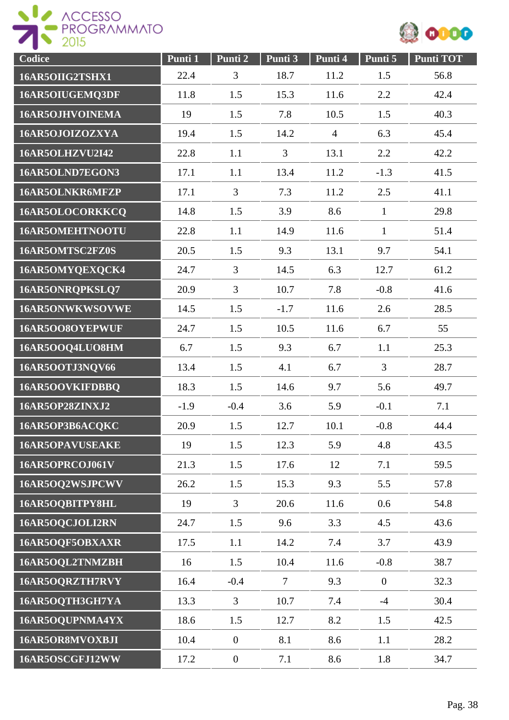



| Codice                 | Punti 1 | Punti 2        | Punti 3        | Punti 4        | Punti 5      | <b>Punti TOT</b> |
|------------------------|---------|----------------|----------------|----------------|--------------|------------------|
| 16AR5OIIG2TSHX1        | 22.4    | 3              | 18.7           | 11.2           | 1.5          | 56.8             |
| 16AR5OIUGEMQ3DF        | 11.8    | 1.5            | 15.3           | 11.6           | 2.2          | 42.4             |
| 16AR5OJHVOINEMA        | 19      | 1.5            | 7.8            | 10.5           | 1.5          | 40.3             |
| 16AR5OJOIZOZXYA        | 19.4    | 1.5            | 14.2           | $\overline{4}$ | 6.3          | 45.4             |
| <b>16AR5OLHZVU2I42</b> | 22.8    | 1.1            | $\overline{3}$ | 13.1           | 2.2          | 42.2             |
| 16AR5OLND7EGON3        | 17.1    | 1.1            | 13.4           | 11.2           | $-1.3$       | 41.5             |
| 16AR5OLNKR6MFZP        | 17.1    | 3              | 7.3            | 11.2           | 2.5          | 41.1             |
| 16AR5OLOCORKKCQ        | 14.8    | 1.5            | 3.9            | 8.6            | $\mathbf{1}$ | 29.8             |
| 16AR5OMEHTNOOTU        | 22.8    | 1.1            | 14.9           | 11.6           | $\mathbf{1}$ | 51.4             |
| 16AR5OMTSC2FZ0S        | 20.5    | 1.5            | 9.3            | 13.1           | 9.7          | 54.1             |
| 16AR5OMYQEXQCK4        | 24.7    | 3              | 14.5           | 6.3            | 12.7         | 61.2             |
| 16AR5ONRQPKSLQ7        | 20.9    | $\overline{3}$ | 10.7           | 7.8            | $-0.8$       | 41.6             |
| 16AR5ONWKWSOVWE        | 14.5    | 1.5            | $-1.7$         | 11.6           | 2.6          | 28.5             |
| 16AR5OO8OYEPWUF        | 24.7    | 1.5            | 10.5           | 11.6           | 6.7          | 55               |
| 16AR5OOQ4LUO8HM        | 6.7     | 1.5            | 9.3            | 6.7            | 1.1          | 25.3             |
| 16AR5OOTJ3NQV66        | 13.4    | 1.5            | 4.1            | 6.7            | 3            | 28.7             |
| 16AR5OOVKIFDBBQ        | 18.3    | 1.5            | 14.6           | 9.7            | 5.6          | 49.7             |
| 16AR5OP28ZINXJ2        | $-1.9$  | $-0.4$         | 3.6            | 5.9            | $-0.1$       | 7.1              |
| 16AR5OP3B6ACQKC        | 20.9    | 1.5            | 12.7           | 10.1           | $-0.8$       | 44.4             |
| <b>16AR5OPAVUSEAKE</b> | 19      | 1.5            | 12.3           | 5.9            | 4.8          | 43.5             |
| 16AR5OPRCOJ061V        | 21.3    | 1.5            | 17.6           | 12             | 7.1          | 59.5             |
| 16AR5OQ2WSJPCWV        | 26.2    | 1.5            | 15.3           | 9.3            | 5.5          | 57.8             |
| 16AR5OQBITPY8HL        | 19      | $\overline{3}$ | 20.6           | 11.6           | 0.6          | 54.8             |
| 16AR5OQCJOLI2RN        | 24.7    | 1.5            | 9.6            | 3.3            | 4.5          | 43.6             |
| 16AR5OQF5OBXAXR        | 17.5    | 1.1            | 14.2           | 7.4            | 3.7          | 43.9             |
| 16AR5OQL2TNMZBH        | 16      | 1.5            | 10.4           | 11.6           | $-0.8$       | 38.7             |
| 16AR5OQRZTH7RVY        | 16.4    | $-0.4$         | $\tau$         | 9.3            | $\mathbf{0}$ | 32.3             |
| 16AR5OQTH3GH7YA        | 13.3    | 3              | 10.7           | 7.4            | $-4$         | 30.4             |
| 16AR5OQUPNMA4YX        | 18.6    | 1.5            | 12.7           | 8.2            | 1.5          | 42.5             |
| 16AR5OR8MVOXBJI        | 10.4    | $\overline{0}$ | 8.1            | 8.6            | 1.1          | 28.2             |
| 16AR5OSCGFJ12WW        | 17.2    | $\overline{0}$ | 7.1            | 8.6            | 1.8          | 34.7             |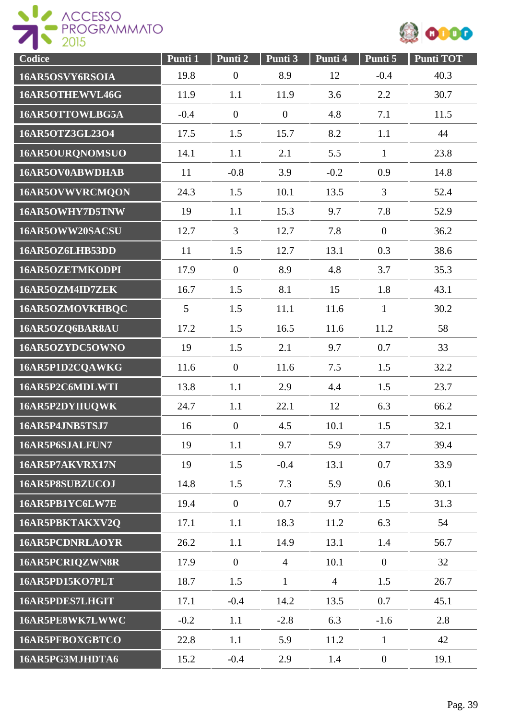



| Codice                 | Punti 1 | Punti 2          | Punti 3        | Punti 4        | Punti 5          | Punti TOT |
|------------------------|---------|------------------|----------------|----------------|------------------|-----------|
| 16AR5OSVY6RSOIA        | 19.8    | $\boldsymbol{0}$ | 8.9            | 12             | $-0.4$           | 40.3      |
| 16AR5OTHEWVL46G        | 11.9    | 1.1              | 11.9           | 3.6            | 2.2              | 30.7      |
| 16AR5OTTOWLBG5A        | $-0.4$  | $\overline{0}$   | $\mathbf{0}$   | 4.8            | 7.1              | 11.5      |
| 16AR5OTZ3GL23O4        | 17.5    | 1.5              | 15.7           | 8.2            | 1.1              | 44        |
| 16AR5OURQNOMSUO        | 14.1    | 1.1              | 2.1            | 5.5            | $\mathbf{1}$     | 23.8      |
| 16AR5OV0ABWDHAB        | 11      | $-0.8$           | 3.9            | $-0.2$         | 0.9              | 14.8      |
| 16AR5OVWVRCMQON        | 24.3    | 1.5              | 10.1           | 13.5           | 3                | 52.4      |
| 16AR5OWHY7D5TNW        | 19      | 1.1              | 15.3           | 9.7            | 7.8              | 52.9      |
| 16AR5OWW20SACSU        | 12.7    | $\overline{3}$   | 12.7           | 7.8            | $\overline{0}$   | 36.2      |
| 16AR5OZ6LHB53DD        | 11      | 1.5              | 12.7           | 13.1           | 0.3              | 38.6      |
| 16AR5OZETMKODPI        | 17.9    | $\overline{0}$   | 8.9            | 4.8            | 3.7              | 35.3      |
| 16AR5OZM4ID7ZEK        | 16.7    | 1.5              | 8.1            | 15             | 1.8              | 43.1      |
| 16AR5OZMOVKHBQC        | 5       | 1.5              | 11.1           | 11.6           | $\mathbf{1}$     | 30.2      |
| 16AR5OZQ6BAR8AU        | 17.2    | 1.5              | 16.5           | 11.6           | 11.2             | 58        |
| 16AR5OZYDC5OWNO        | 19      | 1.5              | 2.1            | 9.7            | 0.7              | 33        |
| 16AR5P1D2CQAWKG        | 11.6    | $\overline{0}$   | 11.6           | 7.5            | 1.5              | 32.2      |
| 16AR5P2C6MDLWTI        | 13.8    | 1.1              | 2.9            | 4.4            | 1.5              | 23.7      |
| 16AR5P2DYIIUQWK        | 24.7    | 1.1              | 22.1           | 12             | 6.3              | 66.2      |
| 16AR5P4JNB5TSJ7        | 16      | $\boldsymbol{0}$ | 4.5            | 10.1           | 1.5              | 32.1      |
| 16AR5P6SJALFUN7        | 19      | 1.1              | 9.7            | 5.9            | 3.7              | 39.4      |
| 16AR5P7AKVRX17N        | 19      | 1.5              | $-0.4$         | 13.1           | 0.7              | 33.9      |
| 16AR5P8SUBZUCOJ        | 14.8    | 1.5              | 7.3            | 5.9            | 0.6              | 30.1      |
| 16AR5PB1YC6LW7E        | 19.4    | $\overline{0}$   | 0.7            | 9.7            | 1.5              | 31.3      |
| 16AR5PBKTAKXV2Q        | 17.1    | 1.1              | 18.3           | 11.2           | 6.3              | 54        |
| <b>16AR5PCDNRLAOYR</b> | 26.2    | 1.1              | 14.9           | 13.1           | 1.4              | 56.7      |
| 16AR5PCRIQZWN8R        | 17.9    | $\overline{0}$   | $\overline{4}$ | 10.1           | $\overline{0}$   | 32        |
| 16AR5PD15KO7PLT        | 18.7    | 1.5              | $\mathbf{1}$   | $\overline{4}$ | 1.5              | 26.7      |
| 16AR5PDES7LHGIT        | 17.1    | $-0.4$           | 14.2           | 13.5           | 0.7              | 45.1      |
| 16AR5PE8WK7LWWC        | $-0.2$  | 1.1              | $-2.8$         | 6.3            | $-1.6$           | 2.8       |
| 16AR5PFBOXGBTCO        | 22.8    | 1.1              | 5.9            | 11.2           | $\mathbf{1}$     | 42        |
| 16AR5PG3MJHDTA6        | 15.2    | $-0.4$           | 2.9            | 1.4            | $\boldsymbol{0}$ | 19.1      |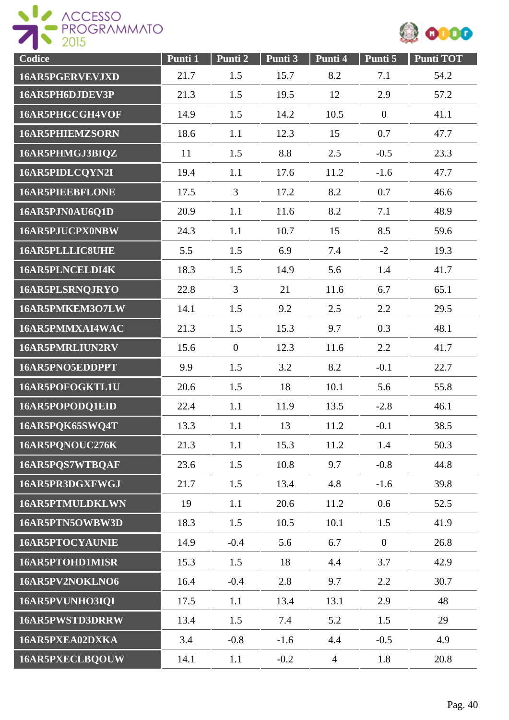



| Codice                 | Punti 1 | Punti 2        | Punti 3 | Punti 4        | Punti 5      | <b>Punti TOT</b> |
|------------------------|---------|----------------|---------|----------------|--------------|------------------|
| 16AR5PGERVEVJXD        | 21.7    | 1.5            | 15.7    | 8.2            | 7.1          | 54.2             |
| 16AR5PH6DJDEV3P        | 21.3    | 1.5            | 19.5    | 12             | 2.9          | 57.2             |
| 16AR5PHGCGH4VOF        | 14.9    | 1.5            | 14.2    | 10.5           | $\mathbf{0}$ | 41.1             |
| <b>16AR5PHIEMZSORN</b> | 18.6    | 1.1            | 12.3    | 15             | 0.7          | 47.7             |
| 16AR5PHMGJ3BIQZ        | 11      | 1.5            | 8.8     | 2.5            | $-0.5$       | 23.3             |
| 16AR5PIDLCQYN2I        | 19.4    | 1.1            | 17.6    | 11.2           | $-1.6$       | 47.7             |
| <b>16AR5PIEEBFLONE</b> | 17.5    | 3              | 17.2    | 8.2            | 0.7          | 46.6             |
| 16AR5PJN0AU6Q1D        | 20.9    | 1.1            | 11.6    | 8.2            | 7.1          | 48.9             |
| 16AR5PJUCPX0NBW        | 24.3    | 1.1            | 10.7    | 15             | 8.5          | 59.6             |
| 16AR5PLLLIC8UHE        | 5.5     | 1.5            | 6.9     | 7.4            | $-2$         | 19.3             |
| 16AR5PLNCELDI4K        | 18.3    | 1.5            | 14.9    | 5.6            | 1.4          | 41.7             |
| 16AR5PLSRNQJRYO        | 22.8    | $\overline{3}$ | 21      | 11.6           | 6.7          | 65.1             |
| 16AR5PMKEM3O7LW        | 14.1    | 1.5            | 9.2     | 2.5            | 2.2          | 29.5             |
| 16AR5PMMXAI4WAC        | 21.3    | 1.5            | 15.3    | 9.7            | 0.3          | 48.1             |
| 16AR5PMRLIUN2RV        | 15.6    | $\overline{0}$ | 12.3    | 11.6           | 2.2          | 41.7             |
| 16AR5PNO5EDDPPT        | 9.9     | 1.5            | 3.2     | 8.2            | $-0.1$       | 22.7             |
| 16AR5POFOGKTL1U        | 20.6    | 1.5            | 18      | 10.1           | 5.6          | 55.8             |
| 16AR5POPODQ1EID        | 22.4    | 1.1            | 11.9    | 13.5           | $-2.8$       | 46.1             |
| 16AR5PQK65SWQ4T        | 13.3    | 1.1            | 13      | 11.2           | $-0.1$       | 38.5             |
| 16AR5PQNOUC276K        | 21.3    | 1.1            | 15.3    | 11.2           | 1.4          | 50.3             |
| 16AR5PQS7WTBQAF        | 23.6    | 1.5            | 10.8    | 9.7            | $-0.8$       | 44.8             |
| 16AR5PR3DGXFWGJ        | 21.7    | 1.5            | 13.4    | 4.8            | $-1.6$       | 39.8             |
| 16AR5PTMULDKLWN        | 19      | 1.1            | 20.6    | 11.2           | 0.6          | 52.5             |
| 16AR5PTN5OWBW3D        | 18.3    | 1.5            | 10.5    | 10.1           | 1.5          | 41.9             |
| 16AR5PTOCYAUNIE        | 14.9    | $-0.4$         | 5.6     | 6.7            | $\mathbf{0}$ | 26.8             |
| 16AR5PTOHD1MISR        | 15.3    | 1.5            | 18      | 4.4            | 3.7          | 42.9             |
| 16AR5PV2NOKLNO6        | 16.4    | $-0.4$         | 2.8     | 9.7            | 2.2          | 30.7             |
| 16AR5PVUNHO3IQI        | 17.5    | 1.1            | 13.4    | 13.1           | 2.9          | 48               |
| 16AR5PWSTD3DRRW        | 13.4    | 1.5            | 7.4     | 5.2            | 1.5          | 29               |
| 16AR5PXEA02DXKA        | 3.4     | $-0.8$         | $-1.6$  | 4.4            | $-0.5$       | 4.9              |
| 16AR5PXECLBQOUW        | 14.1    | 1.1            | $-0.2$  | $\overline{4}$ | 1.8          | 20.8             |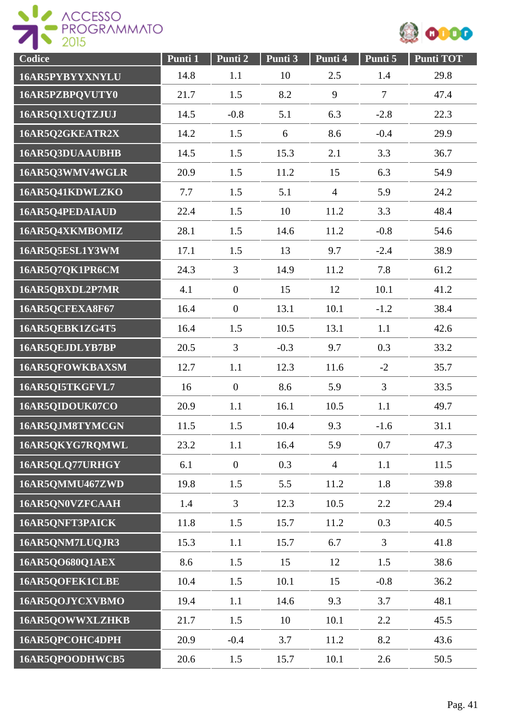



| Codice          | Punti 1 | Punti 2          | Punti 3 | Punti 4        | Punti 5        | <b>Punti TOT</b> |
|-----------------|---------|------------------|---------|----------------|----------------|------------------|
| 16AR5PYBYYXNYLU | 14.8    | 1.1              | 10      | 2.5            | 1.4            | 29.8             |
| 16AR5PZBPQVUTY0 | 21.7    | 1.5              | 8.2     | 9              | $\overline{7}$ | 47.4             |
| 16AR5Q1XUQTZJUJ | 14.5    | $-0.8$           | 5.1     | 6.3            | $-2.8$         | 22.3             |
| 16AR5Q2GKEATR2X | 14.2    | 1.5              | 6       | 8.6            | $-0.4$         | 29.9             |
| 16AR5Q3DUAAUBHB | 14.5    | 1.5              | 15.3    | 2.1            | 3.3            | 36.7             |
| 16AR5Q3WMV4WGLR | 20.9    | 1.5              | 11.2    | 15             | 6.3            | 54.9             |
| 16AR5Q41KDWLZKO | 7.7     | 1.5              | 5.1     | $\overline{4}$ | 5.9            | 24.2             |
| 16AR5Q4PEDAIAUD | 22.4    | 1.5              | 10      | 11.2           | 3.3            | 48.4             |
| 16AR5Q4XKMBOMIZ | 28.1    | 1.5              | 14.6    | 11.2           | $-0.8$         | 54.6             |
| 16AR5Q5ESL1Y3WM | 17.1    | 1.5              | 13      | 9.7            | $-2.4$         | 38.9             |
| 16AR5Q7QK1PR6CM | 24.3    | $\overline{3}$   | 14.9    | 11.2           | 7.8            | 61.2             |
| 16AR5QBXDL2P7MR | 4.1     | $\overline{0}$   | 15      | 12             | 10.1           | 41.2             |
| 16AR5QCFEXA8F67 | 16.4    | $\overline{0}$   | 13.1    | 10.1           | $-1.2$         | 38.4             |
| 16AR5QEBK1ZG4T5 | 16.4    | 1.5              | 10.5    | 13.1           | 1.1            | 42.6             |
| 16AR5QEJDLYB7BP | 20.5    | $\overline{3}$   | $-0.3$  | 9.7            | 0.3            | 33.2             |
| 16AR5QFOWKBAXSM | 12.7    | 1.1              | 12.3    | 11.6           | $-2$           | 35.7             |
| 16AR5QI5TKGFVL7 | 16      | $\boldsymbol{0}$ | 8.6     | 5.9            | 3              | 33.5             |
| 16AR5QIDOUK07CO | 20.9    | 1.1              | 16.1    | 10.5           | 1.1            | 49.7             |
| 16AR5QJM8TYMCGN | 11.5    | 1.5              | 10.4    | 9.3            | $-1.6$         | 31.1             |
| 16AR5QKYG7RQMWL | 23.2    | 1.1              | 16.4    | 5.9            | 0.7            | 47.3             |
| 16AR5QLQ77URHGY | 6.1     | $\boldsymbol{0}$ | 0.3     | $\overline{4}$ | 1.1            | 11.5             |
| 16AR5QMMU467ZWD | 19.8    | 1.5              | 5.5     | 11.2           | 1.8            | 39.8             |
| 16AR5QN0VZFCAAH | 1.4     | $\overline{3}$   | 12.3    | 10.5           | 2.2            | 29.4             |
| 16AR5QNFT3PAICK | 11.8    | 1.5              | 15.7    | 11.2           | 0.3            | 40.5             |
| 16AR5QNM7LUQJR3 | 15.3    | 1.1              | 15.7    | 6.7            | $\overline{3}$ | 41.8             |
| 16AR5QO680Q1AEX | 8.6     | 1.5              | 15      | 12             | 1.5            | 38.6             |
| 16AR5QOFEK1CLBE | 10.4    | 1.5              | 10.1    | 15             | $-0.8$         | 36.2             |
| 16AR5QOJYCXVBMO | 19.4    | 1.1              | 14.6    | 9.3            | 3.7            | 48.1             |
| 16AR5QOWWXLZHKB | 21.7    | 1.5              | 10      | 10.1           | 2.2            | 45.5             |
| 16AR5QPCOHC4DPH | 20.9    | $-0.4$           | 3.7     | 11.2           | 8.2            | 43.6             |
| 16AR5QPOODHWCB5 | 20.6    | 1.5              | 15.7    | 10.1           | 2.6            | 50.5             |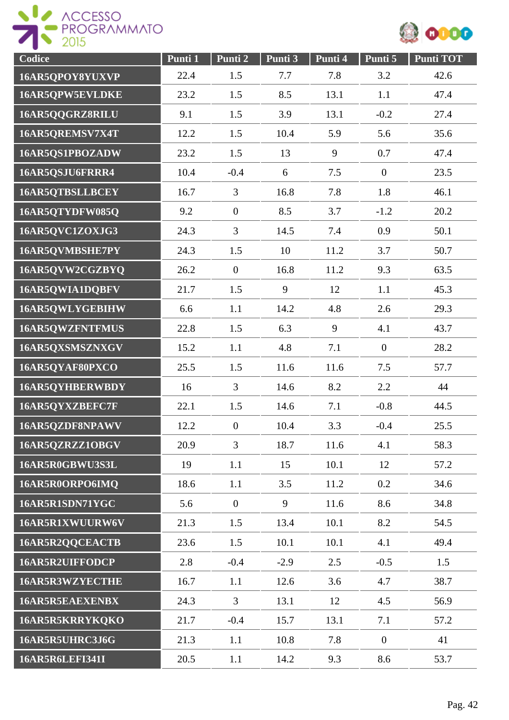



| Codice                 | Punti 1 | Punti 2          | Punti 3 | Punti 4 | Punti 5          | <b>Punti TOT</b> |
|------------------------|---------|------------------|---------|---------|------------------|------------------|
| 16AR5QPOY8YUXVP        | 22.4    | 1.5              | 7.7     | 7.8     | 3.2              | 42.6             |
| 16AR5QPW5EVLDKE        | 23.2    | 1.5              | 8.5     | 13.1    | 1.1              | 47.4             |
| 16AR5QQGRZ8RILU        | 9.1     | 1.5              | 3.9     | 13.1    | $-0.2$           | 27.4             |
| 16AR5QREMSV7X4T        | 12.2    | 1.5              | 10.4    | 5.9     | 5.6              | 35.6             |
| 16AR5QS1PBOZADW        | 23.2    | 1.5              | 13      | 9       | 0.7              | 47.4             |
| 16AR5QSJU6FRRR4        | 10.4    | $-0.4$           | 6       | 7.5     | $\boldsymbol{0}$ | 23.5             |
| 16AR5QTBSLLBCEY        | 16.7    | 3                | 16.8    | 7.8     | 1.8              | 46.1             |
| 16AR5QTYDFW085Q        | 9.2     | $\overline{0}$   | 8.5     | 3.7     | $-1.2$           | 20.2             |
| 16AR5QVC1ZOXJG3        | 24.3    | $\overline{3}$   | 14.5    | 7.4     | 0.9              | 50.1             |
| 16AR5QVMBSHE7PY        | 24.3    | 1.5              | 10      | 11.2    | 3.7              | 50.7             |
| 16AR5QVW2CGZBYQ        | 26.2    | $\overline{0}$   | 16.8    | 11.2    | 9.3              | 63.5             |
| 16AR5QWIA1DQBFV        | 21.7    | 1.5              | 9       | 12      | 1.1              | 45.3             |
| 16AR5QWLYGEBIHW        | 6.6     | 1.1              | 14.2    | 4.8     | 2.6              | 29.3             |
| 16AR5QWZFNTFMUS        | 22.8    | 1.5              | 6.3     | 9       | 4.1              | 43.7             |
| 16AR5QXSMSZNXGV        | 15.2    | 1.1              | 4.8     | 7.1     | $\mathbf{0}$     | 28.2             |
| 16AR5QYAF80PXCO        | 25.5    | 1.5              | 11.6    | 11.6    | 7.5              | 57.7             |
| 16AR5QYHBERWBDY        | 16      | 3                | 14.6    | 8.2     | 2.2              | 44               |
| 16AR5QYXZBEFC7F        | 22.1    | 1.5              | 14.6    | 7.1     | $-0.8$           | 44.5             |
| 16AR5QZDF8NPAWV        | 12.2    | $\boldsymbol{0}$ | 10.4    | 3.3     | $-0.4$           | 25.5             |
| 16AR5QZRZZ1OBGV        | 20.9    | 3                | 18.7    | 11.6    | 4.1              | 58.3             |
| 16AR5R0GBWU3S3L        | 19      | 1.1              | 15      | 10.1    | 12               | 57.2             |
| 16AR5R0ORPO6IMQ        | 18.6    | 1.1              | 3.5     | 11.2    | 0.2              | 34.6             |
| 16AR5R1SDN71YGC        | 5.6     | $\overline{0}$   | 9       | 11.6    | 8.6              | 34.8             |
| 16AR5R1XWUURW6V        | 21.3    | 1.5              | 13.4    | 10.1    | 8.2              | 54.5             |
| 16AR5R2QQCEACTB        | 23.6    | 1.5              | 10.1    | 10.1    | 4.1              | 49.4             |
| 16AR5R2UIFFODCP        | 2.8     | $-0.4$           | $-2.9$  | 2.5     | $-0.5$           | 1.5              |
| 16AR5R3WZYECTHE        | 16.7    | 1.1              | 12.6    | 3.6     | 4.7              | 38.7             |
| 16AR5R5EAEXENBX        | 24.3    | $\overline{3}$   | 13.1    | 12      | 4.5              | 56.9             |
| 16AR5R5KRRYKQKO        | 21.7    | $-0.4$           | 15.7    | 13.1    | 7.1              | 57.2             |
| 16AR5R5UHRC3J6G        | 21.3    | 1.1              | 10.8    | 7.8     | $\mathbf{0}$     | 41               |
| <b>16AR5R6LEFI341I</b> | 20.5    | 1.1              | 14.2    | 9.3     | 8.6              | 53.7             |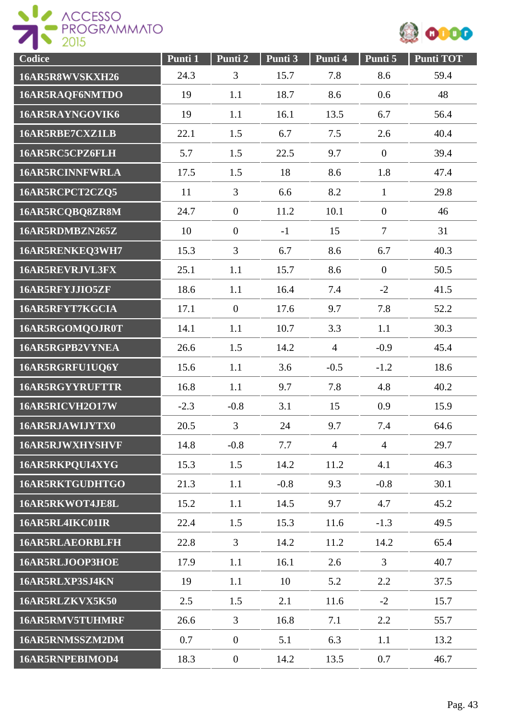



| Codice                 | Punti 1 | Punti <sub>2</sub> | Punti 3 | Punti 4        | Punti 5          | <b>Punti TOT</b> |
|------------------------|---------|--------------------|---------|----------------|------------------|------------------|
| 16AR5R8WVSKXH26        | 24.3    | 3                  | 15.7    | 7.8            | 8.6              | 59.4             |
| 16AR5RAQF6NMTDO        | 19      | 1.1                | 18.7    | 8.6            | 0.6              | 48               |
| 16AR5RAYNGOVIK6        | 19      | 1.1                | 16.1    | 13.5           | 6.7              | 56.4             |
| 16AR5RBE7CXZ1LB        | 22.1    | 1.5                | 6.7     | 7.5            | 2.6              | 40.4             |
| 16AR5RC5CPZ6FLH        | 5.7     | 1.5                | 22.5    | 9.7            | $\boldsymbol{0}$ | 39.4             |
| <b>16AR5RCINNFWRLA</b> | 17.5    | 1.5                | 18      | 8.6            | 1.8              | 47.4             |
| 16AR5RCPCT2CZQ5        | 11      | 3                  | 6.6     | 8.2            | $\mathbf{1}$     | 29.8             |
| 16AR5RCQBQ8ZR8M        | 24.7    | $\boldsymbol{0}$   | 11.2    | 10.1           | $\boldsymbol{0}$ | 46               |
| 16AR5RDMBZN265Z        | 10      | $\overline{0}$     | $-1$    | 15             | $\overline{7}$   | 31               |
| 16AR5RENKEQ3WH7        | 15.3    | 3                  | 6.7     | 8.6            | 6.7              | 40.3             |
| 16AR5REVRJVL3FX        | 25.1    | 1.1                | 15.7    | 8.6            | $\overline{0}$   | 50.5             |
| 16AR5RFYJJIO5ZF        | 18.6    | 1.1                | 16.4    | 7.4            | $-2$             | 41.5             |
| 16AR5RFYT7KGCIA        | 17.1    | $\mathbf{0}$       | 17.6    | 9.7            | 7.8              | 52.2             |
| 16AR5RGOMQOJR0T        | 14.1    | 1.1                | 10.7    | 3.3            | 1.1              | 30.3             |
| 16AR5RGPB2VYNEA        | 26.6    | 1.5                | 14.2    | $\overline{4}$ | $-0.9$           | 45.4             |
| 16AR5RGRFU1UQ6Y        | 15.6    | 1.1                | 3.6     | $-0.5$         | $-1.2$           | 18.6             |
| <b>16AR5RGYYRUFTTR</b> | 16.8    | 1.1                | 9.7     | 7.8            | 4.8              | 40.2             |
| 16AR5RICVH2O17W        | $-2.3$  | $-0.8$             | 3.1     | 15             | 0.9              | 15.9             |
| 16AR5RJAWIJYTX0        | 20.5    | 3                  | 24      | 9.7            | 7.4              | 64.6             |
| 16AR5RJWXHYSHVF        | 14.8    | $-0.8$             | 7.7     | $\overline{4}$ | $\overline{4}$   | 29.7             |
| 16AR5RKPQUI4XYG        | 15.3    | 1.5                | 14.2    | 11.2           | 4.1              | 46.3             |
| 16AR5RKTGUDHTGO        | 21.3    | 1.1                | $-0.8$  | 9.3            | $-0.8$           | 30.1             |
| 16AR5RKWOT4JE8L        | 15.2    | 1.1                | 14.5    | 9.7            | 4.7              | 45.2             |
| 16AR5RL4IKC01IR        | 22.4    | 1.5                | 15.3    | 11.6           | $-1.3$           | 49.5             |
| <b>16AR5RLAEORBLFH</b> | 22.8    | $\overline{3}$     | 14.2    | 11.2           | 14.2             | 65.4             |
| 16AR5RLJOOP3HOE        | 17.9    | 1.1                | 16.1    | 2.6            | 3                | 40.7             |
| 16AR5RLXP3SJ4KN        | 19      | 1.1                | 10      | 5.2            | 2.2              | 37.5             |
| 16AR5RLZKVX5K50        | 2.5     | 1.5                | 2.1     | 11.6           | $-2$             | 15.7             |
| 16AR5RMV5TUHMRF        | 26.6    | 3                  | 16.8    | 7.1            | 2.2              | 55.7             |
| 16AR5RNMSSZM2DM        | 0.7     | $\boldsymbol{0}$   | 5.1     | 6.3            | 1.1              | 13.2             |
| 16AR5RNPEBIMOD4        | 18.3    | $\boldsymbol{0}$   | 14.2    | 13.5           | 0.7              | 46.7             |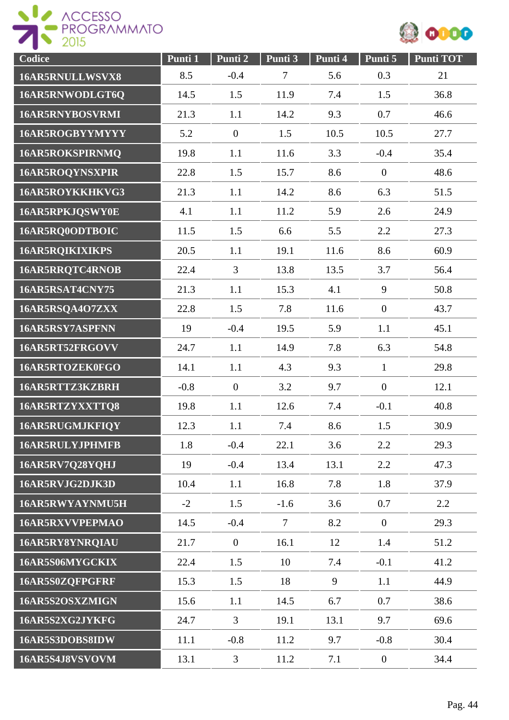

| Codice                 | Punti 1 | Punti 2          | Punti 3 | Punti 4 | Punti 5          | <b>Punti TOT</b> |
|------------------------|---------|------------------|---------|---------|------------------|------------------|
| 16AR5RNULLWSVX8        | 8.5     | $-0.4$           | $\tau$  | 5.6     | 0.3              | 21               |
| 16AR5RNWODLGT6Q        | 14.5    | 1.5              | 11.9    | 7.4     | 1.5              | 36.8             |
| <b>16AR5RNYBOSVRMI</b> | 21.3    | 1.1              | 14.2    | 9.3     | 0.7              | 46.6             |
| 16AR5ROGBYYMYYY        | 5.2     | $\overline{0}$   | 1.5     | 10.5    | 10.5             | 27.7             |
| 16AR5ROKSPIRNMQ        | 19.8    | 1.1              | 11.6    | 3.3     | $-0.4$           | 35.4             |
| 16AR5ROQYNSXPIR        | 22.8    | 1.5              | 15.7    | 8.6     | $\boldsymbol{0}$ | 48.6             |
| 16AR5ROYKKHKVG3        | 21.3    | 1.1              | 14.2    | 8.6     | 6.3              | 51.5             |
| 16AR5RPKJQSWY0E        | 4.1     | 1.1              | 11.2    | 5.9     | 2.6              | 24.9             |
| 16AR5RQ0ODTBOIC        | 11.5    | 1.5              | 6.6     | 5.5     | 2.2              | 27.3             |
| <b>16AR5RQIKIXIKPS</b> | 20.5    | 1.1              | 19.1    | 11.6    | 8.6              | 60.9             |
| 16AR5RRQTC4RNOB        | 22.4    | $\overline{3}$   | 13.8    | 13.5    | 3.7              | 56.4             |
| 16AR5RSAT4CNY75        | 21.3    | 1.1              | 15.3    | 4.1     | 9                | 50.8             |
| 16AR5RSQA4O7ZXX        | 22.8    | 1.5              | 7.8     | 11.6    | $\overline{0}$   | 43.7             |
| 16AR5RSY7ASPFNN        | 19      | $-0.4$           | 19.5    | 5.9     | 1.1              | 45.1             |
| 16AR5RT52FRGOVV        | 24.7    | 1.1              | 14.9    | 7.8     | 6.3              | 54.8             |
| 16AR5RTOZEK0FGO        | 14.1    | 1.1              | 4.3     | 9.3     | $\mathbf{1}$     | 29.8             |
| 16AR5RTTZ3KZBRH        | $-0.8$  | $\boldsymbol{0}$ | 3.2     | 9.7     | $\overline{0}$   | 12.1             |
| 16AR5RTZYXXTTQ8        | 19.8    | 1.1              | 12.6    | 7.4     | $-0.1$           | 40.8             |
| 16AR5RUGMJKFIQY        | 12.3    | 1.1              | 7.4     | 8.6     | 1.5              | 30.9             |
| <b>16AR5RULYJPHMFB</b> | 1.8     | $-0.4$           | 22.1    | 3.6     | 2.2              | 29.3             |
| 16AR5RV7Q28YQHJ        | 19      | $-0.4$           | 13.4    | 13.1    | 2.2              | 47.3             |
| 16AR5RVJG2DJK3D        | 10.4    | 1.1              | 16.8    | 7.8     | 1.8              | 37.9             |
| 16AR5RWYAYNMU5H        | $-2$    | 1.5              | $-1.6$  | 3.6     | 0.7              | 2.2              |
| 16AR5RXVVPEPMAO        | 14.5    | $-0.4$           | $\tau$  | 8.2     | $\mathbf{0}$     | 29.3             |
| 16AR5RY8YNRQIAU        | 21.7    | $\overline{0}$   | 16.1    | 12      | 1.4              | 51.2             |
| 16AR5S06MYGCKIX        | 22.4    | 1.5              | 10      | 7.4     | $-0.1$           | 41.2             |
| 16AR5S0ZQFPGFRF        | 15.3    | 1.5              | 18      | 9       | 1.1              | 44.9             |
| 16AR5S2OSXZMIGN        | 15.6    | 1.1              | 14.5    | 6.7     | 0.7              | 38.6             |
| 16AR5S2XG2JYKFG        | 24.7    | 3                | 19.1    | 13.1    | 9.7              | 69.6             |
| 16AR5S3DOBS8IDW        | 11.1    | $-0.8$           | 11.2    | 9.7     | $-0.8$           | 30.4             |
| 16AR5S4J8VSVOVM        | 13.1    | $\mathfrak{Z}$   | 11.2    | 7.1     | $\overline{0}$   | 34.4             |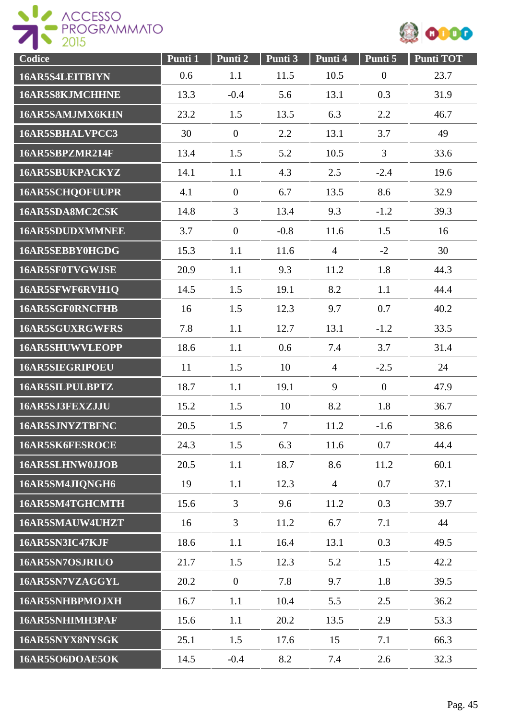

| Codice                 | Punti 1 | Punti 2          | Punti 3        | Punti 4        | Punti 5          | Punti TOT |
|------------------------|---------|------------------|----------------|----------------|------------------|-----------|
| 16AR5S4LEITBIYN        | 0.6     | 1.1              | 11.5           | 10.5           | $\boldsymbol{0}$ | 23.7      |
| 16AR5S8KJMCHHNE        | 13.3    | $-0.4$           | 5.6            | 13.1           | 0.3              | 31.9      |
| 16AR5SAMJMX6KHN        | 23.2    | 1.5              | 13.5           | 6.3            | 2.2              | 46.7      |
| 16AR5SBHALVPCC3        | 30      | $\overline{0}$   | 2.2            | 13.1           | 3.7              | 49        |
| 16AR5SBPZMR214F        | 13.4    | 1.5              | 5.2            | 10.5           | 3                | 33.6      |
| 16AR5SBUKPACKYZ        | 14.1    | 1.1              | 4.3            | 2.5            | $-2.4$           | 19.6      |
| <b>16AR5SCHQOFUUPR</b> | 4.1     | $\boldsymbol{0}$ | 6.7            | 13.5           | 8.6              | 32.9      |
| 16AR5SDA8MC2CSK        | 14.8    | $\overline{3}$   | 13.4           | 9.3            | $-1.2$           | 39.3      |
| <b>16AR5SDUDXMMNEE</b> | 3.7     | $\overline{0}$   | $-0.8$         | 11.6           | 1.5              | 16        |
| 16AR5SEBBY0HGDG        | 15.3    | 1.1              | 11.6           | $\overline{4}$ | $-2$             | 30        |
| 16AR5SF0TVGWJSE        | 20.9    | 1.1              | 9.3            | 11.2           | 1.8              | 44.3      |
| 16AR5SFWF6RVH1Q        | 14.5    | 1.5              | 19.1           | 8.2            | 1.1              | 44.4      |
| 16AR5SGF0RNCFHB        | 16      | 1.5              | 12.3           | 9.7            | 0.7              | 40.2      |
| <b>16AR5SGUXRGWFRS</b> | 7.8     | 1.1              | 12.7           | 13.1           | $-1.2$           | 33.5      |
| <b>16AR5SHUWVLEOPP</b> | 18.6    | 1.1              | 0.6            | 7.4            | 3.7              | 31.4      |
| <b>16AR5SIEGRIPOEU</b> | 11      | 1.5              | 10             | $\overline{4}$ | $-2.5$           | 24        |
| 16AR5SILPULBPTZ        | 18.7    | 1.1              | 19.1           | 9              | $\overline{0}$   | 47.9      |
| 16AR5SJ3FEXZJJU        | 15.2    | 1.5              | 10             | 8.2            | 1.8              | 36.7      |
| 16AR5SJNYZTBFNC        | 20.5    | 1.5              | $\overline{7}$ | 11.2           | $-1.6$           | 38.6      |
| 16AR5SK6FESROCE        | 24.3    | 1.5              | 6.3            | 11.6           | 0.7              | 44.4      |
| 16AR5SLHNW0JJOB        | 20.5    | 1.1              | 18.7           | 8.6            | 11.2             | 60.1      |
| 16AR5SM4JIQNGH6        | 19      | 1.1              | 12.3           | $\overline{4}$ | 0.7              | 37.1      |
| 16AR5SM4TGHCMTH        | 15.6    | 3                | 9.6            | 11.2           | 0.3              | 39.7      |
| 16AR5SMAUW4UHZT        | 16      | 3                | 11.2           | 6.7            | 7.1              | 44        |
| 16AR5SN3IC47KJF        | 18.6    | 1.1              | 16.4           | 13.1           | 0.3              | 49.5      |
| 16AR5SN7OSJRIUO        | 21.7    | 1.5              | 12.3           | 5.2            | 1.5              | 42.2      |
| 16AR5SN7VZAGGYL        | 20.2    | $\overline{0}$   | 7.8            | 9.7            | 1.8              | 39.5      |
| <b>16AR5SNHBPMOJXH</b> | 16.7    | 1.1              | 10.4           | 5.5            | 2.5              | 36.2      |
| 16AR5SNHIMH3PAF        | 15.6    | 1.1              | 20.2           | 13.5           | 2.9              | 53.3      |
| 16AR5SNYX8NYSGK        | 25.1    | 1.5              | 17.6           | 15             | 7.1              | 66.3      |
| 16AR5SO6DOAE5OK        | 14.5    | $-0.4$           | 8.2            | 7.4            | 2.6              | 32.3      |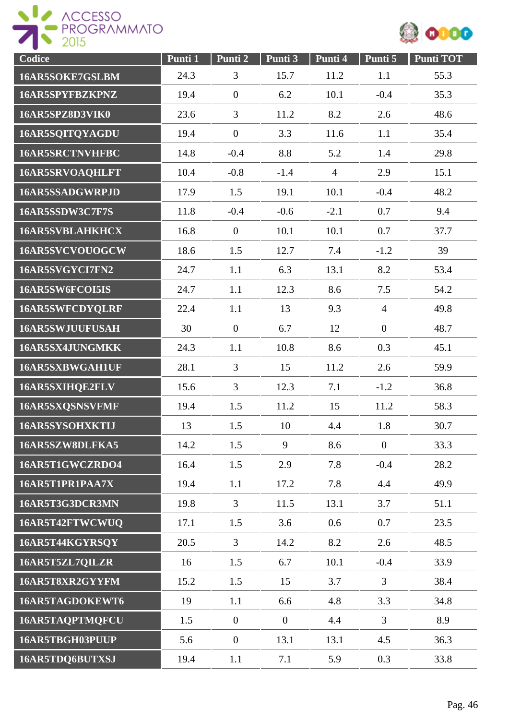

| Codice                 | Punti 1 | Punti 2          | Punti 3          | Punti 4        | Punti 5          | <b>Punti TOT</b> |
|------------------------|---------|------------------|------------------|----------------|------------------|------------------|
| 16AR5SOKE7GSLBM        | 24.3    | 3                | 15.7             | 11.2           | 1.1              | 55.3             |
| 16AR5SPYFBZKPNZ        | 19.4    | $\boldsymbol{0}$ | 6.2              | 10.1           | $-0.4$           | 35.3             |
| 16AR5SPZ8D3VIK0        | 23.6    | 3                | 11.2             | 8.2            | 2.6              | 48.6             |
| 16AR5SQITQYAGDU        | 19.4    | $\overline{0}$   | 3.3              | 11.6           | 1.1              | 35.4             |
| 16AR5SRCTNVHFBC        | 14.8    | $-0.4$           | 8.8              | 5.2            | 1.4              | 29.8             |
| <b>16AR5SRVOAQHLFT</b> | 10.4    | $-0.8$           | $-1.4$           | $\overline{4}$ | 2.9              | 15.1             |
| 16AR5SSADGWRPJD        | 17.9    | 1.5              | 19.1             | 10.1           | $-0.4$           | 48.2             |
| 16AR5SSDW3C7F7S        | 11.8    | $-0.4$           | $-0.6$           | $-2.1$         | 0.7              | 9.4              |
| <b>16AR5SVBLAHKHCX</b> | 16.8    | $\overline{0}$   | 10.1             | 10.1           | 0.7              | 37.7             |
| 16AR5SVCVOUOGCW        | 18.6    | 1.5              | 12.7             | 7.4            | $-1.2$           | 39               |
| 16AR5SVGYCI7FN2        | 24.7    | 1.1              | 6.3              | 13.1           | 8.2              | 53.4             |
| 16AR5SW6FCOI5IS        | 24.7    | 1.1              | 12.3             | 8.6            | 7.5              | 54.2             |
| 16AR5SWFCDYQLRF        | 22.4    | 1.1              | 13               | 9.3            | $\overline{4}$   | 49.8             |
| 16AR5SWJUUFUSAH        | 30      | $\mathbf{0}$     | 6.7              | 12             | $\boldsymbol{0}$ | 48.7             |
| 16AR5SX4JUNGMKK        | 24.3    | 1.1              | 10.8             | 8.6            | 0.3              | 45.1             |
| 16AR5SXBWGAH1UF        | 28.1    | 3                | 15               | 11.2           | 2.6              | 59.9             |
| 16AR5SXIHQE2FLV        | 15.6    | 3                | 12.3             | 7.1            | $-1.2$           | 36.8             |
| 16AR5SXQSNSVFMF        | 19.4    | 1.5              | 11.2             | 15             | 11.2             | 58.3             |
| 16AR5SYSOHXKTIJ        | 13      | 1.5              | 10               | 4.4            | 1.8              | 30.7             |
| 16AR5SZW8DLFKA5        | 14.2    | 1.5              | 9                | 8.6            | $\overline{0}$   | 33.3             |
| 16AR5T1GWCZRDO4        | 16.4    | 1.5              | 2.9              | 7.8            | $-0.4$           | 28.2             |
| 16AR5T1PR1PAA7X        | 19.4    | 1.1              | 17.2             | 7.8            | 4.4              | 49.9             |
| 16AR5T3G3DCR3MN        | 19.8    | $\overline{3}$   | 11.5             | 13.1           | 3.7              | 51.1             |
| 16AR5T42FTWCWUQ        | 17.1    | 1.5              | 3.6              | 0.6            | 0.7              | 23.5             |
| 16AR5T44KGYRSOY        | 20.5    | $\overline{3}$   | 14.2             | 8.2            | 2.6              | 48.5             |
| 16AR5T5ZL7QILZR        | 16      | 1.5              | 6.7              | 10.1           | $-0.4$           | 33.9             |
| 16AR5T8XR2GYYFM        | 15.2    | 1.5              | 15               | 3.7            | 3                | 38.4             |
| 16AR5TAGDOKEWT6        | 19      | 1.1              | 6.6              | 4.8            | 3.3              | 34.8             |
| 16AR5TAQPTMQFCU        | 1.5     | $\overline{0}$   | $\boldsymbol{0}$ | 4.4            | $\overline{3}$   | 8.9              |
| 16AR5TBGH03PUUP        | 5.6     | $\boldsymbol{0}$ | 13.1             | 13.1           | 4.5              | 36.3             |
| 16AR5TDQ6BUTXSJ        | 19.4    | 1.1              | 7.1              | 5.9            | 0.3              | 33.8             |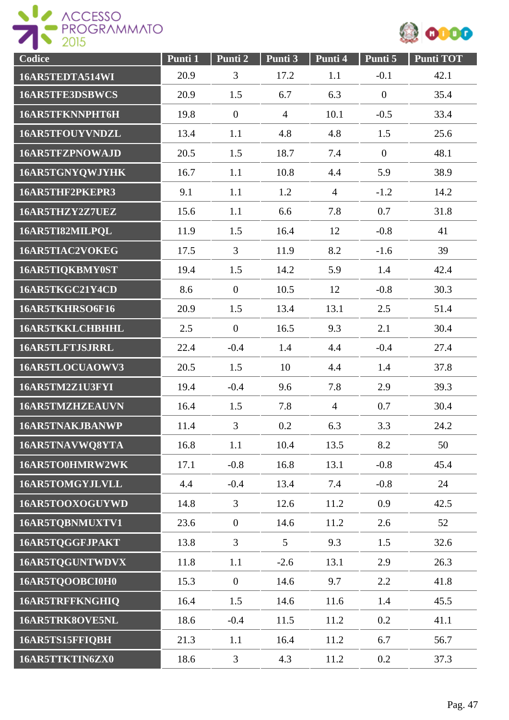



| Codice                 | Punti 1 | Punti 2          | Punti 3        | Punti 4        | Punti 5          | <b>Punti TOT</b> |
|------------------------|---------|------------------|----------------|----------------|------------------|------------------|
| 16AR5TEDTA514WI        | 20.9    | $\overline{3}$   | 17.2           | 1.1            | $-0.1$           | 42.1             |
| 16AR5TFE3DSBWCS        | 20.9    | 1.5              | 6.7            | 6.3            | $\boldsymbol{0}$ | 35.4             |
| 16AR5TFKNNPHT6H        | 19.8    | $\overline{0}$   | $\overline{4}$ | 10.1           | $-0.5$           | 33.4             |
| 16AR5TFOUYVNDZL        | 13.4    | 1.1              | 4.8            | 4.8            | 1.5              | 25.6             |
| 16AR5TFZPNOWAJD        | 20.5    | 1.5              | 18.7           | 7.4            | $\boldsymbol{0}$ | 48.1             |
| 16AR5TGNYQWJYHK        | 16.7    | 1.1              | 10.8           | 4.4            | 5.9              | 38.9             |
| 16AR5THF2PKEPR3        | 9.1     | 1.1              | 1.2            | $\overline{4}$ | $-1.2$           | 14.2             |
| 16AR5THZY2Z7UEZ        | 15.6    | 1.1              | 6.6            | 7.8            | 0.7              | 31.8             |
| 16AR5TI82MILPQL        | 11.9    | 1.5              | 16.4           | 12             | $-0.8$           | 41               |
| 16AR5TIAC2VOKEG        | 17.5    | 3                | 11.9           | 8.2            | $-1.6$           | 39               |
| 16AR5TIQKBMY0ST        | 19.4    | 1.5              | 14.2           | 5.9            | 1.4              | 42.4             |
| 16AR5TKGC21Y4CD        | 8.6     | $\overline{0}$   | 10.5           | 12             | $-0.8$           | 30.3             |
| 16AR5TKHRSO6F16        | 20.9    | 1.5              | 13.4           | 13.1           | 2.5              | 51.4             |
| <b>16AR5TKKLCHBHHL</b> | 2.5     | $\overline{0}$   | 16.5           | 9.3            | 2.1              | 30.4             |
| <b>16AR5TLFTJSJRRL</b> | 22.4    | $-0.4$           | 1.4            | 4.4            | $-0.4$           | 27.4             |
| 16AR5TLOCUAOWV3        | 20.5    | 1.5              | 10             | 4.4            | 1.4              | 37.8             |
| 16AR5TM2Z1U3FYI        | 19.4    | $-0.4$           | 9.6            | 7.8            | 2.9              | 39.3             |
| 16AR5TMZHZEAUVN        | 16.4    | 1.5              | 7.8            | $\overline{4}$ | 0.7              | 30.4             |
| 16AR5TNAKJBANWP        | 11.4    | $\overline{3}$   | 0.2            | 6.3            | 3.3              | 24.2             |
| 16AR5TNAVWQ8YTA        | 16.8    | 1.1              | 10.4           | 13.5           | 8.2              | 50               |
| 16AR5TO0HMRW2WK        | 17.1    | $-0.8$           | 16.8           | 13.1           | $-0.8$           | 45.4             |
| 16AR5TOMGYJLVLL        | 4.4     | $-0.4$           | 13.4           | 7.4            | $-0.8$           | 24               |
| 16AR5TOOXOGUYWD        | 14.8    | $\overline{3}$   | 12.6           | 11.2           | 0.9              | 42.5             |
| 16AR5TQBNMUXTV1        | 23.6    | $\boldsymbol{0}$ | 14.6           | 11.2           | 2.6              | 52               |
| 16AR5TQGGFJPAKT        | 13.8    | $\overline{3}$   | 5 <sup>5</sup> | 9.3            | 1.5              | 32.6             |
| 16AR5TQGUNTWDVX        | 11.8    | 1.1              | $-2.6$         | 13.1           | 2.9              | 26.3             |
| 16AR5TQOOBCI0H0        | 15.3    | $\overline{0}$   | 14.6           | 9.7            | 2.2              | 41.8             |
| 16AR5TRFFKNGHIQ        | 16.4    | 1.5              | 14.6           | 11.6           | 1.4              | 45.5             |
| 16AR5TRK8OVE5NL        | 18.6    | $-0.4$           | 11.5           | 11.2           | 0.2              | 41.1             |
| 16AR5TS15FFIQBH        | 21.3    | 1.1              | 16.4           | 11.2           | 6.7              | 56.7             |
| 16AR5TTKTIN6ZX0        | 18.6    | $\mathfrak{Z}$   | 4.3            | 11.2           | 0.2              | 37.3             |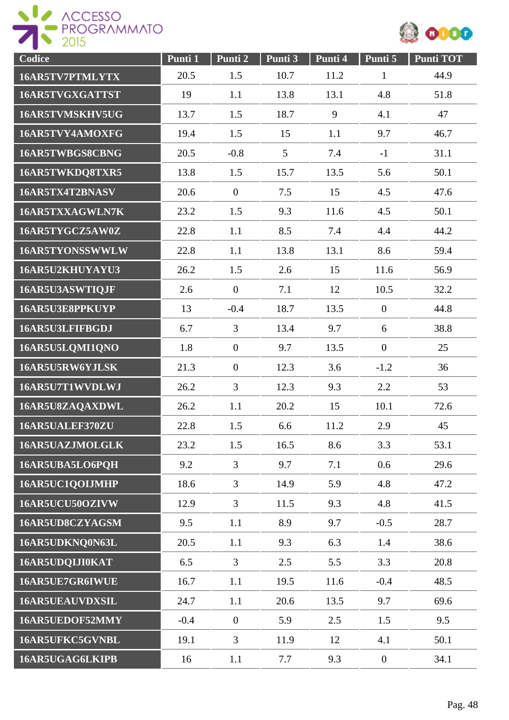



| Codice                 | Punti 1 | Punti 2          | Punti 3 | Punti 4 | Punti 5          | <b>Punti TOT</b> |
|------------------------|---------|------------------|---------|---------|------------------|------------------|
| 16AR5TV7PTMLYTX        | 20.5    | 1.5              | 10.7    | 11.2    | $\mathbf{1}$     | 44.9             |
| 16AR5TVGXGATTST        | 19      | 1.1              | 13.8    | 13.1    | 4.8              | 51.8             |
| 16AR5TVMSKHV5UG        | 13.7    | 1.5              | 18.7    | 9       | 4.1              | 47               |
| 16AR5TVY4AMOXFG        | 19.4    | 1.5              | 15      | 1.1     | 9.7              | 46.7             |
| 16AR5TWBGS8CBNG        | 20.5    | $-0.8$           | 5       | 7.4     | $-1$             | 31.1             |
| 16AR5TWKDQ8TXR5        | 13.8    | 1.5              | 15.7    | 13.5    | 5.6              | 50.1             |
| 16AR5TX4T2BNASV        | 20.6    | $\boldsymbol{0}$ | 7.5     | 15      | 4.5              | 47.6             |
| 16AR5TXXAGWLN7K        | 23.2    | 1.5              | 9.3     | 11.6    | 4.5              | 50.1             |
| 16AR5TYGCZ5AW0Z        | 22.8    | 1.1              | 8.5     | 7.4     | 4.4              | 44.2             |
| 16AR5TYONSSWWLW        | 22.8    | 1.1              | 13.8    | 13.1    | 8.6              | 59.4             |
| 16AR5U2KHUYAYU3        | 26.2    | 1.5              | 2.6     | 15      | 11.6             | 56.9             |
| 16AR5U3ASWTIQJF        | 2.6     | $\boldsymbol{0}$ | 7.1     | 12      | 10.5             | 32.2             |
| 16AR5U3E8PPKUYP        | 13      | $-0.4$           | 18.7    | 13.5    | $\mathbf{0}$     | 44.8             |
| 16AR5U3LFIFBGDJ        | 6.7     | $\overline{3}$   | 13.4    | 9.7     | 6                | 38.8             |
| 16AR5U5LQMI1QNO        | 1.8     | $\boldsymbol{0}$ | 9.7     | 13.5    | $\boldsymbol{0}$ | 25               |
| 16AR5U5RW6YJLSK        | 21.3    | $\boldsymbol{0}$ | 12.3    | 3.6     | $-1.2$           | 36               |
| 16AR5U7T1WVDLWJ        | 26.2    | 3                | 12.3    | 9.3     | 2.2              | 53               |
| 16AR5U8ZAQAXDWL        | 26.2    | 1.1              | 20.2    | 15      | 10.1             | 72.6             |
| 16AR5UALEF370ZU        | 22.8    | 1.5              | 6.6     | 11.2    | 2.9              | 45               |
| 16AR5UAZJMOLGLK        | 23.2    | 1.5              | 16.5    | 8.6     | 3.3              | 53.1             |
| 16AR5UBA5LO6PQH        | 9.2     | $\overline{3}$   | 9.7     | 7.1     | 0.6              | 29.6             |
| 16AR5UC1QOIJMHP        | 18.6    | 3                | 14.9    | 5.9     | 4.8              | 47.2             |
| 16AR5UCU50OZIVW        | 12.9    | $\overline{3}$   | 11.5    | 9.3     | 4.8              | 41.5             |
| 16AR5UD8CZYAGSM        | 9.5     | 1.1              | 8.9     | 9.7     | $-0.5$           | 28.7             |
| 16AR5UDKNQ0N63L        | 20.5    | 1.1              | 9.3     | 6.3     | 1.4              | 38.6             |
| 16AR5UDQIJI0KAT        | 6.5     | $\mathfrak{Z}$   | 2.5     | 5.5     | 3.3              | 20.8             |
| 16AR5UE7GR6IWUE        | 16.7    | 1.1              | 19.5    | 11.6    | $-0.4$           | 48.5             |
| <b>16AR5UEAUVDXSIL</b> | 24.7    | 1.1              | 20.6    | 13.5    | 9.7              | 69.6             |
| 16AR5UEDOF52MMY        | $-0.4$  | $\boldsymbol{0}$ | 5.9     | 2.5     | 1.5              | 9.5              |
| 16AR5UFKC5GVNBL        | 19.1    | $\overline{3}$   | 11.9    | 12      | 4.1              | 50.1             |
| 16AR5UGAG6LKIPB        | 16      | 1.1              | 7.7     | 9.3     | $\boldsymbol{0}$ | 34.1             |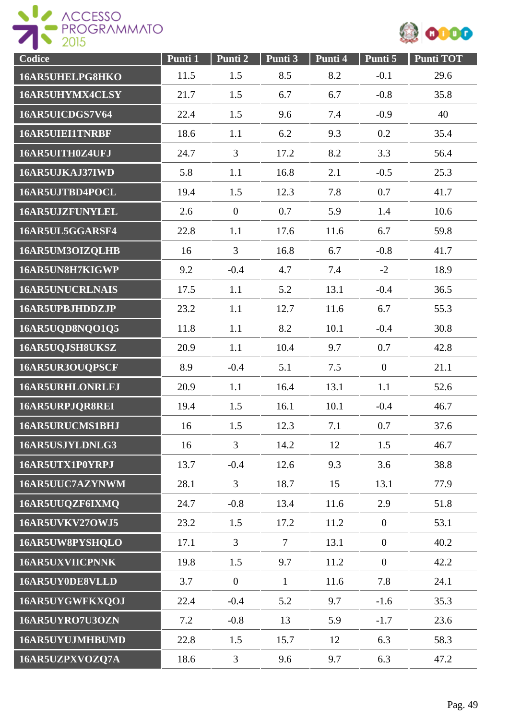



| Codice                 | Punti 1 | Punti 2        | Punti 3        | Punti 4 | Punti 5          | <b>Punti TOT</b> |
|------------------------|---------|----------------|----------------|---------|------------------|------------------|
| 16AR5UHELPG8HKO        | 11.5    | 1.5            | 8.5            | 8.2     | $-0.1$           | 29.6             |
| 16AR5UHYMX4CLSY        | 21.7    | 1.5            | 6.7            | 6.7     | $-0.8$           | 35.8             |
| 16AR5UICDGS7V64        | 22.4    | 1.5            | 9.6            | 7.4     | $-0.9$           | 40               |
| <b>16AR5UIEI1TNRBF</b> | 18.6    | 1.1            | 6.2            | 9.3     | 0.2              | 35.4             |
| 16AR5UITH0Z4UFJ        | 24.7    | $\mathfrak{Z}$ | 17.2           | 8.2     | 3.3              | 56.4             |
| 16AR5UJKAJ37IWD        | 5.8     | 1.1            | 16.8           | 2.1     | $-0.5$           | 25.3             |
| 16AR5UJTBD4POCL        | 19.4    | 1.5            | 12.3           | 7.8     | 0.7              | 41.7             |
| <b>16AR5UJZFUNYLEL</b> | 2.6     | $\overline{0}$ | 0.7            | 5.9     | 1.4              | 10.6             |
| 16AR5UL5GGARSF4        | 22.8    | 1.1            | 17.6           | 11.6    | 6.7              | 59.8             |
| 16AR5UM3OIZQLHB        | 16      | $\overline{3}$ | 16.8           | 6.7     | $-0.8$           | 41.7             |
| 16AR5UN8H7KIGWP        | 9.2     | $-0.4$         | 4.7            | 7.4     | $-2$             | 18.9             |
| <b>16AR5UNUCRLNAIS</b> | 17.5    | 1.1            | 5.2            | 13.1    | $-0.4$           | 36.5             |
| 16AR5UPBJHDDZJP        | 23.2    | 1.1            | 12.7           | 11.6    | 6.7              | 55.3             |
| 16AR5UQD8NQO1Q5        | 11.8    | 1.1            | 8.2            | 10.1    | $-0.4$           | 30.8             |
| 16AR5UQJSH8UKSZ        | 20.9    | 1.1            | 10.4           | 9.7     | 0.7              | 42.8             |
| 16AR5UR3OUQPSCF        | 8.9     | $-0.4$         | 5.1            | 7.5     | $\boldsymbol{0}$ | 21.1             |
| <b>16AR5URHLONRLFJ</b> | 20.9    | 1.1            | 16.4           | 13.1    | 1.1              | 52.6             |
| 16AR5URPJQR8REI        | 19.4    | 1.5            | 16.1           | 10.1    | $-0.4$           | 46.7             |
| 16AR5URUCMS1BHJ        | 16      | 1.5            | 12.3           | 7.1     | 0.7              | 37.6             |
| 16AR5USJYLDNLG3        | 16      | $\overline{3}$ | 14.2           | 12      | 1.5              | 46.7             |
| 16AR5UTX1P0YRPJ        | 13.7    | $-0.4$         | 12.6           | 9.3     | 3.6              | 38.8             |
| 16AR5UUC7AZYNWM        | 28.1    | $\overline{3}$ | 18.7           | 15      | 13.1             | 77.9             |
| 16AR5UUQZF6IXMQ        | 24.7    | $-0.8$         | 13.4           | 11.6    | 2.9              | 51.8             |
| <b>16AR5UVKV27OWJ5</b> | 23.2    | 1.5            | 17.2           | 11.2    | $\overline{0}$   | 53.1             |
| 16AR5UW8PYSHQLO        | 17.1    | $\overline{3}$ | $\overline{7}$ | 13.1    | $\overline{0}$   | 40.2             |
| <b>16AR5UXVIICPNNK</b> | 19.8    | 1.5            | 9.7            | 11.2    | $\overline{0}$   | 42.2             |
| 16AR5UY0DE8VLLD        | 3.7     | $\overline{0}$ | $\mathbf{1}$   | 11.6    | 7.8              | 24.1             |
| 16AR5UYGWFKXQOJ        | 22.4    | $-0.4$         | 5.2            | 9.7     | $-1.6$           | 35.3             |
| 16AR5UYRO7U3OZN        | 7.2     | $-0.8$         | 13             | 5.9     | $-1.7$           | 23.6             |
| 16AR5UYUJMHBUMD        | 22.8    | 1.5            | 15.7           | 12      | 6.3              | 58.3             |
| 16AR5UZPXVOZQ7A        | 18.6    | $\mathfrak{Z}$ | 9.6            | 9.7     | 6.3              | 47.2             |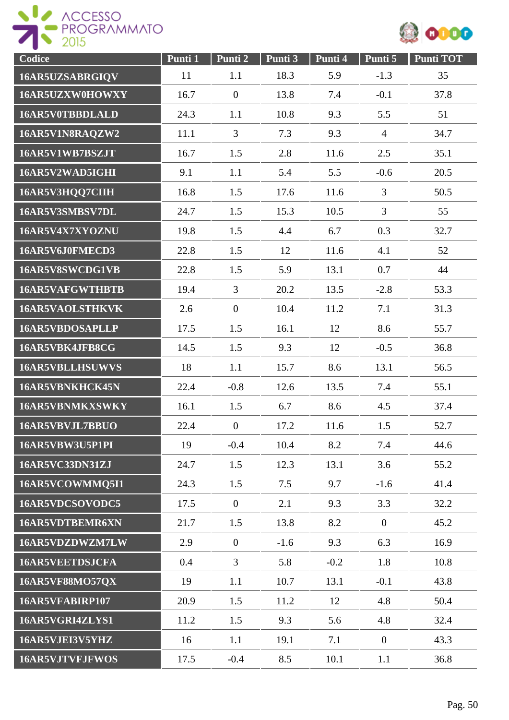



| Codice                 | Punti 1 | Punti 2          | Punti 3 | Punti 4 | Punti 5        | <b>Punti TOT</b> |
|------------------------|---------|------------------|---------|---------|----------------|------------------|
| 16AR5UZSABRGIQV        | 11      | 1.1              | 18.3    | 5.9     | $-1.3$         | 35               |
| 16AR5UZXW0HOWXY        | 16.7    | $\overline{0}$   | 13.8    | 7.4     | $-0.1$         | 37.8             |
| 16AR5V0TBBDLALD        | 24.3    | 1.1              | 10.8    | 9.3     | 5.5            | 51               |
| 16AR5V1N8RAQZW2        | 11.1    | 3                | 7.3     | 9.3     | $\overline{4}$ | 34.7             |
| 16AR5V1WB7BSZJT        | 16.7    | 1.5              | 2.8     | 11.6    | 2.5            | 35.1             |
| 16AR5V2WAD5IGHI        | 9.1     | 1.1              | 5.4     | 5.5     | $-0.6$         | 20.5             |
| 16AR5V3HQQ7CIIH        | 16.8    | 1.5              | 17.6    | 11.6    | 3              | 50.5             |
| 16AR5V3SMBSV7DL        | 24.7    | 1.5              | 15.3    | 10.5    | $\overline{3}$ | 55               |
| 16AR5V4X7XYOZNU        | 19.8    | 1.5              | 4.4     | 6.7     | 0.3            | 32.7             |
| 16AR5V6J0FMECD3        | 22.8    | 1.5              | 12      | 11.6    | 4.1            | 52               |
| 16AR5V8SWCDG1VB        | 22.8    | 1.5              | 5.9     | 13.1    | 0.7            | 44               |
| <b>16AR5VAFGWTHBTB</b> | 19.4    | 3                | 20.2    | 13.5    | $-2.8$         | 53.3             |
| 16AR5VAOLSTHKVK        | 2.6     | $\overline{0}$   | 10.4    | 11.2    | 7.1            | 31.3             |
| <b>16AR5VBDOSAPLLP</b> | 17.5    | 1.5              | 16.1    | 12      | 8.6            | 55.7             |
| 16AR5VBK4JFB8CG        | 14.5    | 1.5              | 9.3     | 12      | $-0.5$         | 36.8             |
| <b>16AR5VBLLHSUWVS</b> | 18      | 1.1              | 15.7    | 8.6     | 13.1           | 56.5             |
| 16AR5VBNKHCK45N        | 22.4    | $-0.8$           | 12.6    | 13.5    | 7.4            | 55.1             |
| 16AR5VBNMKXSWKY        | 16.1    | 1.5              | 6.7     | 8.6     | 4.5            | 37.4             |
| 16AR5VBVJL7BBUO        | 22.4    | $\boldsymbol{0}$ | 17.2    | 11.6    | 1.5            | 52.7             |
| 16AR5VBW3U5P1PI        | 19      | $-0.4$           | 10.4    | 8.2     | 7.4            | 44.6             |
| <b>16AR5VC33DN31ZJ</b> | 24.7    | 1.5              | 12.3    | 13.1    | 3.6            | 55.2             |
| 16AR5VCOWMMQ5I1        | 24.3    | 1.5              | 7.5     | 9.7     | $-1.6$         | 41.4             |
| 16AR5VDCSOVODC5        | 17.5    | $\boldsymbol{0}$ | 2.1     | 9.3     | 3.3            | 32.2             |
| 16AR5VDTBEMR6XN        | 21.7    | 1.5              | 13.8    | 8.2     | $\overline{0}$ | 45.2             |
| 16AR5VDZDWZM7LW        | 2.9     | $\boldsymbol{0}$ | $-1.6$  | 9.3     | 6.3            | 16.9             |
| <b>16AR5VEETDSJCFA</b> | 0.4     | $\overline{3}$   | 5.8     | $-0.2$  | 1.8            | 10.8             |
| <b>16AR5VF88MO57QX</b> | 19      | 1.1              | 10.7    | 13.1    | $-0.1$         | 43.8             |
| 16AR5VFABIRP107        | 20.9    | 1.5              | 11.2    | 12      | 4.8            | 50.4             |
| 16AR5VGRI4ZLYS1        | 11.2    | 1.5              | 9.3     | 5.6     | 4.8            | 32.4             |
| 16AR5VJEI3V5YHZ        | 16      | 1.1              | 19.1    | 7.1     | $\overline{0}$ | 43.3             |
| 16AR5VJTVFJFWOS        | 17.5    | $-0.4$           | 8.5     | 10.1    | 1.1            | 36.8             |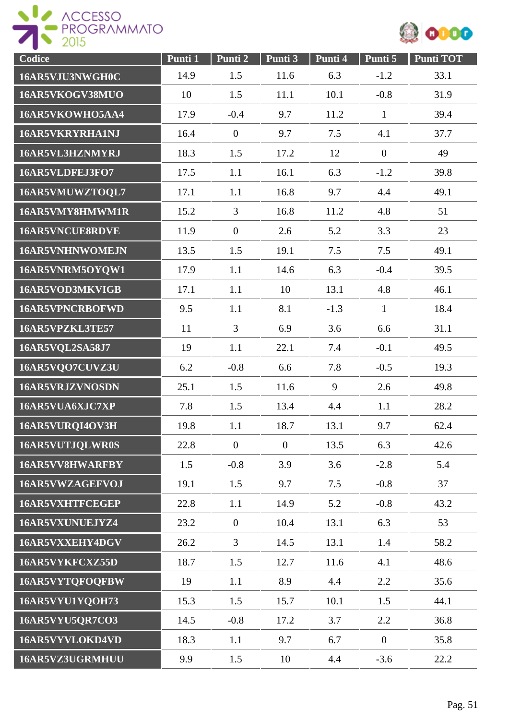



| Codice                 | Punti 1 | Punti 2          | Punti 3      | Punti 4 | Punti 5          | <b>Punti TOT</b> |
|------------------------|---------|------------------|--------------|---------|------------------|------------------|
| 16AR5VJU3NWGH0C        | 14.9    | 1.5              | 11.6         | 6.3     | $-1.2$           | 33.1             |
| 16AR5VKOGV38MUO        | 10      | 1.5              | 11.1         | 10.1    | $-0.8$           | 31.9             |
| 16AR5VKOWHO5AA4        | 17.9    | $-0.4$           | 9.7          | 11.2    | $\mathbf{1}$     | 39.4             |
| 16AR5VKRYRHA1NJ        | 16.4    | $\boldsymbol{0}$ | 9.7          | 7.5     | 4.1              | 37.7             |
| 16AR5VL3HZNMYRJ        | 18.3    | 1.5              | 17.2         | 12      | $\boldsymbol{0}$ | 49               |
| 16AR5VLDFEJ3FO7        | 17.5    | 1.1              | 16.1         | 6.3     | $-1.2$           | 39.8             |
| 16AR5VMUWZTOQL7        | 17.1    | 1.1              | 16.8         | 9.7     | 4.4              | 49.1             |
| 16AR5VMY8HMWM1R        | 15.2    | 3                | 16.8         | 11.2    | 4.8              | 51               |
| 16AR5VNCUE8RDVE        | 11.9    | $\overline{0}$   | 2.6          | 5.2     | 3.3              | 23               |
| <b>16AR5VNHNWOMEJN</b> | 13.5    | 1.5              | 19.1         | 7.5     | 7.5              | 49.1             |
| 16AR5VNRM5OYQW1        | 17.9    | 1.1              | 14.6         | 6.3     | $-0.4$           | 39.5             |
| 16AR5VOD3MKVIGB        | 17.1    | 1.1              | 10           | 13.1    | 4.8              | 46.1             |
| <b>16AR5VPNCRBOFWD</b> | 9.5     | 1.1              | 8.1          | $-1.3$  | $\mathbf{1}$     | 18.4             |
| 16AR5VPZKL3TE57        | 11      | 3                | 6.9          | 3.6     | 6.6              | 31.1             |
| 16AR5VQL2SA58J7        | 19      | 1.1              | 22.1         | 7.4     | $-0.1$           | 49.5             |
| 16AR5VQO7CUVZ3U        | 6.2     | $-0.8$           | 6.6          | 7.8     | $-0.5$           | 19.3             |
| <b>16AR5VRJZVNOSDN</b> | 25.1    | 1.5              | 11.6         | 9       | 2.6              | 49.8             |
| 16AR5VUA6XJC7XP        | 7.8     | 1.5              | 13.4         | 4.4     | 1.1              | 28.2             |
| 16AR5VURQI4OV3H        | 19.8    | 1.1              | 18.7         | 13.1    | 9.7              | 62.4             |
| 16AR5VUTJQLWR0S        | 22.8    | $\overline{0}$   | $\mathbf{0}$ | 13.5    | 6.3              | 42.6             |
| 16AR5VV8HWARFBY        | 1.5     | $-0.8$           | 3.9          | 3.6     | $-2.8$           | 5.4              |
| 16AR5VWZAGEFVOJ        | 19.1    | 1.5              | 9.7          | 7.5     | $-0.8$           | 37               |
| 16AR5VXHTFCEGEP        | 22.8    | 1.1              | 14.9         | 5.2     | $-0.8$           | 43.2             |
| 16AR5VXUNUEJYZ4        | 23.2    | $\overline{0}$   | 10.4         | 13.1    | 6.3              | 53               |
| 16AR5VXXEHY4DGV        | 26.2    | $\overline{3}$   | 14.5         | 13.1    | 1.4              | 58.2             |
| 16AR5VYKFCXZ55D        | 18.7    | 1.5              | 12.7         | 11.6    | 4.1              | 48.6             |
| 16AR5VYTQFOQFBW        | 19      | 1.1              | 8.9          | 4.4     | 2.2              | 35.6             |
| 16AR5VYU1YQOH73        | 15.3    | 1.5              | 15.7         | 10.1    | 1.5              | 44.1             |
| <b>16AR5VYU5QR7CO3</b> | 14.5    | $-0.8$           | 17.2         | 3.7     | 2.2              | 36.8             |
| 16AR5VYVLOKD4VD        | 18.3    | 1.1              | 9.7          | 6.7     | $\boldsymbol{0}$ | 35.8             |
| 16AR5VZ3UGRMHUU        | 9.9     | 1.5              | 10           | 4.4     | $-3.6$           | 22.2             |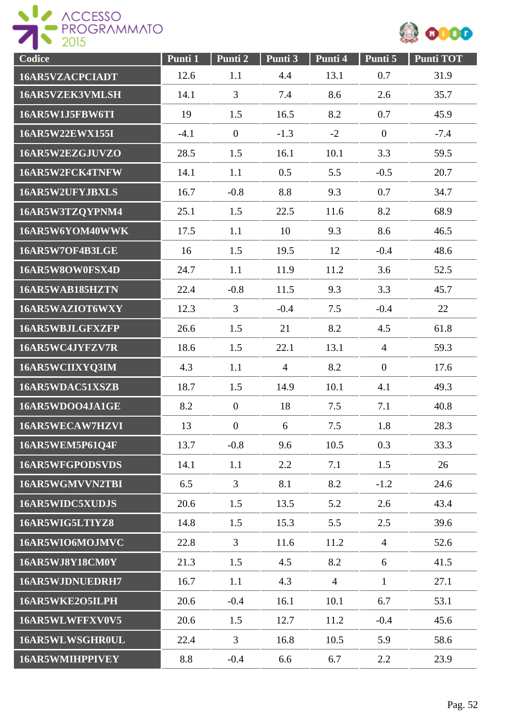



| Codice                 | Punti 1 | Punti 2          | Punti 3        | Punti 4        | Punti 5          | <b>Punti TOT</b> |
|------------------------|---------|------------------|----------------|----------------|------------------|------------------|
| 16AR5VZACPCIADT        | 12.6    | 1.1              | 4.4            | 13.1           | 0.7              | 31.9             |
| 16AR5VZEK3VMLSH        | 14.1    | 3                | 7.4            | 8.6            | 2.6              | 35.7             |
| 16AR5W1J5FBW6TI        | 19      | 1.5              | 16.5           | 8.2            | 0.7              | 45.9             |
| 16AR5W22EWX155I        | $-4.1$  | $\overline{0}$   | $-1.3$         | $-2$           | $\boldsymbol{0}$ | $-7.4$           |
| 16AR5W2EZGJUVZO        | 28.5    | 1.5              | 16.1           | 10.1           | 3.3              | 59.5             |
| 16AR5W2FCK4TNFW        | 14.1    | 1.1              | 0.5            | 5.5            | $-0.5$           | 20.7             |
| 16AR5W2UFYJBXLS        | 16.7    | $-0.8$           | 8.8            | 9.3            | 0.7              | 34.7             |
| 16AR5W3TZQYPNM4        | 25.1    | 1.5              | 22.5           | 11.6           | 8.2              | 68.9             |
| 16AR5W6YOM40WWK        | 17.5    | 1.1              | 10             | 9.3            | 8.6              | 46.5             |
| 16AR5W7OF4B3LGE        | 16      | 1.5              | 19.5           | 12             | $-0.4$           | 48.6             |
| 16AR5W8OW0FSX4D        | 24.7    | 1.1              | 11.9           | 11.2           | 3.6              | 52.5             |
| 16AR5WAB185HZTN        | 22.4    | $-0.8$           | 11.5           | 9.3            | 3.3              | 45.7             |
| 16AR5WAZIOT6WXY        | 12.3    | $\overline{3}$   | $-0.4$         | 7.5            | $-0.4$           | 22               |
| 16AR5WBJLGFXZFP        | 26.6    | 1.5              | 21             | 8.2            | 4.5              | 61.8             |
| 16AR5WC4JYFZV7R        | 18.6    | 1.5              | 22.1           | 13.1           | $\overline{4}$   | 59.3             |
| 16AR5WCIIXYQ3IM        | 4.3     | 1.1              | $\overline{4}$ | 8.2            | $\overline{0}$   | 17.6             |
| 16AR5WDAC51XSZB        | 18.7    | 1.5              | 14.9           | 10.1           | 4.1              | 49.3             |
| 16AR5WDOO4JA1GE        | 8.2     | $\overline{0}$   | 18             | 7.5            | 7.1              | 40.8             |
| 16AR5WECAW7HZVI        | 13      | $\boldsymbol{0}$ | 6              | 7.5            | 1.8              | 28.3             |
| 16AR5WEM5P61Q4F        | 13.7    | $-0.8$           | 9.6            | 10.5           | 0.3              | 33.3             |
| 16AR5WFGPODSVDS        | 14.1    | 1.1              | 2.2            | 7.1            | 1.5              | 26               |
| 16AR5WGMVVN2TBI        | 6.5     | 3                | 8.1            | 8.2            | $-1.2$           | 24.6             |
| <b>16AR5WIDC5XUDJS</b> | 20.6    | 1.5              | 13.5           | 5.2            | 2.6              | 43.4             |
| 16AR5WIG5LTIYZ8        | 14.8    | 1.5              | 15.3           | 5.5            | 2.5              | 39.6             |
| 16AR5WIO6MOJMVC        | 22.8    | $\overline{3}$   | 11.6           | 11.2           | $\overline{4}$   | 52.6             |
| 16AR5WJ8Y18CM0Y        | 21.3    | 1.5              | 4.5            | 8.2            | 6                | 41.5             |
| 16AR5WJDNUEDRH7        | 16.7    | 1.1              | 4.3            | $\overline{4}$ | $\mathbf{1}$     | 27.1             |
| 16AR5WKE2O5ILPH        | 20.6    | $-0.4$           | 16.1           | 10.1           | 6.7              | 53.1             |
| 16AR5WLWFFXV0V5        | 20.6    | 1.5              | 12.7           | 11.2           | $-0.4$           | 45.6             |
| 16AR5WLWSGHR0UL        | 22.4    | $\mathfrak{Z}$   | 16.8           | 10.5           | 5.9              | 58.6             |
| 16AR5WMIHPPIVEY        | 8.8     | $-0.4$           | 6.6            | 6.7            | 2.2              | 23.9             |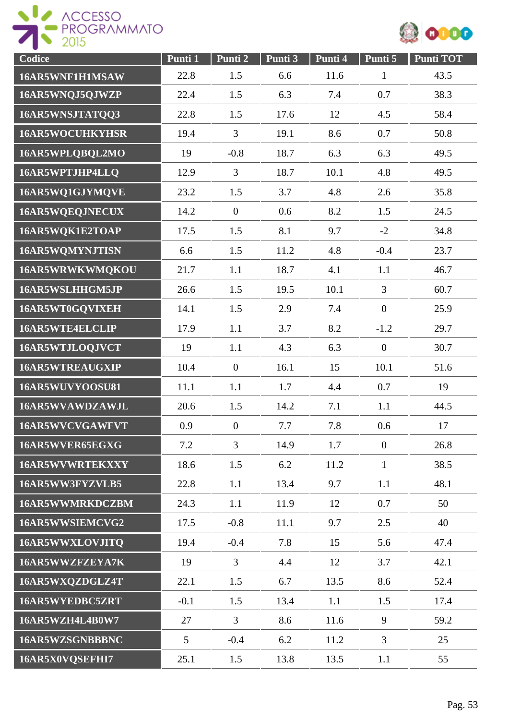

| Codice                 | Punti 1        | Punti 2          | Punti 3 | Punti 4 | Punti 5          | <b>Punti TOT</b> |
|------------------------|----------------|------------------|---------|---------|------------------|------------------|
| 16AR5WNF1H1MSAW        | 22.8           | 1.5              | 6.6     | 11.6    | $\mathbf{1}$     | 43.5             |
| 16AR5WNQJ5QJWZP        | 22.4           | 1.5              | 6.3     | 7.4     | 0.7              | 38.3             |
| 16AR5WNSJTATQQ3        | 22.8           | 1.5              | 17.6    | 12      | 4.5              | 58.4             |
| <b>16AR5WOCUHKYHSR</b> | 19.4           | 3                | 19.1    | 8.6     | 0.7              | 50.8             |
| 16AR5WPLQBQL2MO        | 19             | $-0.8$           | 18.7    | 6.3     | 6.3              | 49.5             |
| 16AR5WPTJHP4LLQ        | 12.9           | 3                | 18.7    | 10.1    | 4.8              | 49.5             |
| 16AR5WQ1GJYMQVE        | 23.2           | 1.5              | 3.7     | 4.8     | 2.6              | 35.8             |
| 16AR5WQEQJNECUX        | 14.2           | $\overline{0}$   | 0.6     | 8.2     | 1.5              | 24.5             |
| 16AR5WQK1E2TOAP        | 17.5           | 1.5              | 8.1     | 9.7     | $-2$             | 34.8             |
| 16AR5WQMYNJTISN        | 6.6            | 1.5              | 11.2    | 4.8     | $-0.4$           | 23.7             |
| 16AR5WRWKWMQKOU        | 21.7           | 1.1              | 18.7    | 4.1     | 1.1              | 46.7             |
| 16AR5WSLHHGM5JP        | 26.6           | 1.5              | 19.5    | 10.1    | $\overline{3}$   | 60.7             |
| 16AR5WT0GQVIXEH        | 14.1           | 1.5              | 2.9     | 7.4     | $\boldsymbol{0}$ | 25.9             |
| 16AR5WTE4ELCLIP        | 17.9           | 1.1              | 3.7     | 8.2     | $-1.2$           | 29.7             |
| 16AR5WTJLOQJVCT        | 19             | 1.1              | 4.3     | 6.3     | $\boldsymbol{0}$ | 30.7             |
| <b>16AR5WTREAUGXIP</b> | 10.4           | $\boldsymbol{0}$ | 16.1    | 15      | 10.1             | 51.6             |
| 16AR5WUVYOOSU81        | 11.1           | 1.1              | 1.7     | 4.4     | 0.7              | 19               |
| 16AR5WVAWDZAWJL        | 20.6           | 1.5              | 14.2    | 7.1     | 1.1              | 44.5             |
| 16AR5WVCVGAWFVT        | 0.9            | $\overline{0}$   | 7.7     | 7.8     | 0.6              | 17               |
| 16AR5WVER65EGXG        | 7.2            | $\overline{3}$   | 14.9    | 1.7     | $\overline{0}$   | 26.8             |
| <b>16AR5WVWRTEKXXY</b> | 18.6           | 1.5              | 6.2     | 11.2    | $\mathbf{1}$     | 38.5             |
| 16AR5WW3FYZVLB5        | 22.8           | 1.1              | 13.4    | 9.7     | 1.1              | 48.1             |
| 16AR5WWMRKDCZBM        | 24.3           | 1.1              | 11.9    | 12      | 0.7              | 50               |
| 16AR5WWSIEMCVG2        | 17.5           | $-0.8$           | 11.1    | 9.7     | 2.5              | 40               |
| 16AR5WWXLOVJITQ        | 19.4           | $-0.4$           | 7.8     | 15      | 5.6              | 47.4             |
| 16AR5WWZFZEYA7K        | 19             | $\overline{3}$   | 4.4     | 12      | 3.7              | 42.1             |
| 16AR5WXQZDGLZ4T        | 22.1           | 1.5              | 6.7     | 13.5    | 8.6              | 52.4             |
| 16AR5WYEDBC5ZRT        | $-0.1$         | 1.5              | 13.4    | 1.1     | 1.5              | 17.4             |
| 16AR5WZH4L4B0W7        | 27             | $\overline{3}$   | 8.6     | 11.6    | 9                | 59.2             |
| 16AR5WZSGNBBBNC        | 5 <sup>5</sup> | $-0.4$           | 6.2     | 11.2    | $\overline{3}$   | 25               |
| 16AR5X0VQSEFHI7        | 25.1           | 1.5              | 13.8    | 13.5    | 1.1              | 55               |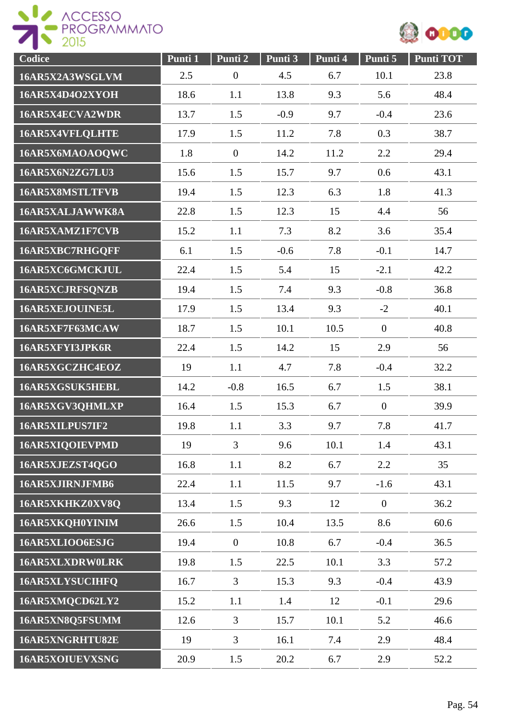



| Codice                 | Punti 1 | Punti 2          | Punti 3 | Punti 4 | Punti 5        | <b>Punti TOT</b> |
|------------------------|---------|------------------|---------|---------|----------------|------------------|
| 16AR5X2A3WSGLVM        | 2.5     | $\boldsymbol{0}$ | 4.5     | 6.7     | 10.1           | 23.8             |
| 16AR5X4D4O2XYOH        | 18.6    | 1.1              | 13.8    | 9.3     | 5.6            | 48.4             |
| 16AR5X4ECVA2WDR        | 13.7    | 1.5              | $-0.9$  | 9.7     | $-0.4$         | 23.6             |
| 16AR5X4VFLQLHTE        | 17.9    | 1.5              | 11.2    | 7.8     | 0.3            | 38.7             |
| 16AR5X6MAOAOQWC        | 1.8     | $\overline{0}$   | 14.2    | 11.2    | 2.2            | 29.4             |
| <b>16AR5X6N2ZG7LU3</b> | 15.6    | 1.5              | 15.7    | 9.7     | 0.6            | 43.1             |
| 16AR5X8MSTLTFVB        | 19.4    | 1.5              | 12.3    | 6.3     | 1.8            | 41.3             |
| 16AR5XALJAWWK8A        | 22.8    | 1.5              | 12.3    | 15      | 4.4            | 56               |
| 16AR5XAMZ1F7CVB        | 15.2    | 1.1              | 7.3     | 8.2     | 3.6            | 35.4             |
| 16AR5XBC7RHGQFF        | 6.1     | 1.5              | $-0.6$  | 7.8     | $-0.1$         | 14.7             |
| 16AR5XC6GMCKJUL        | 22.4    | 1.5              | 5.4     | 15      | $-2.1$         | 42.2             |
| 16AR5XCJRFSQNZB        | 19.4    | 1.5              | 7.4     | 9.3     | $-0.8$         | 36.8             |
| 16AR5XEJOUINE5L        | 17.9    | 1.5              | 13.4    | 9.3     | $-2$           | 40.1             |
| 16AR5XF7F63MCAW        | 18.7    | 1.5              | 10.1    | 10.5    | $\overline{0}$ | 40.8             |
| 16AR5XFYI3JPK6R        | 22.4    | 1.5              | 14.2    | 15      | 2.9            | 56               |
| 16AR5XGCZHC4EOZ        | 19      | 1.1              | 4.7     | 7.8     | $-0.4$         | 32.2             |
| 16AR5XGSUK5HEBL        | 14.2    | $-0.8$           | 16.5    | 6.7     | 1.5            | 38.1             |
| 16AR5XGV3QHMLXP        | 16.4    | 1.5              | 15.3    | 6.7     | $\overline{0}$ | 39.9             |
| 16AR5XILPUS7IF2        | 19.8    | 1.1              | 3.3     | 9.7     | 7.8            | 41.7             |
| 16AR5XIQOIEVPMD        | 19      | $\overline{3}$   | 9.6     | 10.1    | 1.4            | 43.1             |
| 16AR5XJEZST4OGO        | 16.8    | 1.1              | 8.2     | 6.7     | 2.2            | 35               |
| 16AR5XJIRNJFMB6        | 22.4    | 1.1              | 11.5    | 9.7     | $-1.6$         | 43.1             |
| 16AR5XKHKZ0XV8Q        | 13.4    | 1.5              | 9.3     | 12      | $\overline{0}$ | 36.2             |
| 16AR5XKQH0YINIM        | 26.6    | 1.5              | 10.4    | 13.5    | 8.6            | 60.6             |
| 16AR5XLIOO6ESJG        | 19.4    | $\overline{0}$   | 10.8    | 6.7     | $-0.4$         | 36.5             |
| 16AR5XLXDRW0LRK        | 19.8    | 1.5              | 22.5    | 10.1    | 3.3            | 57.2             |
| 16AR5XLYSUCIHFQ        | 16.7    | 3                | 15.3    | 9.3     | $-0.4$         | 43.9             |
| 16AR5XMQCD62LY2        | 15.2    | 1.1              | 1.4     | 12      | $-0.1$         | 29.6             |
| 16AR5XN8Q5FSUMM        | 12.6    | 3                | 15.7    | 10.1    | 5.2            | 46.6             |
| 16AR5XNGRHTU82E        | 19      | $\overline{3}$   | 16.1    | 7.4     | 2.9            | 48.4             |
| 16AR5XOIUEVXSNG        | 20.9    | 1.5              | 20.2    | 6.7     | 2.9            | 52.2             |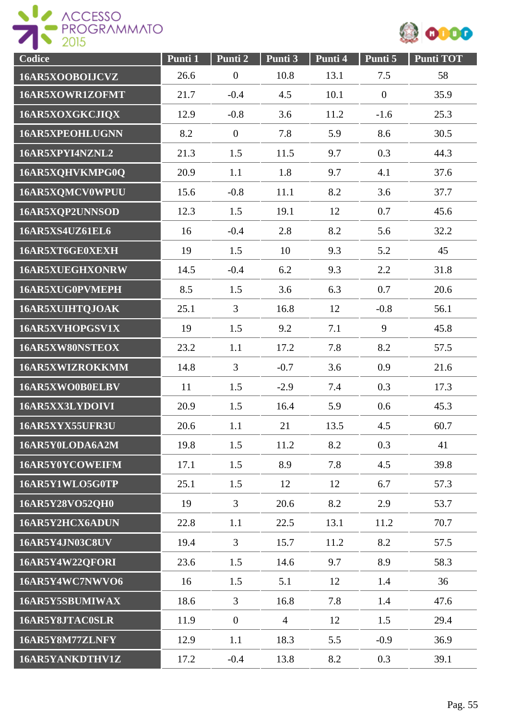



| Codice                 | Punti <sub>1</sub> | Punti 2          | Punti 3        | Punti 4 | Punti 5        | Punti TOT |
|------------------------|--------------------|------------------|----------------|---------|----------------|-----------|
| 16AR5XOOBOLJCVZ        | 26.6               | $\boldsymbol{0}$ | 10.8           | 13.1    | 7.5            | 58        |
| 16AR5XOWR1ZOFMT        | 21.7               | $-0.4$           | 4.5            | 10.1    | $\overline{0}$ | 35.9      |
| 16AR5XOXGKCJIQX        | 12.9               | $-0.8$           | 3.6            | 11.2    | $-1.6$         | 25.3      |
| <b>16AR5XPEOHLUGNN</b> | 8.2                | $\boldsymbol{0}$ | 7.8            | 5.9     | 8.6            | 30.5      |
| 16AR5XPYI4NZNL2        | 21.3               | 1.5              | 11.5           | 9.7     | 0.3            | 44.3      |
| 16AR5XQHVKMPG0Q        | 20.9               | 1.1              | 1.8            | 9.7     | 4.1            | 37.6      |
| 16AR5XQMCV0WPUU        | 15.6               | $-0.8$           | 11.1           | 8.2     | 3.6            | 37.7      |
| 16AR5XQP2UNNSOD        | 12.3               | 1.5              | 19.1           | 12      | 0.7            | 45.6      |
| <b>16AR5XS4UZ61EL6</b> | 16                 | $-0.4$           | 2.8            | 8.2     | 5.6            | 32.2      |
| 16AR5XT6GE0XEXH        | 19                 | 1.5              | 10             | 9.3     | 5.2            | 45        |
| 16AR5XUEGHXONRW        | 14.5               | $-0.4$           | 6.2            | 9.3     | 2.2            | 31.8      |
| 16AR5XUG0PVMEPH        | 8.5                | 1.5              | 3.6            | 6.3     | 0.7            | 20.6      |
| 16AR5XUIHTQJOAK        | 25.1               | $\overline{3}$   | 16.8           | 12      | $-0.8$         | 56.1      |
| 16AR5XVHOPGSV1X        | 19                 | 1.5              | 9.2            | 7.1     | 9              | 45.8      |
| 16AR5XW80NSTEOX        | 23.2               | 1.1              | 17.2           | 7.8     | 8.2            | 57.5      |
| 16AR5XWIZROKKMM        | 14.8               | 3                | $-0.7$         | 3.6     | 0.9            | 21.6      |
| 16AR5XWO0B0ELBV        | 11                 | 1.5              | $-2.9$         | 7.4     | 0.3            | 17.3      |
| 16AR5XX3LYDOIVI        | 20.9               | 1.5              | 16.4           | 5.9     | 0.6            | 45.3      |
| 16AR5XYX55UFR3U        | 20.6               | 1.1              | 21             | 13.5    | 4.5            | 60.7      |
| 16AR5Y0LODA6A2M        | 19.8               | 1.5              | 11.2           | 8.2     | 0.3            | 41        |
| 16AR5Y0YCOWEIFM        | 17.1               | 1.5              | 8.9            | 7.8     | 4.5            | 39.8      |
| 16AR5Y1WLO5G0TP        | 25.1               | 1.5              | 12             | 12      | 6.7            | 57.3      |
| 16AR5Y28VO52QH0        | 19                 | $\overline{3}$   | 20.6           | 8.2     | 2.9            | 53.7      |
| 16AR5Y2HCX6ADUN        | 22.8               | 1.1              | 22.5           | 13.1    | 11.2           | 70.7      |
| <b>16AR5Y4JN03C8UV</b> | 19.4               | $\overline{3}$   | 15.7           | 11.2    | 8.2            | 57.5      |
| 16AR5Y4W22QFORI        | 23.6               | 1.5              | 14.6           | 9.7     | 8.9            | 58.3      |
| 16AR5Y4WC7NWVO6        | 16                 | 1.5              | 5.1            | 12      | 1.4            | 36        |
| 16AR5Y5SBUMIWAX        | 18.6               | $\overline{3}$   | 16.8           | 7.8     | 1.4            | 47.6      |
| 16AR5Y8JTAC0SLR        | 11.9               | $\boldsymbol{0}$ | $\overline{4}$ | 12      | 1.5            | 29.4      |
| 16AR5Y8M77ZLNFY        | 12.9               | 1.1              | 18.3           | 5.5     | $-0.9$         | 36.9      |
| 16AR5YANKDTHV1Z        | 17.2               | $-0.4$           | 13.8           | 8.2     | 0.3            | 39.1      |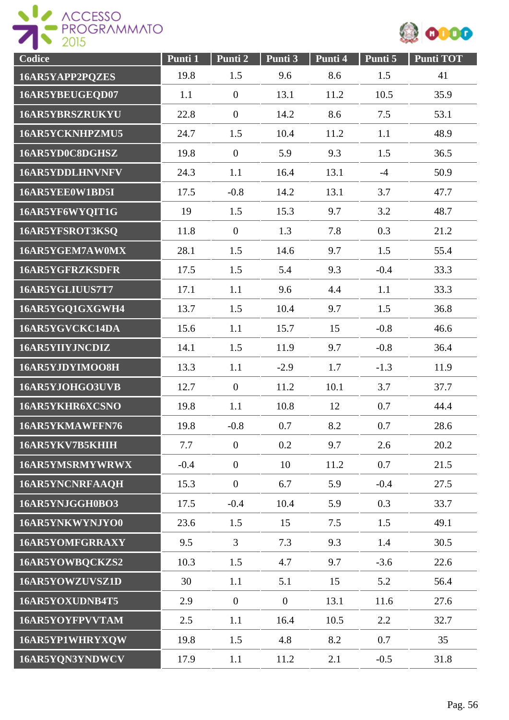

| Codice                 | Punti 1 | Punti 2          | Punti 3        | Punti 4 | Punti 5 | <b>Punti TOT</b> |
|------------------------|---------|------------------|----------------|---------|---------|------------------|
| 16AR5YAPP2PQZES        | 19.8    | 1.5              | 9.6            | 8.6     | 1.5     | 41               |
| 16AR5YBEUGEQD07        | 1.1     | $\overline{0}$   | 13.1           | 11.2    | 10.5    | 35.9             |
| <b>16AR5YBRSZRUKYU</b> | 22.8    | $\boldsymbol{0}$ | 14.2           | 8.6     | 7.5     | 53.1             |
| 16AR5YCKNHPZMU5        | 24.7    | 1.5              | 10.4           | 11.2    | 1.1     | 48.9             |
| 16AR5YD0C8DGHSZ        | 19.8    | $\boldsymbol{0}$ | 5.9            | 9.3     | 1.5     | 36.5             |
| 16AR5YDDLHNVNFV        | 24.3    | 1.1              | 16.4           | 13.1    | $-4$    | 50.9             |
| 16AR5YEE0W1BD5I        | 17.5    | $-0.8$           | 14.2           | 13.1    | 3.7     | 47.7             |
| 16AR5YF6WYQIT1G        | 19      | 1.5              | 15.3           | 9.7     | 3.2     | 48.7             |
| 16AR5YFSROT3KSQ        | 11.8    | $\overline{0}$   | 1.3            | 7.8     | 0.3     | 21.2             |
| 16AR5YGEM7AW0MX        | 28.1    | 1.5              | 14.6           | 9.7     | 1.5     | 55.4             |
| <b>16AR5YGFRZKSDFR</b> | 17.5    | 1.5              | 5.4            | 9.3     | $-0.4$  | 33.3             |
| 16AR5YGLIUUS7T7        | 17.1    | 1.1              | 9.6            | 4.4     | 1.1     | 33.3             |
| 16AR5YGQ1GXGWH4        | 13.7    | 1.5              | 10.4           | 9.7     | 1.5     | 36.8             |
| 16AR5YGVCKC14DA        | 15.6    | 1.1              | 15.7           | 15      | $-0.8$  | 46.6             |
| 16AR5YIIYJNCDIZ        | 14.1    | 1.5              | 11.9           | 9.7     | $-0.8$  | 36.4             |
| 16AR5YJDYIMOO8H        | 13.3    | 1.1              | $-2.9$         | 1.7     | $-1.3$  | 11.9             |
| 16AR5YJOHGO3UVB        | 12.7    | $\boldsymbol{0}$ | 11.2           | 10.1    | 3.7     | 37.7             |
| 16AR5YKHR6XCSNO        | 19.8    | 1.1              | 10.8           | 12      | 0.7     | 44.4             |
| 16AR5YKMAWFFN76        | 19.8    | $-0.8$           | 0.7            | 8.2     | 0.7     | 28.6             |
| 16AR5YKV7B5KHIH        | 7.7     | $\overline{0}$   | 0.2            | 9.7     | 2.6     | 20.2             |
| 16AR5YMSRMYWRWX        | $-0.4$  | $\boldsymbol{0}$ | 10             | 11.2    | 0.7     | 21.5             |
| 16AR5YNCNRFAAQH        | 15.3    | $\overline{0}$   | 6.7            | 5.9     | $-0.4$  | 27.5             |
| 16AR5YNJGGH0BO3        | 17.5    | $-0.4$           | 10.4           | 5.9     | 0.3     | 33.7             |
| 16AR5YNKWYNJYO0        | 23.6    | 1.5              | 15             | 7.5     | 1.5     | 49.1             |
| 16AR5YOMFGRRAXY        | 9.5     | $\overline{3}$   | 7.3            | 9.3     | 1.4     | 30.5             |
| 16AR5YOWBQCKZS2        | 10.3    | 1.5              | 4.7            | 9.7     | $-3.6$  | 22.6             |
| 16AR5YOWZUVSZ1D        | 30      | 1.1              | 5.1            | 15      | 5.2     | 56.4             |
| 16AR5YOXUDNB4T5        | 2.9     | $\mathbf{0}$     | $\overline{0}$ | 13.1    | 11.6    | 27.6             |
| 16AR5YOYFPVVTAM        | 2.5     | 1.1              | 16.4           | 10.5    | 2.2     | 32.7             |
| 16AR5YP1WHRYXQW        | 19.8    | 1.5              | 4.8            | 8.2     | 0.7     | 35               |
| 16AR5YQN3YNDWCV        | 17.9    | 1.1              | 11.2           | 2.1     | $-0.5$  | 31.8             |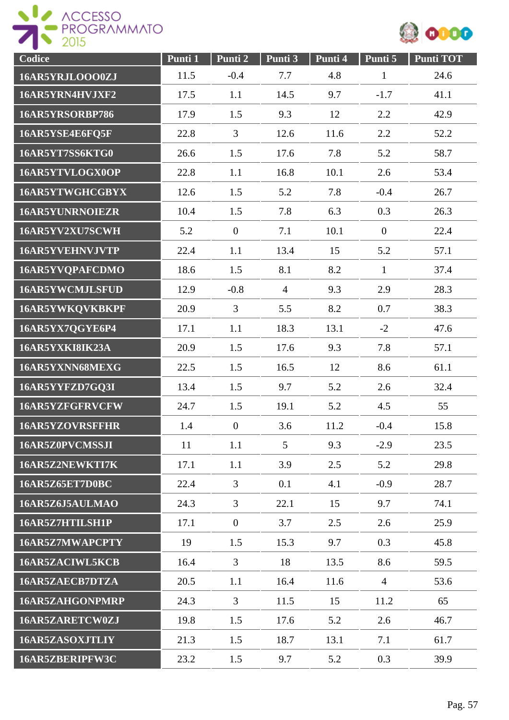



| Codice                 | Punti 1 | Punti 2        | Punti 3        | Punti 4 | Punti 5          | Punti TOT |
|------------------------|---------|----------------|----------------|---------|------------------|-----------|
| 16AR5YRJLOO00ZJ        | 11.5    | $-0.4$         | 7.7            | 4.8     | $\mathbf{1}$     | 24.6      |
| 16AR5YRN4HVJXF2        | 17.5    | 1.1            | 14.5           | 9.7     | $-1.7$           | 41.1      |
| 16AR5YRSORBP786        | 17.9    | 1.5            | 9.3            | 12      | 2.2              | 42.9      |
| 16AR5YSE4E6FQ5F        | 22.8    | 3              | 12.6           | 11.6    | 2.2              | 52.2      |
| 16AR5YT7SS6KTG0        | 26.6    | 1.5            | 17.6           | 7.8     | 5.2              | 58.7      |
| 16AR5YTVLOGX0OP        | 22.8    | 1.1            | 16.8           | 10.1    | 2.6              | 53.4      |
| 16AR5YTWGHCGBYX        | 12.6    | 1.5            | 5.2            | 7.8     | $-0.4$           | 26.7      |
| <b>16AR5YUNRNOIEZR</b> | 10.4    | 1.5            | 7.8            | 6.3     | 0.3              | 26.3      |
| 16AR5YV2XU7SCWH        | 5.2     | $\mathbf{0}$   | 7.1            | 10.1    | $\boldsymbol{0}$ | 22.4      |
| 16AR5YVEHNVJVTP        | 22.4    | 1.1            | 13.4           | 15      | 5.2              | 57.1      |
| 16AR5YVQPAFCDMO        | 18.6    | 1.5            | 8.1            | 8.2     | $\mathbf{1}$     | 37.4      |
| <b>16AR5YWCMJLSFUD</b> | 12.9    | $-0.8$         | $\overline{4}$ | 9.3     | 2.9              | 28.3      |
| 16AR5YWKQVKBKPF        | 20.9    | $\overline{3}$ | 5.5            | 8.2     | 0.7              | 38.3      |
| 16AR5YX7QGYE6P4        | 17.1    | 1.1            | 18.3           | 13.1    | $-2$             | 47.6      |
| 16AR5YXKI8IK23A        | 20.9    | 1.5            | 17.6           | 9.3     | 7.8              | 57.1      |
| 16AR5YXNN68MEXG        | 22.5    | 1.5            | 16.5           | 12      | 8.6              | 61.1      |
| 16AR5YYFZD7GQ3I        | 13.4    | 1.5            | 9.7            | 5.2     | 2.6              | 32.4      |
| 16AR5YZFGFRVCFW        | 24.7    | 1.5            | 19.1           | 5.2     | 4.5              | 55        |
| <b>16AR5YZOVRSFFHR</b> | 1.4     | $\overline{0}$ | 3.6            | 11.2    | $-0.4$           | 15.8      |
| 16AR5Z0PVCMSSJI        | 11      | 1.1            | 5              | 9.3     | $-2.9$           | 23.5      |
| 16AR5Z2NEWKTI7K        | 17.1    | 1.1            | 3.9            | 2.5     | 5.2              | 29.8      |
| 16AR5Z65ET7D0BC        | 22.4    | 3              | 0.1            | 4.1     | $-0.9$           | 28.7      |
| 16AR5Z6J5AULMAO        | 24.3    | $\overline{3}$ | 22.1           | 15      | 9.7              | 74.1      |
| 16AR5Z7HTILSH1P        | 17.1    | $\overline{0}$ | 3.7            | 2.5     | 2.6              | 25.9      |
| 16AR5Z7MWAPCPTY        | 19      | 1.5            | 15.3           | 9.7     | 0.3              | 45.8      |
| 16AR5ZACIWL5KCB        | 16.4    | $\overline{3}$ | 18             | 13.5    | 8.6              | 59.5      |
| 16AR5ZAECB7DTZA        | 20.5    | 1.1            | 16.4           | 11.6    | $\overline{4}$   | 53.6      |
| <b>16AR5ZAHGONPMRP</b> | 24.3    | 3              | 11.5           | 15      | 11.2             | 65        |
| 16AR5ZARETCW0ZJ        | 19.8    | 1.5            | 17.6           | 5.2     | 2.6              | 46.7      |
| 16AR5ZASOXJTLIY        | 21.3    | 1.5            | 18.7           | 13.1    | 7.1              | 61.7      |
| 16AR5ZBERIPFW3C        | 23.2    | 1.5            | 9.7            | 5.2     | 0.3              | 39.9      |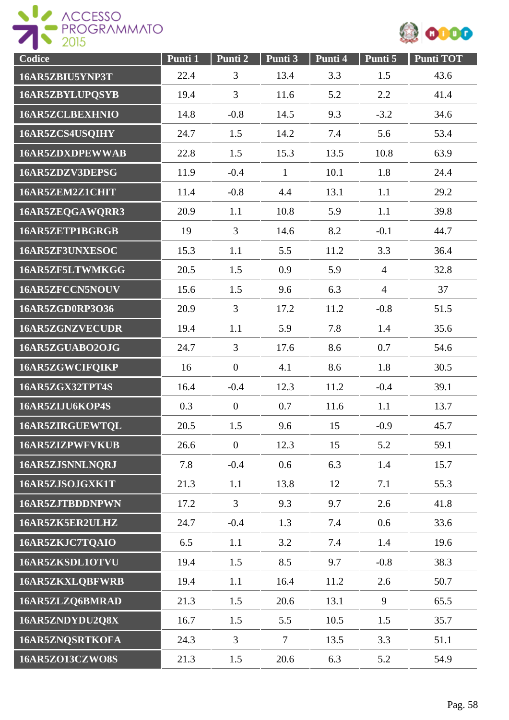

| Codice                 | Punti 1 | Punti 2          | Punti 3      | Punti 4 | Punti 5        | <b>Punti TOT</b> |
|------------------------|---------|------------------|--------------|---------|----------------|------------------|
| 16AR5ZBIU5YNP3T        | 22.4    | 3                | 13.4         | 3.3     | 1.5            | 43.6             |
| 16AR5ZBYLUPQSYB        | 19.4    | 3                | 11.6         | 5.2     | 2.2            | 41.4             |
| <b>16AR5ZCLBEXHNIO</b> | 14.8    | $-0.8$           | 14.5         | 9.3     | $-3.2$         | 34.6             |
| 16AR5ZCS4USQIHY        | 24.7    | 1.5              | 14.2         | 7.4     | 5.6            | 53.4             |
| <b>16AR5ZDXDPEWWAB</b> | 22.8    | 1.5              | 15.3         | 13.5    | 10.8           | 63.9             |
| 16AR5ZDZV3DEPSG        | 11.9    | $-0.4$           | $\mathbf{1}$ | 10.1    | 1.8            | 24.4             |
| 16AR5ZEM2Z1CHIT        | 11.4    | $-0.8$           | 4.4          | 13.1    | 1.1            | 29.2             |
| 16AR5ZEQGAWQRR3        | 20.9    | 1.1              | 10.8         | 5.9     | 1.1            | 39.8             |
| 16AR5ZETP1BGRGB        | 19      | $\overline{3}$   | 14.6         | 8.2     | $-0.1$         | 44.7             |
| 16AR5ZF3UNXESOC        | 15.3    | 1.1              | 5.5          | 11.2    | 3.3            | 36.4             |
| 16AR5ZF5LTWMKGG        | 20.5    | 1.5              | 0.9          | 5.9     | $\overline{4}$ | 32.8             |
| 16AR5ZFCCN5NOUV        | 15.6    | 1.5              | 9.6          | 6.3     | $\overline{4}$ | 37               |
| 16AR5ZGD0RP3O36        | 20.9    | $\overline{3}$   | 17.2         | 11.2    | $-0.8$         | 51.5             |
| 16AR5ZGNZVECUDR        | 19.4    | 1.1              | 5.9          | 7.8     | 1.4            | 35.6             |
| 16AR5ZGUABO2OJG        | 24.7    | $\overline{3}$   | 17.6         | 8.6     | 0.7            | 54.6             |
| 16AR5ZGWCIFQIKP        | 16      | $\boldsymbol{0}$ | 4.1          | 8.6     | 1.8            | 30.5             |
| 16AR5ZGX32TPT4S        | 16.4    | $-0.4$           | 12.3         | 11.2    | $-0.4$         | 39.1             |
| 16AR5ZIJU6KOP4S        | 0.3     | $\overline{0}$   | 0.7          | 11.6    | 1.1            | 13.7             |
| 16AR5ZIRGUEWTQL        | 20.5    | 1.5              | 9.6          | 15      | $-0.9$         | 45.7             |
| <b>16AR5ZIZPWFVKUB</b> | 26.6    | $\overline{0}$   | 12.3         | 15      | 5.2            | 59.1             |
| 16AR5ZJSNNLNQRJ        | 7.8     | $-0.4$           | 0.6          | 6.3     | 1.4            | 15.7             |
| 16AR5ZJSOJGXK1T        | 21.3    | 1.1              | 13.8         | 12      | 7.1            | 55.3             |
| 16AR5ZJTBDDNPWN        | 17.2    | $\mathfrak{Z}$   | 9.3          | 9.7     | 2.6            | 41.8             |
| 16AR5ZK5ER2ULHZ        | 24.7    | $-0.4$           | 1.3          | 7.4     | 0.6            | 33.6             |
| 16AR5ZKJC7TQAIO        | 6.5     | 1.1              | 3.2          | 7.4     | 1.4            | 19.6             |
| 16AR5ZKSDL1OTVU        | 19.4    | 1.5              | 8.5          | 9.7     | $-0.8$         | 38.3             |
| <b>16AR5ZKXLQBFWRB</b> | 19.4    | 1.1              | 16.4         | 11.2    | 2.6            | 50.7             |
| 16AR5ZLZQ6BMRAD        | 21.3    | 1.5              | 20.6         | 13.1    | 9              | 65.5             |
| 16AR5ZNDYDU2Q8X        | 16.7    | 1.5              | 5.5          | 10.5    | 1.5            | 35.7             |
| 16AR5ZNQSRTKOFA        | 24.3    | $\overline{3}$   | $\tau$       | 13.5    | 3.3            | 51.1             |
| <b>16AR5ZO13CZWO8S</b> | 21.3    | 1.5              | 20.6         | 6.3     | 5.2            | 54.9             |